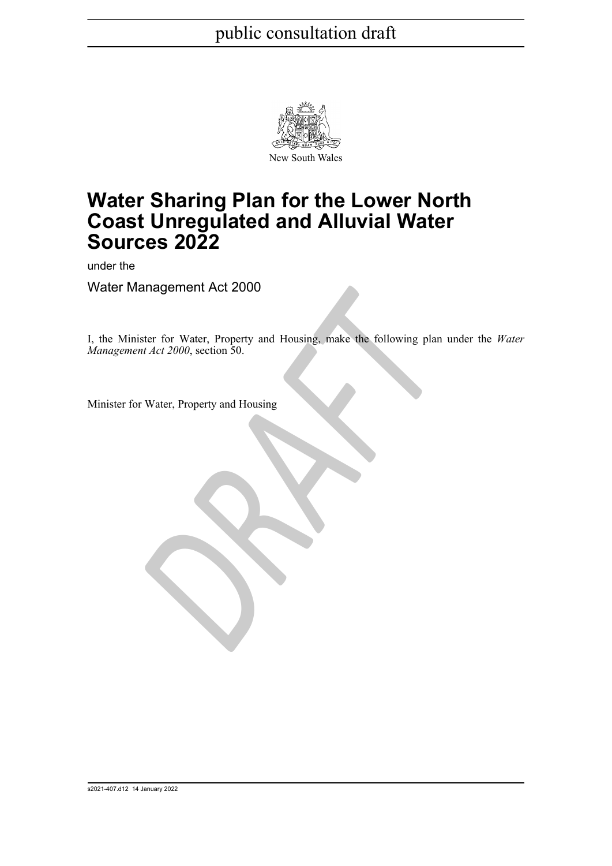

## **Water Sharing Plan for the Lower North Coast Unregulated and Alluvial Water Sources 2022**

under the

Water Management Act 2000

France Content Act 2000<br>
Exter for Water, Property and Housing, make the following plan<br>
Dr Water, Property and Housing<br>
Dr Water, Property and Housing I, the Minister for Water, Property and Housing, make the following plan under the *Water Management Act 2000*, section 50.

Minister for Water, Property and Housing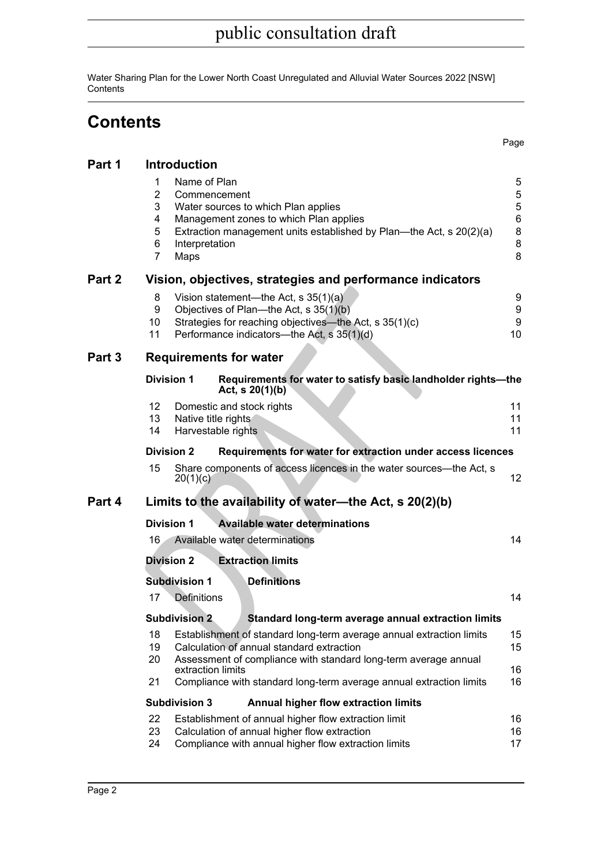Water Sharing Plan for the Lower North Coast Unregulated and Alluvial Water Sources 2022 [NSW] **Contents** 

## **Contents**

Page

| Part 1 | <b>Introduction</b>                                                                    |                                                                                                                                                                                           |                                                              |
|--------|----------------------------------------------------------------------------------------|-------------------------------------------------------------------------------------------------------------------------------------------------------------------------------------------|--------------------------------------------------------------|
|        | Name of Plan<br>1<br>$\overline{2}$<br>3<br>4<br>5<br>6<br>Interpretation<br>7<br>Maps | Commencement<br>Water sources to which Plan applies<br>Management zones to which Plan applies<br>Extraction management units established by Plan—the Act, s 20(2)(a)                      | 5<br>$\sqrt{5}$<br>$\,$ 5 $\,$<br>$\,6$<br>8<br>$\bf 8$<br>8 |
| Part 2 |                                                                                        | Vision, objectives, strategies and performance indicators                                                                                                                                 |                                                              |
|        | 8<br>9<br>10<br>11                                                                     | Vision statement—the Act, s 35(1)(a)<br>Objectives of Plan—the Act, s 35(1)(b)<br>Strategies for reaching objectives—the Act, s 35(1)(c)<br>Performance indicators--- the Act, s 35(1)(d) | 9<br>9<br>9<br>10                                            |
| Part 3 |                                                                                        | <b>Requirements for water</b>                                                                                                                                                             |                                                              |
|        | <b>Division 1</b>                                                                      | Requirements for water to satisfy basic landholder rights-the<br>Act, $s \ 20(1)(b)$                                                                                                      |                                                              |
|        | 12                                                                                     | Domestic and stock rights                                                                                                                                                                 | 11                                                           |
|        | 13                                                                                     | Native title rights                                                                                                                                                                       | 11                                                           |
|        | 14                                                                                     | Harvestable rights                                                                                                                                                                        | 11                                                           |
|        | <b>Division 2</b>                                                                      | Requirements for water for extraction under access licences                                                                                                                               |                                                              |
|        | 15<br>20(1)(c)                                                                         | Share components of access licences in the water sources—the Act, s                                                                                                                       | 12 <sup>°</sup>                                              |
| Part 4 |                                                                                        | Limits to the availability of water—the Act, s 20(2)(b)                                                                                                                                   |                                                              |
|        | <b>Division 1</b>                                                                      | <b>Available water determinations</b>                                                                                                                                                     |                                                              |
|        | 16                                                                                     | Available water determinations                                                                                                                                                            | 14                                                           |
|        | <b>Division 2</b>                                                                      | <b>Extraction limits</b>                                                                                                                                                                  |                                                              |
|        | <b>Subdivision 1</b>                                                                   | <b>Definitions</b>                                                                                                                                                                        |                                                              |
|        | 17<br>Definitions                                                                      |                                                                                                                                                                                           | 14                                                           |
|        | Subdivision 2                                                                          | Standard long-term average annual extraction limits                                                                                                                                       |                                                              |
|        | 18                                                                                     | Establishment of standard long-term average annual extraction limits                                                                                                                      | 15                                                           |
|        | 19                                                                                     | Calculation of annual standard extraction                                                                                                                                                 | 15                                                           |
|        | 20                                                                                     | Assessment of compliance with standard long-term average annual<br>extraction limits                                                                                                      | 16                                                           |
|        | 21                                                                                     | Compliance with standard long-term average annual extraction limits                                                                                                                       | 16                                                           |
|        | <b>Subdivision 3</b>                                                                   | <b>Annual higher flow extraction limits</b>                                                                                                                                               |                                                              |
|        | 22                                                                                     | Establishment of annual higher flow extraction limit                                                                                                                                      | 16                                                           |
|        | 23                                                                                     | Calculation of annual higher flow extraction                                                                                                                                              | 16                                                           |
|        | 24                                                                                     | Compliance with annual higher flow extraction limits                                                                                                                                      | 17                                                           |
|        |                                                                                        |                                                                                                                                                                                           |                                                              |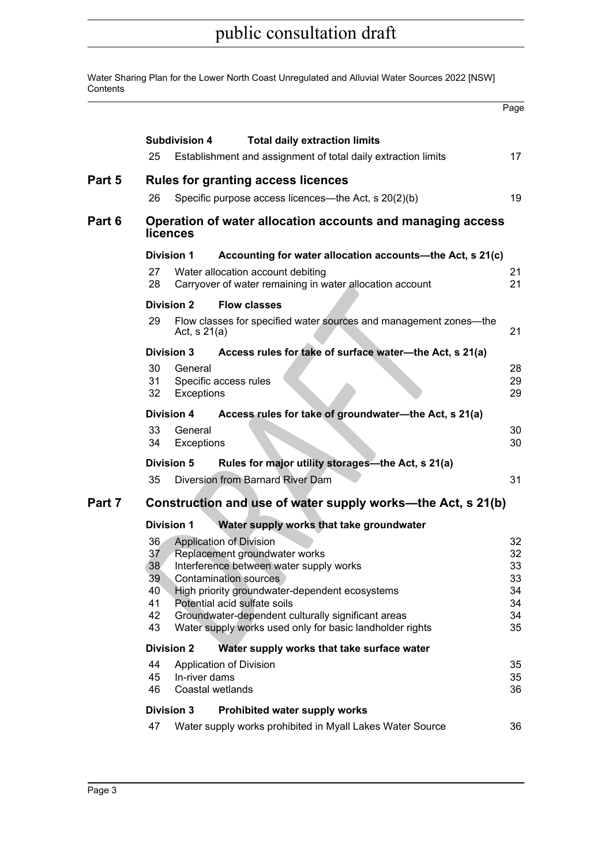Water Sharing Plan for the Lower North Coast Unregulated and Alluvial Water Sources 2022 [NSW] **Contents** 

|        |                                               |                       |                                                                                                                                                                                                                                                                                                                                                | Page                                         |
|--------|-----------------------------------------------|-----------------------|------------------------------------------------------------------------------------------------------------------------------------------------------------------------------------------------------------------------------------------------------------------------------------------------------------------------------------------------|----------------------------------------------|
|        | 25                                            | Subdivision 4         | <b>Total daily extraction limits</b><br>Establishment and assignment of total daily extraction limits                                                                                                                                                                                                                                          | 17 <sub>2</sub>                              |
| Part 5 |                                               |                       |                                                                                                                                                                                                                                                                                                                                                |                                              |
|        | 26                                            |                       | <b>Rules for granting access licences</b><br>Specific purpose access licences—the Act, s 20(2)(b)                                                                                                                                                                                                                                              | 19                                           |
|        |                                               |                       |                                                                                                                                                                                                                                                                                                                                                |                                              |
| Part 6 |                                               | <b>licences</b>       | Operation of water allocation accounts and managing access                                                                                                                                                                                                                                                                                     |                                              |
|        |                                               | Division 1            | Accounting for water allocation accounts-the Act, s 21(c)                                                                                                                                                                                                                                                                                      |                                              |
|        | 27<br>28                                      |                       | Water allocation account debiting<br>Carryover of water remaining in water allocation account                                                                                                                                                                                                                                                  | 21<br>21                                     |
|        |                                               | <b>Division 2</b>     | <b>Flow classes</b>                                                                                                                                                                                                                                                                                                                            |                                              |
|        | 29                                            | Act, $s$ 21(a)        | Flow classes for specified water sources and management zones-the                                                                                                                                                                                                                                                                              | 21                                           |
|        |                                               | <b>Division 3</b>     | Access rules for take of surface water-the Act, s 21(a)                                                                                                                                                                                                                                                                                        |                                              |
|        | 30<br>31<br>32                                | General<br>Exceptions | Specific access rules                                                                                                                                                                                                                                                                                                                          | 28<br>29<br>29                               |
|        |                                               | Division 4            | Access rules for take of groundwater-the Act, s 21(a)                                                                                                                                                                                                                                                                                          |                                              |
|        | 33<br>34                                      | General<br>Exceptions |                                                                                                                                                                                                                                                                                                                                                | 30<br>30                                     |
|        |                                               | Division 5            | Rules for major utility storages-the Act, s 21(a)                                                                                                                                                                                                                                                                                              |                                              |
|        | 35                                            |                       | Diversion from Barnard River Dam                                                                                                                                                                                                                                                                                                               | 31                                           |
| Part 7 |                                               |                       | Construction and use of water supply works—the Act, s 21(b)                                                                                                                                                                                                                                                                                    |                                              |
|        |                                               | <b>Division 1</b>     | Water supply works that take groundwater                                                                                                                                                                                                                                                                                                       |                                              |
|        | 36.<br>37<br>38<br>39<br>40<br>41<br>42<br>43 |                       | <b>Application of Division</b><br>Replacement groundwater works<br>Interference between water supply works<br><b>Contamination sources</b><br>High priority groundwater-dependent ecosystems<br>Potential acid sulfate soils<br>Groundwater-dependent culturally significant areas<br>Water supply works used only for basic landholder rights | 32<br>32<br>33<br>33<br>34<br>34<br>34<br>35 |
|        |                                               | <b>Division 2</b>     | Water supply works that take surface water                                                                                                                                                                                                                                                                                                     |                                              |
|        | 44<br>45<br>46                                | In-river dams         | Application of Division<br>Coastal wetlands                                                                                                                                                                                                                                                                                                    | 35<br>35<br>36                               |
|        |                                               | <b>Division 3</b>     | Prohibited water supply works                                                                                                                                                                                                                                                                                                                  |                                              |
|        | 47                                            |                       | Water supply works prohibited in Myall Lakes Water Source                                                                                                                                                                                                                                                                                      | 36                                           |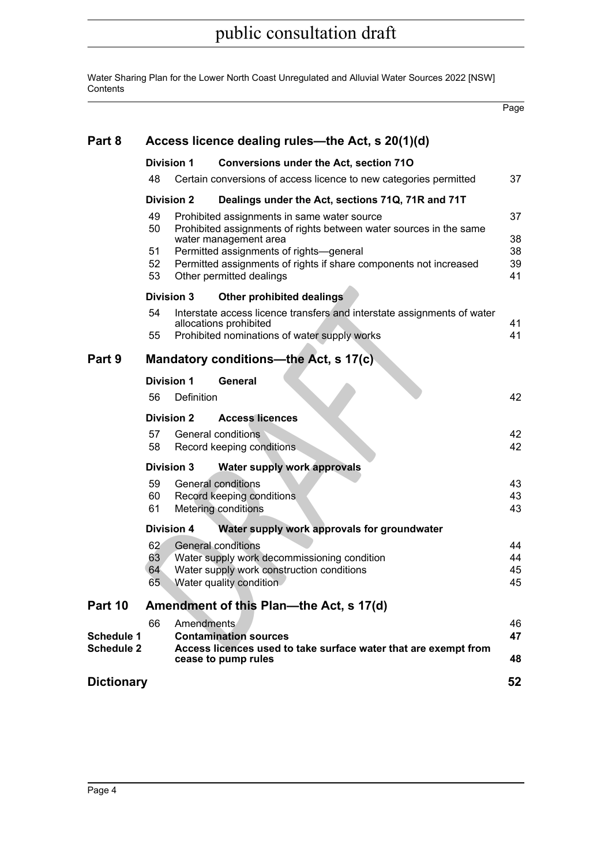Water Sharing Plan for the Lower North Coast Unregulated and Alluvial Water Sources 2022 [NSW] **Contents** 

Page

| Part 8            | Access licence dealing rules—the Act, s 20(1)(d) |                   |                                                                                                                                                                                                                                                                                        |                            |  |  |  |  |
|-------------------|--------------------------------------------------|-------------------|----------------------------------------------------------------------------------------------------------------------------------------------------------------------------------------------------------------------------------------------------------------------------------------|----------------------------|--|--|--|--|
|                   | <b>Division 1</b>                                |                   | <b>Conversions under the Act, section 710</b>                                                                                                                                                                                                                                          |                            |  |  |  |  |
|                   | 48                                               |                   | Certain conversions of access licence to new categories permitted                                                                                                                                                                                                                      | 37                         |  |  |  |  |
|                   | <b>Division 2</b>                                |                   | Dealings under the Act, sections 71Q, 71R and 71T                                                                                                                                                                                                                                      |                            |  |  |  |  |
|                   | 49<br>50<br>51<br>52<br>53                       |                   | Prohibited assignments in same water source<br>Prohibited assignments of rights between water sources in the same<br>water management area<br>Permitted assignments of rights-general<br>Permitted assignments of rights if share components not increased<br>Other permitted dealings | 37<br>38<br>38<br>39<br>41 |  |  |  |  |
|                   |                                                  | <b>Division 3</b> | Other prohibited dealings                                                                                                                                                                                                                                                              |                            |  |  |  |  |
|                   | 54<br>55                                         |                   | Interstate access licence transfers and interstate assignments of water<br>allocations prohibited<br>Prohibited nominations of water supply works                                                                                                                                      | 41<br>41                   |  |  |  |  |
| Part 9            |                                                  |                   | Mandatory conditions—the Act, s 17(c)                                                                                                                                                                                                                                                  |                            |  |  |  |  |
|                   | <b>Division 1</b>                                |                   | General                                                                                                                                                                                                                                                                                |                            |  |  |  |  |
|                   | 56                                               | Definition        |                                                                                                                                                                                                                                                                                        | 42                         |  |  |  |  |
|                   | <b>Division 2</b>                                |                   | <b>Access licences</b>                                                                                                                                                                                                                                                                 |                            |  |  |  |  |
|                   | 57<br>58                                         |                   | General conditions<br>Record keeping conditions.                                                                                                                                                                                                                                       | 42<br>42                   |  |  |  |  |
|                   | <b>Division 3</b>                                |                   | <b>Water supply work approvals</b>                                                                                                                                                                                                                                                     |                            |  |  |  |  |
|                   | 59<br>60<br>61                                   |                   | General conditions<br>Record keeping conditions<br><b>Metering conditions</b>                                                                                                                                                                                                          | 43<br>43<br>43             |  |  |  |  |
|                   | <b>Division 4</b>                                |                   | Water supply work approvals for groundwater                                                                                                                                                                                                                                            |                            |  |  |  |  |
|                   | 62<br>63<br>64<br>65                             |                   | <b>General conditions</b><br>Water supply work decommissioning condition<br>Water supply work construction conditions<br>Water quality condition                                                                                                                                       | 44<br>44<br>45<br>45       |  |  |  |  |
| Part 10           |                                                  |                   | Amendment of this Plan—the Act, s 17(d)                                                                                                                                                                                                                                                |                            |  |  |  |  |
| <b>Schedule 1</b> | 66                                               | Amendments        | <b>Contamination sources</b>                                                                                                                                                                                                                                                           | 46<br>47                   |  |  |  |  |
| <b>Schedule 2</b> |                                                  |                   | Access licences used to take surface water that are exempt from<br>cease to pump rules                                                                                                                                                                                                 | 48                         |  |  |  |  |
| <b>Dictionary</b> |                                                  |                   |                                                                                                                                                                                                                                                                                        | 52                         |  |  |  |  |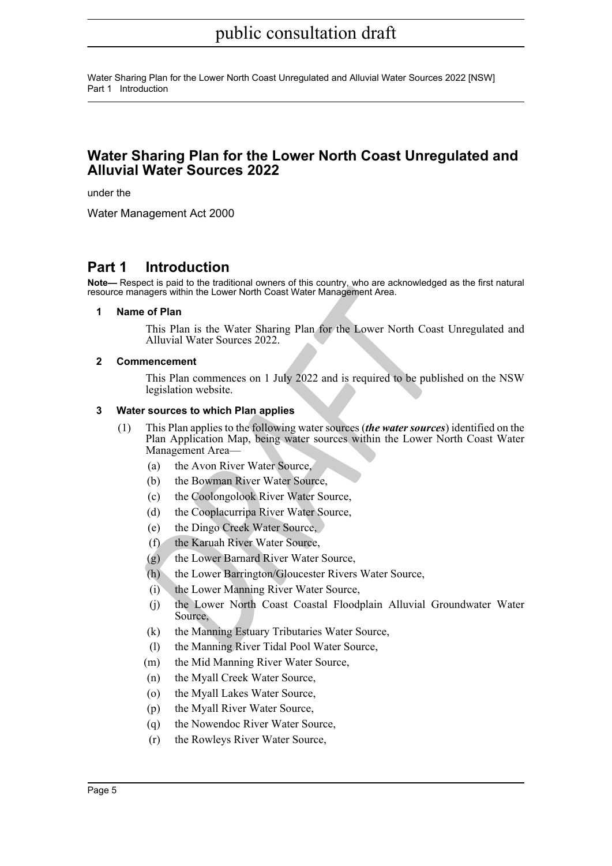Water Sharing Plan for the Lower North Coast Unregulated and Alluvial Water Sources 2022 [NSW] Part 1 Introduction

### **Water Sharing Plan for the Lower North Coast Unregulated and Alluvial Water Sources 2022**

under the

Water Management Act 2000

### <span id="page-4-0"></span>**Part 1 Introduction**

<span id="page-4-1"></span>**Note—** Respect is paid to the traditional owners of this country, who are acknowledged as the first natural resource managers within the Lower North Coast Water Management Area.

#### **1 Name of Plan**

This Plan is the Water Sharing Plan for the Lower North Coast Unregulated and Alluvial Water Sources 2022.

#### <span id="page-4-2"></span>**2 Commencement**

This Plan commences on 1 July 2022 and is required to be published on the NSW legislation website.

#### <span id="page-4-3"></span>**3 Water sources to which Plan applies**

- *Anagers within the Lower North Coast Water Management Area.*<br> **PRAFT** and This Plan is the Water Sharing Plan for the Lower North Coast<br> *Alluvial Water Sources 2022.*<br> **ADRAFTATION** The Lower Morth Coast<br> **PRAFTATION** Th (1) This Plan applies to the following water sources (*the water sources*) identified on the Plan Application Map, being water sources within the Lower North Coast Water Management Area—
	- (a) the Avon River Water Source,
	- (b) the Bowman River Water Source,
	- (c) the Coolongolook River Water Source,
	- (d) the Cooplacurripa River Water Source,
	- (e) the Dingo Creek Water Source,
	- (f) the Karuah River Water Source,
	- (g) the Lower Barnard River Water Source,
	- (h) the Lower Barrington/Gloucester Rivers Water Source,
	- (i) the Lower Manning River Water Source,
	- (j) the Lower North Coast Coastal Floodplain Alluvial Groundwater Water Source,
	- (k) the Manning Estuary Tributaries Water Source,
	- (l) the Manning River Tidal Pool Water Source,
	- (m) the Mid Manning River Water Source,
	- (n) the Myall Creek Water Source,
	- (o) the Myall Lakes Water Source,
	- (p) the Myall River Water Source,
	- (q) the Nowendoc River Water Source,
	- (r) the Rowleys River Water Source,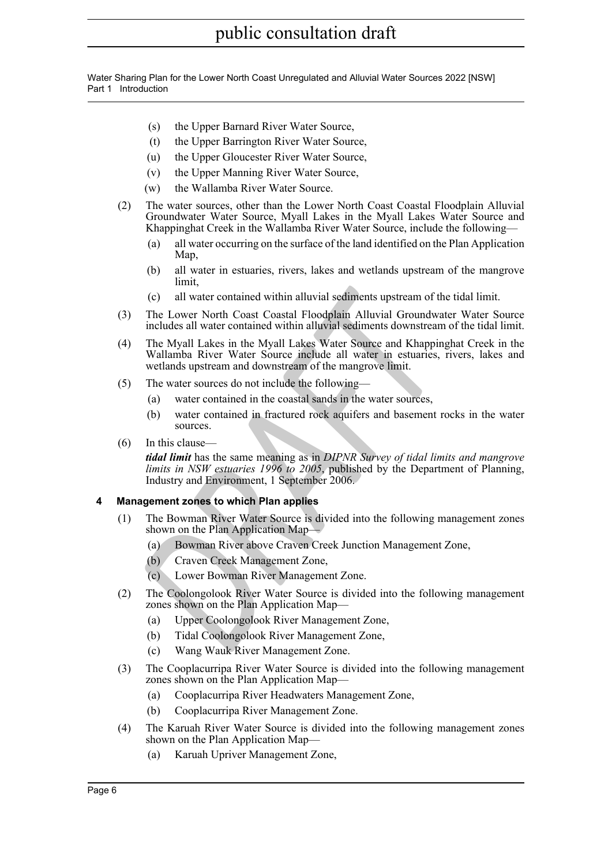Water Sharing Plan for the Lower North Coast Unregulated and Alluvial Water Sources 2022 [NSW] Part 1 Introduction

- (s) the Upper Barnard River Water Source,
- (t) the Upper Barrington River Water Source,
- (u) the Upper Gloucester River Water Source,
- (v) the Upper Manning River Water Source,
- (w) the Wallamba River Water Source.
- (2) The water sources, other than the Lower North Coast Coastal Floodplain Alluvial Groundwater Water Source, Myall Lakes in the Myall Lakes Water Source and Khappinghat Creek in the Wallamba River Water Source, include the following—
	- (a) all water occurring on the surface of the land identified on the Plan Application Map,
	- (b) all water in estuaries, rivers, lakes and wetlands upstream of the mangrove limit,
	- (c) all water contained within alluvial sediments upstream of the tidal limit.
- (3) The Lower North Coast Coastal Floodplain Alluvial Groundwater Water Source includes all water contained within alluvial sediments downstream of the tidal limit.
- (c) all water contained within alluvial sediments upstream of the<br>The Lower North Coast Coastal Floodplain Alluvial Groundwat<br>includes all water contained within alluvial sediments downstream<br>The Myall Lakes in the Myall L (4) The Myall Lakes in the Myall Lakes Water Source and Khappinghat Creek in the Wallamba River Water Source include all water in estuaries, rivers, lakes and wetlands upstream and downstream of the mangrove limit.
- (5) The water sources do not include the following—
	- (a) water contained in the coastal sands in the water sources,
	- (b) water contained in fractured rock aquifers and basement rocks in the water sources.
- (6) In this clause—

*tidal limit* has the same meaning as in *DIPNR Survey of tidal limits and mangrove limits in NSW estuaries 1996 to 2005*, published by the Department of Planning, Industry and Environment, 1 September 2006.

### <span id="page-5-0"></span>**4 Management zones to which Plan applies**

- (1) The Bowman River Water Source is divided into the following management zones shown on the Plan Application Map—
	- (a) Bowman River above Craven Creek Junction Management Zone,
	- (b) Craven Creek Management Zone,
	- (c) Lower Bowman River Management Zone.
- (2) The Coolongolook River Water Source is divided into the following management zones shown on the Plan Application Map—
	- (a) Upper Coolongolook River Management Zone,
	- (b) Tidal Coolongolook River Management Zone,
	- (c) Wang Wauk River Management Zone.
- (3) The Cooplacurripa River Water Source is divided into the following management zones shown on the Plan Application Map—
	- (a) Cooplacurripa River Headwaters Management Zone,
	- (b) Cooplacurripa River Management Zone.
- (4) The Karuah River Water Source is divided into the following management zones shown on the Plan Application Map—
	- (a) Karuah Upriver Management Zone,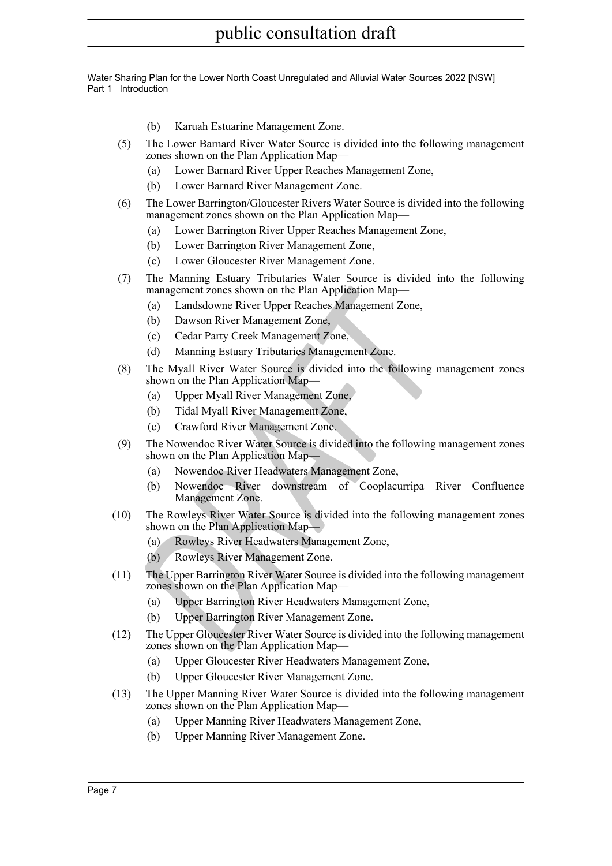Water Sharing Plan for the Lower North Coast Unregulated and Alluvial Water Sources 2022 [NSW] Part 1 Introduction

- (b) Karuah Estuarine Management Zone.
- (5) The Lower Barnard River Water Source is divided into the following management zones shown on the Plan Application Map—
	- (a) Lower Barnard River Upper Reaches Management Zone,
	- (b) Lower Barnard River Management Zone.
- (6) The Lower Barrington/Gloucester Rivers Water Source is divided into the following management zones shown on the Plan Application Map—
	- (a) Lower Barrington River Upper Reaches Management Zone,
	- (b) Lower Barrington River Management Zone,
	- (c) Lower Gloucester River Management Zone.
- (7) The Manning Estuary Tributaries Water Source is divided into the following management zones shown on the Plan Application Map—
	- (a) Landsdowne River Upper Reaches Management Zone,
	- (b) Dawson River Management Zone,
	- (c) Cedar Party Creek Management Zone,
	- (d) Manning Estuary Tributaries Management Zone.
- management zones shown on the Plan Application Map—<br>
(a) Landsdowne River Upper Reaches Management Zone,<br>
(b) Dawson River Management Zone,<br>
(c) Cedar Party Creek Management Zone,<br>
(d) Manning Estuary Tributaries Managemen (8) The Myall River Water Source is divided into the following management zones shown on the Plan Application Map-
	- (a) Upper Myall River Management Zone,
	- (b) Tidal Myall River Management Zone,
	- (c) Crawford River Management Zone.
- (9) The Nowendoc River Water Source is divided into the following management zones shown on the Plan Application Map—
	- (a) Nowendoc River Headwaters Management Zone,
	- (b) Nowendoc River downstream of Cooplacurripa River Confluence Management Zone.
- (10) The Rowleys River Water Source is divided into the following management zones shown on the Plan Application Map—
	- (a) Rowleys River Headwaters Management Zone,
	- (b) Rowleys River Management Zone.
- (11) The Upper Barrington River Water Source is divided into the following management zones shown on the Plan Application Map—
	- (a) Upper Barrington River Headwaters Management Zone,
	- (b) Upper Barrington River Management Zone.
- (12) The Upper Gloucester River Water Source is divided into the following management zones shown on the Plan Application Map—
	- (a) Upper Gloucester River Headwaters Management Zone,
	- (b) Upper Gloucester River Management Zone.
- (13) The Upper Manning River Water Source is divided into the following management zones shown on the Plan Application Map—
	- (a) Upper Manning River Headwaters Management Zone,
	- (b) Upper Manning River Management Zone.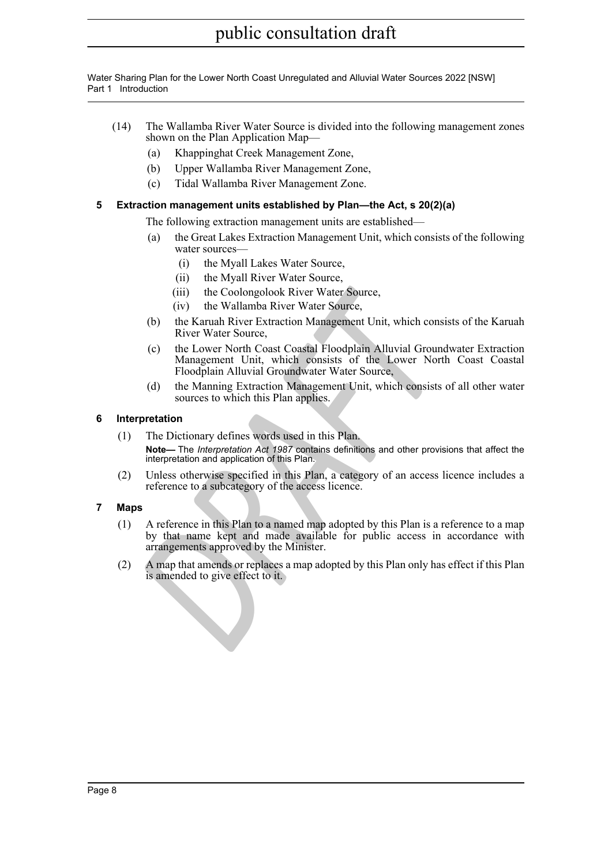Water Sharing Plan for the Lower North Coast Unregulated and Alluvial Water Sources 2022 [NSW] Part 1 Introduction

- (14) The Wallamba River Water Source is divided into the following management zones shown on the Plan Application Map—
	- (a) Khappinghat Creek Management Zone,
	- (b) Upper Wallamba River Management Zone,
	- (c) Tidal Wallamba River Management Zone.

### <span id="page-7-0"></span>**5 Extraction management units established by Plan—the Act, s 20(2)(a)**

The following extraction management units are established—

- (a) the Great Lakes Extraction Management Unit, which consists of the following water sources—
	- (i) the Myall Lakes Water Source,
	- (ii) the Myall River Water Source,
	- (iii) the Coolongolook River Water Source,
	- (iv) the Wallamba River Water Source,
- (b) the Karuah River Extraction Management Unit, which consists of the Karuah River Water Source,
- (c) the Lower North Coast Coastal Floodplain Alluvial Groundwater Extraction Management Unit, which consists of the Lower North Coast Coastal Floodplain Alluvial Groundwater Water Source,
- (d) the Manning Extraction Management Unit, which consists of all other water sources to which this Plan applies.

### <span id="page-7-1"></span>**6 Interpretation**

- (iii) the Coolongolook River Water Source,<br>
(iv) the Wallamba River Water Source,<br>
(b) the Karuah River Extraction Management Unit, which consisted the Karuah River Extraction Management Unit, which consists of the Lower N (1) The Dictionary defines words used in this Plan. **Note—** The *Interpretation Act 1987* contains definitions and other provisions that affect the interpretation and application of this Plan.
- (2) Unless otherwise specified in this Plan, a category of an access licence includes a reference to a subcategory of the access licence.

### <span id="page-7-2"></span>**7 Maps**

- (1) A reference in this Plan to a named map adopted by this Plan is a reference to a map by that name kept and made available for public access in accordance with arrangements approved by the Minister.
- (2) A map that amends or replaces a map adopted by this Plan only has effect if this Plan is amended to give effect to it.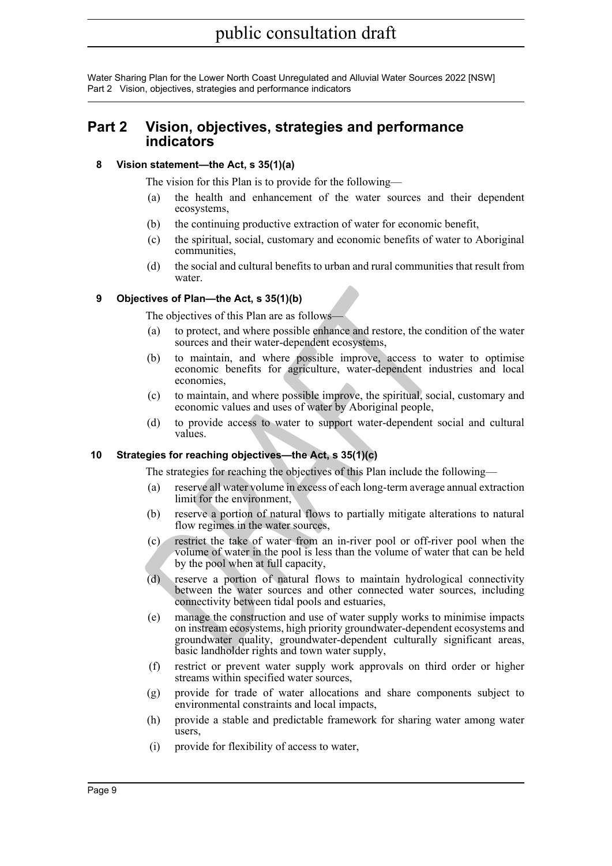Water Sharing Plan for the Lower North Coast Unregulated and Alluvial Water Sources 2022 [NSW] Part 2 Vision, objectives, strategies and performance indicators

### <span id="page-8-0"></span>**Part 2 Vision, objectives, strategies and performance indicators**

### <span id="page-8-1"></span>**8 Vision statement—the Act, s 35(1)(a)**

The vision for this Plan is to provide for the following—

- (a) the health and enhancement of the water sources and their dependent ecosystems,
- (b) the continuing productive extraction of water for economic benefit,
- (c) the spiritual, social, customary and economic benefits of water to Aboriginal communities,
- (d) the social and cultural benefits to urban and rural communities that result from water.

### <span id="page-8-2"></span>**9 Objectives of Plan—the Act, s 35(1)(b)**

The objectives of this Plan are as follows-

- (a) to protect, and where possible enhance and restore, the condition of the water sources and their water-dependent ecosystems,
- (b) to maintain, and where possible improve, access to water to optimise economic benefits for agriculture, water-dependent industries and local economies,
- (c) to maintain, and where possible improve, the spiritual, social, customary and economic values and uses of water by Aboriginal people,
- (d) to provide access to water to support water-dependent social and cultural values.

### <span id="page-8-3"></span>**10 Strategies for reaching objectives—the Act, s 35(1)(c)**

The strategies for reaching the objectives of this Plan include the following—

- (a) reserve all water volume in excess of each long-term average annual extraction limit for the environment,
- (b) reserve a portion of natural flows to partially mitigate alterations to natural flow regimes in the water sources,
- (c) restrict the take of water from an in-river pool or off-river pool when the volume of water in the pool is less than the volume of water that can be held by the pool when at full capacity,
- (d) reserve a portion of natural flows to maintain hydrological connectivity between the water sources and other connected water sources, including connectivity between tidal pools and estuaries,
- **Example 10** and where possible enhance and restore, the conditionary and their matter dependent cosystems,<br>
(b) to protect, and where possible enhance and restore, the condition sources and their water-dependent ecosystem (e) manage the construction and use of water supply works to minimise impacts on instream ecosystems, high priority groundwater-dependent ecosystems and groundwater quality, groundwater-dependent culturally significant areas, basic landholder rights and town water supply,
	- (f) restrict or prevent water supply work approvals on third order or higher streams within specified water sources,
	- (g) provide for trade of water allocations and share components subject to environmental constraints and local impacts,
	- (h) provide a stable and predictable framework for sharing water among water users,
	- (i) provide for flexibility of access to water,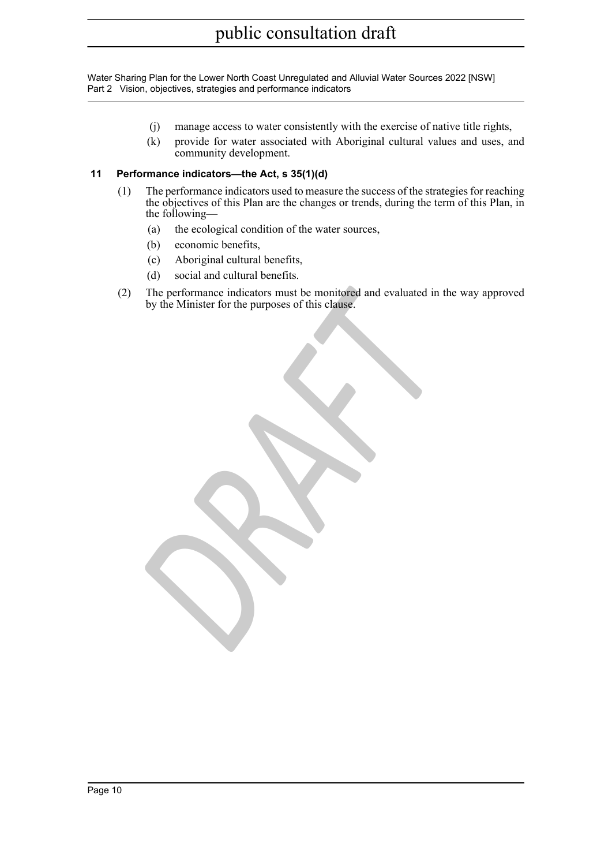Water Sharing Plan for the Lower North Coast Unregulated and Alluvial Water Sources 2022 [NSW] Part 2 Vision, objectives, strategies and performance indicators

- (j) manage access to water consistently with the exercise of native title rights,
- (k) provide for water associated with Aboriginal cultural values and uses, and community development.

### <span id="page-9-0"></span>**11 Performance indicators—the Act, s 35(1)(d)**

- (1) The performance indicators used to measure the success of the strategies for reaching the objectives of this Plan are the changes or trends, during the term of this Plan, in the following—
	- (a) the ecological condition of the water sources,
	- (b) economic benefits,
	- (c) Aboriginal cultural benefits,
	- (d) social and cultural benefits.
- The performance indicators must be monitored and evaluated in the by the Minister for the purposes of this clause. (2) The performance indicators must be monitored and evaluated in the way approved by the Minister for the purposes of this clause.

Page 10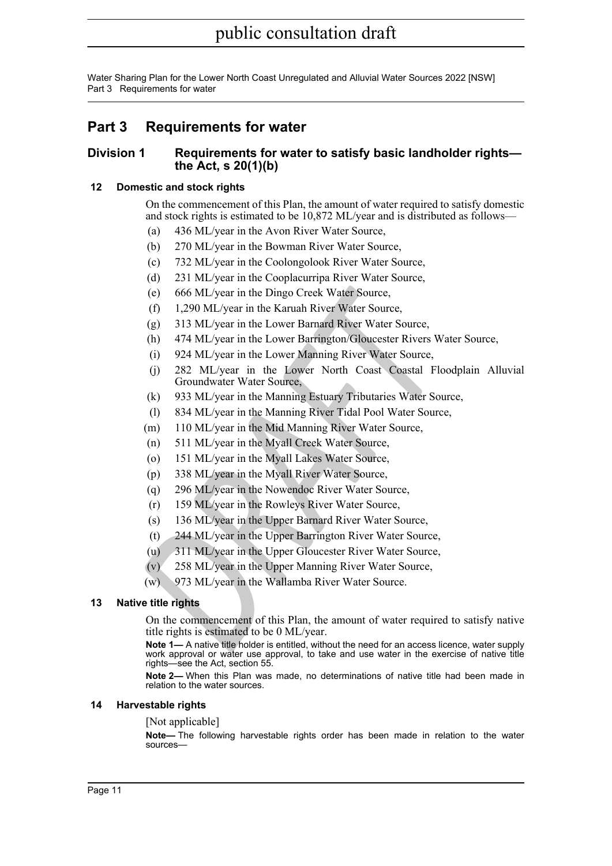Water Sharing Plan for the Lower North Coast Unregulated and Alluvial Water Sources 2022 [NSW] Part 3 Requirements for water

### <span id="page-10-0"></span>**Part 3 Requirements for water**

### <span id="page-10-1"></span>**Division 1 Requirements for water to satisfy basic landholder rights the Act, s 20(1)(b)**

### <span id="page-10-2"></span>**12 Domestic and stock rights**

On the commencement of this Plan, the amount of water required to satisfy domestic and stock rights is estimated to be 10,872 ML/year and is distributed as follows—

- (a) 436 ML/year in the Avon River Water Source,
- (b) 270 ML/year in the Bowman River Water Source,
- (c) 732 ML/year in the Coolongolook River Water Source,
- (d) 231 ML/year in the Cooplacurripa River Water Source,
- (e) 666 ML/year in the Dingo Creek Water Source,
- (f) 1,290 ML/year in the Karuah River Water Source,
- (g) 313 ML/year in the Lower Barnard River Water Source,
- (h) 474 ML/year in the Lower Barrington/Gloucester Rivers Water Source,
- (i) 924 ML/year in the Lower Manning River Water Source,
- (e) 666 ML/year in the Dingo Creek Water Source,<br>
(f) 1,290 ML/year in the Karuah River Water Source,<br>
(g) 313 ML/year in the Lower Barrington Glouesetr Rivers Water<br>
(h) 474 ML/year in the Lower Barrington Glouesetr River (j) 282 ML/year in the Lower North Coast Coastal Floodplain Alluvial Groundwater Water Source,
	- (k) 933 ML/year in the Manning Estuary Tributaries Water Source,
	- (l) 834 ML/year in the Manning River Tidal Pool Water Source,
	- (m) 110 ML/year in the Mid Manning River Water Source,
	- (n) 511 ML/year in the Myall Creek Water Source,
	- (o) 151 ML/year in the Myall Lakes Water Source,
	- (p) 338 ML/year in the Myall River Water Source,
	- (q) 296 ML/year in the Nowendoc River Water Source,
	- (r) 159 ML/year in the Rowleys River Water Source,
	- (s) 136 ML/year in the Upper Barnard River Water Source,
	- (t) 244 ML/year in the Upper Barrington River Water Source,
	- (u) 311 ML/year in the Upper Gloucester River Water Source,
	- (v) 258 ML/year in the Upper Manning River Water Source,
	- (w) 973 ML/year in the Wallamba River Water Source.

### <span id="page-10-3"></span>**13 Native title rights**

On the commencement of this Plan, the amount of water required to satisfy native title rights is estimated to be 0 ML/year.

**Note 1—** A native title holder is entitled, without the need for an access licence, water supply work approval or water use approval, to take and use water in the exercise of native title rights—see the Act, section 55.

**Note 2—** When this Plan was made, no determinations of native title had been made in relation to the water sources.

### <span id="page-10-4"></span>**14 Harvestable rights**

### [Not applicable]

**Note—** The following harvestable rights order has been made in relation to the water sources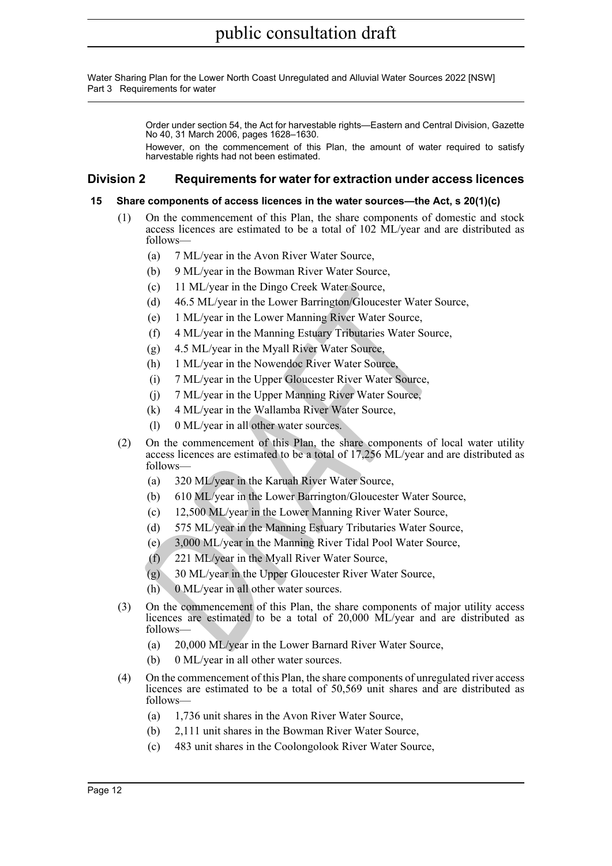Water Sharing Plan for the Lower North Coast Unregulated and Alluvial Water Sources 2022 [NSW] Part 3 Requirements for water

> Order under section 54, the Act for harvestable rights—Eastern and Central Division, Gazette No 40, 31 March 2006, pages 1628–1630.

> However, on the commencement of this Plan, the amount of water required to satisfy harvestable rights had not been estimated.

### <span id="page-11-0"></span>**Division 2 Requirements for water for extraction under access licences**

### <span id="page-11-1"></span>**15 Share components of access licences in the water sources—the Act, s 20(1)(c)**

- (1) On the commencement of this Plan, the share components of domestic and stock access licences are estimated to be a total of 102 ML/year and are distributed as follows—
	- (a) 7 ML/year in the Avon River Water Source,
	- (b) 9 ML/year in the Bowman River Water Source,
	- (c) 11 ML/year in the Dingo Creek Water Source,
	- (d) 46.5 ML/year in the Lower Barrington/Gloucester Water Source,
	- (e) 1 ML/year in the Lower Manning River Water Source,
	- (f) 4 ML/year in the Manning Estuary Tributaries Water Source,
	- (g) 4.5 ML/year in the Myall River Water Source,
	- (h) 1 ML/year in the Nowendoc River Water Source,
	- (i) 7 ML/year in the Upper Gloucester River Water Source,
	- (j) 7 ML/year in the Upper Manning River Water Source,
	- (k) 4 ML/year in the Wallamba River Water Source,
	- (l) 0 ML/year in all other water sources.
- (c) 11 ML/year in the Dingo Creek Water Source,<br>
(d) 46.5 ML/year in the Lower Barrington/Gloueseter Water Sou<br>
(e) 1 ML/year in the Lower Barring River Water Source,<br>
(f) 4 ML/year in the Maming Estuary Tributaries Water (2) On the commencement of this Plan, the share components of local water utility access licences are estimated to be a total of 17,256 ML/year and are distributed as follows—
	- (a) 320 ML/year in the Karuah River Water Source,
	- (b) 610 ML/year in the Lower Barrington/Gloucester Water Source,
	- (c) 12,500 ML/year in the Lower Manning River Water Source,
	- (d) 575 ML/year in the Manning Estuary Tributaries Water Source,
	- (e) 3,000 ML/year in the Manning River Tidal Pool Water Source,
	- (f) 221 ML/year in the Myall River Water Source,
	- (g) 30 ML/year in the Upper Gloucester River Water Source,
	- (h) 0 ML/year in all other water sources.
- (3) On the commencement of this Plan, the share components of major utility access licences are estimated to be a total of 20,000 ML/year and are distributed as follows—
	- (a) 20,000 ML/year in the Lower Barnard River Water Source,
	- (b) 0 ML/year in all other water sources.
- (4) On the commencement of this Plan, the share components of unregulated river access licences are estimated to be a total of 50,569 unit shares and are distributed as follows—
	- (a) 1,736 unit shares in the Avon River Water Source,
	- (b) 2,111 unit shares in the Bowman River Water Source,
	- (c) 483 unit shares in the Coolongolook River Water Source,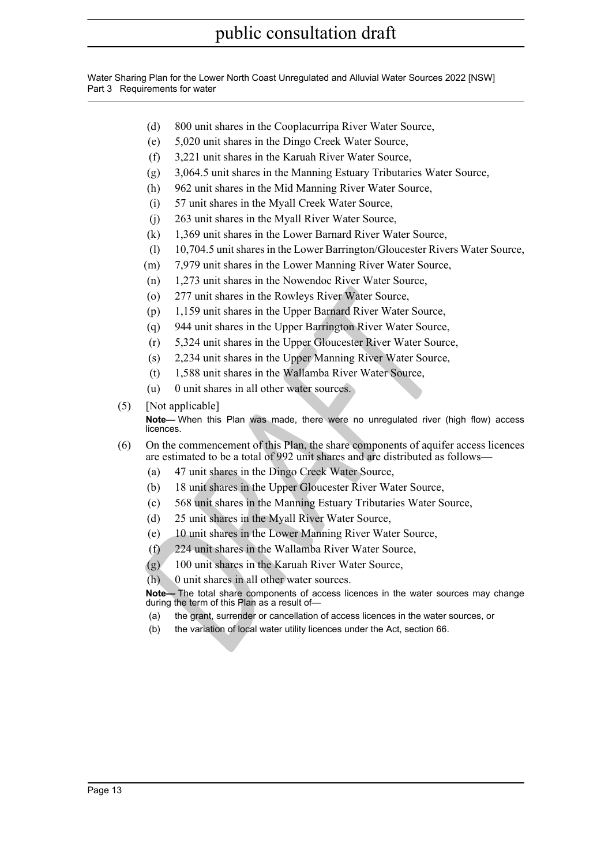Water Sharing Plan for the Lower North Coast Unregulated and Alluvial Water Sources 2022 [NSW] Part 3 Requirements for water

- (d) 800 unit shares in the Cooplacurripa River Water Source,
- (e) 5,020 unit shares in the Dingo Creek Water Source,
- (f) 3,221 unit shares in the Karuah River Water Source,
- (g) 3,064.5 unit shares in the Manning Estuary Tributaries Water Source,
- (h) 962 unit shares in the Mid Manning River Water Source,
- (i) 57 unit shares in the Myall Creek Water Source,
- (j) 263 unit shares in the Myall River Water Source,
- (k) 1,369 unit shares in the Lower Barnard River Water Source,
- (l) 10,704.5 unit shares in the Lower Barrington/Gloucester Rivers Water Source,
- (m) 7,979 unit shares in the Lower Manning River Water Source,
- (n) 1,273 unit shares in the Nowendoc River Water Source,
- (o) 277 unit shares in the Rowleys River Water Source,
- (p) 1,159 unit shares in the Upper Barnard River Water Source,
- (q) 944 unit shares in the Upper Barrington River Water Source,
- (r) 5,324 unit shares in the Upper Gloucester River Water Source,
- (s) 2,234 unit shares in the Upper Manning River Water Source,
- (t) 1,588 unit shares in the Wallamba River Water Source,
- (u) 0 unit shares in all other water sources.
- (5) [Not applicable]

(o) 277 unit shares in the Rowleys River Water Source,<br>
(p) 1,159 unit shares in the Upper Barnard River Water Source,<br>
(q) 944 unit shares in the Upper Barnard River Water Source,<br>
(r) 5,324 unit shares in the Upper Glouc **Note—** When this Plan was made, there were no unregulated river (high flow) access licences.

- (6) On the commencement of this Plan, the share components of aquifer access licences are estimated to be a total of 992 unit shares and are distributed as follows—
	- (a) 47 unit shares in the Dingo Creek Water Source,
	- (b) 18 unit shares in the Upper Gloucester River Water Source,
	- (c) 568 unit shares in the Manning Estuary Tributaries Water Source,
	- (d) 25 unit shares in the Myall River Water Source,
	- (e) 10 unit shares in the Lower Manning River Water Source,
	- (f) 224 unit shares in the Wallamba River Water Source,
	- (g) 100 unit shares in the Karuah River Water Source,
	- (h) 0 unit shares in all other water sources.

**Note—** The total share components of access licences in the water sources may change during the term of this Plan as a result of—

- (a) the grant, surrender or cancellation of access licences in the water sources, or
- (b) the variation of local water utility licences under the Act, section 66.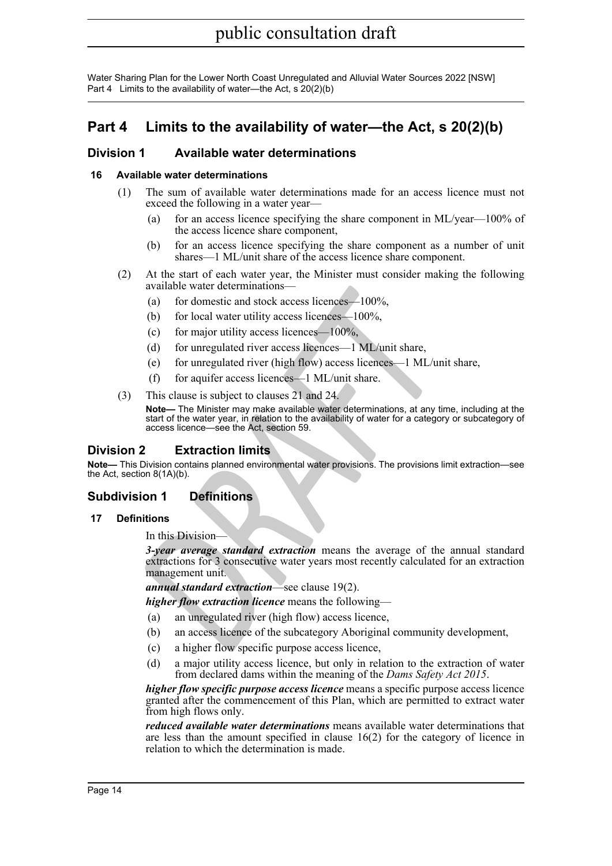### <span id="page-13-0"></span>**Part 4 Limits to the availability of water—the Act, s 20(2)(b)**

### <span id="page-13-1"></span>**Division 1 Available water determinations**

### <span id="page-13-2"></span>**16 Available water determinations**

- (1) The sum of available water determinations made for an access licence must not exceed the following in a water year—
	- (a) for an access licence specifying the share component in ML/year—100% of the access licence share component,
	- (b) for an access licence specifying the share component as a number of unit shares—1 ML/unit share of the access licence share component.
- (2) At the start of each water year, the Minister must consider making the following available water determinations—
	- (a) for domestic and stock access licences—100%,
	- (b) for local water utility access licences—100%,
	- (c) for major utility access licences— $100\%$ ,
	- (d) for unregulated river access licences—1 ML/unit share,
	- (e) for unregulated river (high flow) access licences—1 ML/unit share,
	- (f) for aquifer access licences—1 ML/unit share.
- (3) This clause is subject to clauses 21 and 24.

**Note—** The Minister may make available water determinations, at any time, including at the start of the water year, in relation to the availability of water for a category or subcategory of access licence—see the Act, section 59.

### <span id="page-13-3"></span>**Division 2 Extraction limits**

**Note—** This Division contains planned environmental water provisions. The provisions limit extraction—see the Act, section 8(1A)(b).

### <span id="page-13-4"></span>**Subdivision 1 Definitions**

### <span id="page-13-5"></span>**17 Definitions**

In this Division

available water determinations—<br>
(a) for domestic and stock access licences—100%,<br>
(b) for local water utility access licences—100%,<br>
(c) for major utility access licences—100%,<br>
(d) for unregulated river access licences—1 *3-year average standard extraction* means the average of the annual standard extractions for 3 consecutive water years most recently calculated for an extraction management unit.

*annual standard extraction*—see clause 19(2).

*higher flow extraction licence* means the following—

- (a) an unregulated river (high flow) access licence,
- (b) an access licence of the subcategory Aboriginal community development,
- (c) a higher flow specific purpose access licence,
- (d) a major utility access licence, but only in relation to the extraction of water from declared dams within the meaning of the *Dams Safety Act 2015* .

*higher flow specific purpose access licence* means a specific purpose access licence granted after the commencement of this Plan, which are permitted to extract water from high flows only.

*reduced available water determinations* means available water determinations that are less than the amount specified in clause 16(2) for the category of licence in relation to which the determination is made.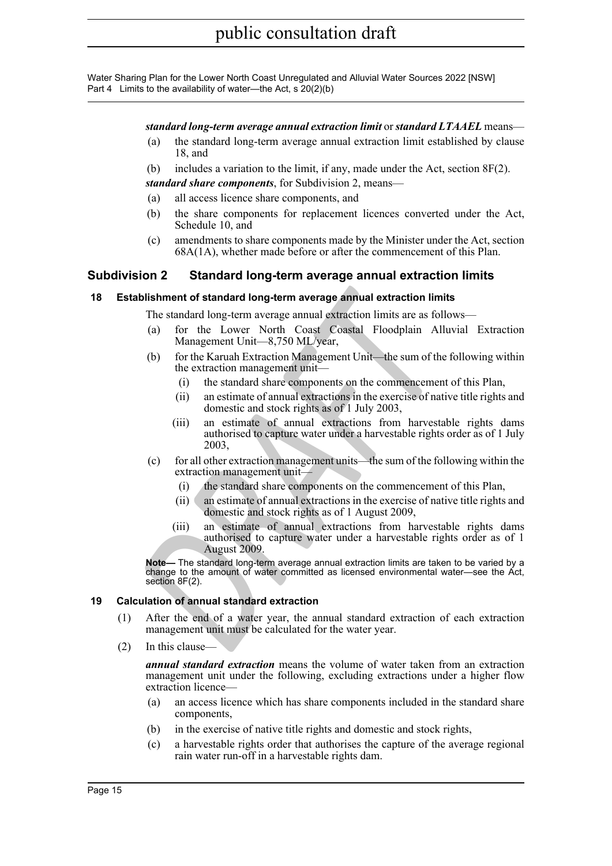#### *standard long-term average annual extraction limit* or *standard LTAAEL* means—

- (a) the standard long-term average annual extraction limit established by clause 18, and
- (b) includes a variation to the limit, if any, made under the Act, section 8F(2).

*standard share components*, for Subdivision 2, means—

- (a) all access licence share components, and
- (b) the share components for replacement licences converted under the Act, Schedule 10, and
- (c) amendments to share components made by the Minister under the Act, section 68A(1A), whether made before or after the commencement of this Plan.

### <span id="page-14-0"></span>**Subdivision 2 Standard long-term average annual extraction limits**

#### <span id="page-14-1"></span>**18 Establishment of standard long-term average annual extraction limits**

The standard long-term average annual extraction limits are as follows—

- (a) for the Lower North Coast Coastal Floodplain Alluvial Extraction Management Unit—8,750 ML/year,
- (b) for the Karuah Extraction Management Unit—the sum of the following within the extraction management unit—
	- (i) the standard share components on the commencement of this Plan,
	- (ii) an estimate of annual extractions in the exercise of native title rights and domestic and stock rights as of 1 July 2003,
	- (iii) an estimate of annual extractions from harvestable rights dams authorised to capture water under a harvestable rights order as of 1 July 2003,
- (c) for all other extraction management units—the sum of the following within the extraction management unit—
	- (i) the standard share components on the commencement of this Plan,
	- (ii) an estimate of annual extractions in the exercise of native title rights and domestic and stock rights as of 1 August 2009,
- **ablishment of standard long-term average annual extraction limit<br>
The standard long-term average annual extraction limits are as foll<br>
(a) for the Lower North Coast Coastal Floodplain Allt<br>
Management Unit—8,750 ML/year,<br>** (iii) an estimate of annual extractions from harvestable rights dams authorised to capture water under a harvestable rights order as of 1 August 2009.

**Note—** The standard long-term average annual extraction limits are taken to be varied by a change to the amount of water committed as licensed environmental water—see the Act, section 8F(2).

### <span id="page-14-2"></span>**19 Calculation of annual standard extraction**

- (1) After the end of a water year, the annual standard extraction of each extraction management unit must be calculated for the water year.
- (2) In this clause—

*annual standard extraction* means the volume of water taken from an extraction management unit under the following, excluding extractions under a higher flow extraction licence—

- (a) an access licence which has share components included in the standard share components,
- (b) in the exercise of native title rights and domestic and stock rights,
- (c) a harvestable rights order that authorises the capture of the average regional rain water run-off in a harvestable rights dam.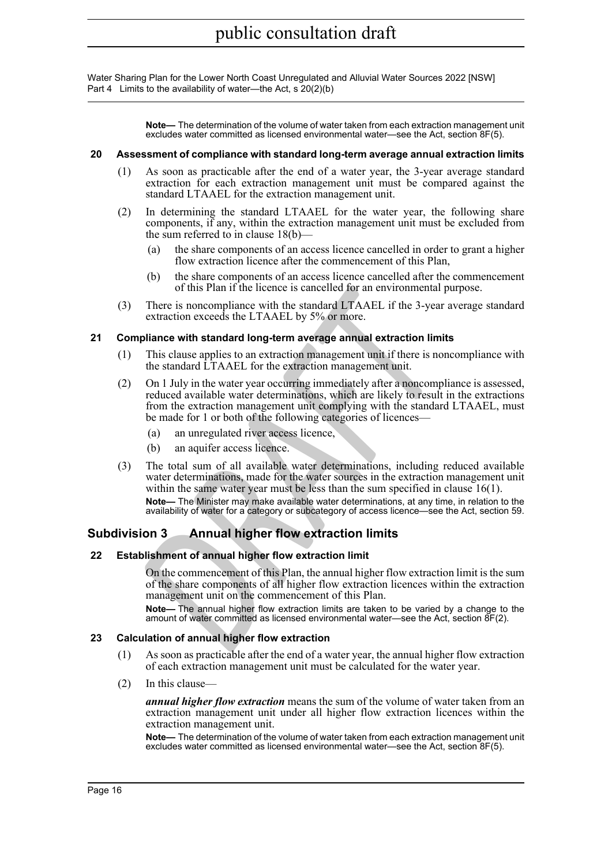> **Note—** The determination of the volume of water taken from each extraction management unit excludes water committed as licensed environmental water—see the Act, section 8F(5).

#### <span id="page-15-0"></span>**20 Assessment of compliance with standard long-term average annual extraction limits**

- (1) As soon as practicable after the end of a water year, the 3-year average standard extraction for each extraction management unit must be compared against the standard LTAAEL for the extraction management unit.
- (2) In determining the standard LTAAEL for the water year, the following share components, if any, within the extraction management unit must be excluded from the sum referred to in clause 18(b)—
	- (a) the share components of an access licence cancelled in order to grant a higher flow extraction licence after the commencement of this Plan,
	- (b) the share components of an access licence cancelled after the commencement of this Plan if the licence is cancelled for an environmental purpose.
- (3) There is noncompliance with the standard LTAAEL if the 3-year average standard extraction exceeds the LTAAEL by 5% or more.

### <span id="page-15-1"></span>**21 Compliance with standard long-term average annual extraction limits**

- (1) This clause applies to an extraction management unit if there is noncompliance with the standard LTAAEL for the extraction management unit.
- of this Plan if the licence is cancelled for an environmental p<br>There is noncompliance with the standard LTAAEL of S<sup>2</sup>% or more.<br>extraction exceeds the LTAAEL by S<sup>2</sup>% or more.<br>**properties and the standard long-term avera** (2) On 1 July in the water year occurring immediately after a noncompliance is assessed, reduced available water determinations, which are likely to result in the extractions from the extraction management unit complying with the standard LTAAEL, must be made for 1 or both of the following categories of licences—
	- (a) an unregulated river access licence,
	- (b) an aquifer access licence.
- (3) The total sum of all available water determinations, including reduced available water determinations, made for the water sources in the extraction management unit within the same water year must be less than the sum specified in clause 16(1).

**Note—** The Minister may make available water determinations, at any time, in relation to the availability of water for a category or subcategory of access licence—see the Act, section 59.

### <span id="page-15-2"></span>**Subdivision 3 Annual higher flow extraction limits**

### <span id="page-15-3"></span>**22 Establishment of annual higher flow extraction limit**

On the commencement of this Plan, the annual higher flow extraction limit is the sum of the share components of all higher flow extraction licences within the extraction management unit on the commencement of this Plan.

**Note—** The annual higher flow extraction limits are taken to be varied by a change to the amount of water committed as licensed environmental water—see the Act, section 8F(2).

### <span id="page-15-4"></span>**23 Calculation of annual higher flow extraction**

- (1) As soon as practicable after the end of a water year, the annual higher flow extraction of each extraction management unit must be calculated for the water year.
- (2) In this clause—

*annual higher flow extraction* means the sum of the volume of water taken from an extraction management unit under all higher flow extraction licences within the extraction management unit.

**Note—** The determination of the volume of water taken from each extraction management unit excludes water committed as licensed environmental water—see the Act, section 8F(5).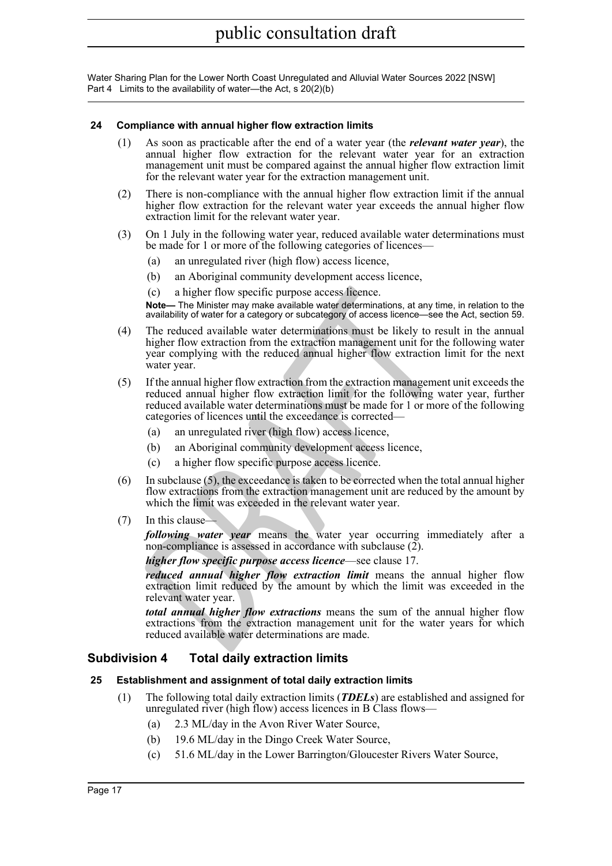#### <span id="page-16-0"></span>**24 Compliance with annual higher flow extraction limits**

- (1) As soon as practicable after the end of a water year (the *relevant water year*), the annual higher flow extraction for the relevant water year for an extraction management unit must be compared against the annual higher flow extraction limit for the relevant water year for the extraction management unit.
- (2) There is non-compliance with the annual higher flow extraction limit if the annual higher flow extraction for the relevant water year exceeds the annual higher flow extraction limit for the relevant water year.
- (3) On 1 July in the following water year, reduced available water determinations must be made for 1 or more of the following categories of licences—
	- (a) an unregulated river (high flow) access licence,
	- (b) an Aboriginal community development access licence,
	- (c) a higher flow specific purpose access licence.

**Note—** The Minister may make available water determinations, at any time, in relation to the availability of water for a category or subcategory of access licence—see the Act, section 59.

- (4) The reduced available water determinations must be likely to result in the annual higher flow extraction from the extraction management unit for the following water year complying with the reduced annual higher flow extraction limit for the next water year.
- (c) a higher flow specific purpose access fieence.<br> **Note—**The Minister may make available water determinations, at any time<br> **Notel—The** Minister may make available water determinations, at any time<br>  $\alpha$  valuability of (5) If the annual higher flow extraction from the extraction management unit exceeds the reduced annual higher flow extraction limit for the following water year, further reduced available water determinations must be made for 1 or more of the following categories of licences until the exceedance is corrected—
	- (a) an unregulated river (high flow) access licence,
	- (b) an Aboriginal community development access licence,
	- (c) a higher flow specific purpose access licence.
- (6) In subclause  $(5)$ , the exceedance is taken to be corrected when the total annual higher flow extractions from the extraction management unit are reduced by the amount by which the limit was exceeded in the relevant water year.
- (7) In this clause—

*following water year* means the water year occurring immediately after a non-compliance is assessed in accordance with subclause  $(2)$ .

*higher flow specific purpose access licence*—see clause 17.

*reduced annual higher flow extraction limit* means the annual higher flow extraction limit reduced by the amount by which the limit was exceeded in the relevant water year.

*total annual higher flow extractions* means the sum of the annual higher flow extractions from the extraction management unit for the water years for which reduced available water determinations are made.

### <span id="page-16-1"></span>**Subdivision 4 Total daily extraction limits**

### <span id="page-16-2"></span>**25 Establishment and assignment of total daily extraction limits**

- (1) The following total daily extraction limits (*TDELs*) are established and assigned for unregulated river (high flow) access licences in B Class flows—
	- (a) 2.3 ML/day in the Avon River Water Source,
	- (b) 19.6 ML/day in the Dingo Creek Water Source,
	- (c) 51.6 ML/day in the Lower Barrington/Gloucester Rivers Water Source,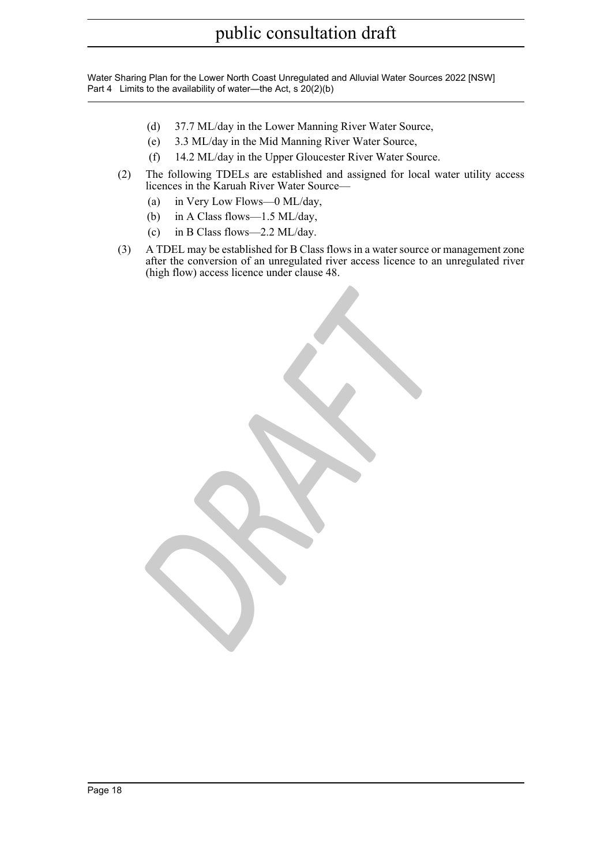- (d) 37.7 ML/day in the Lower Manning River Water Source,
- (e) 3.3 ML/day in the Mid Manning River Water Source,
- (f) 14.2 ML/day in the Upper Gloucester River Water Source.

*DRAFT*

- (2) The following TDELs are established and assigned for local water utility access licences in the Karuah River Water Source—
	- (a) in Very Low Flows—0 ML/day,
	- (b) in A Class flows—1.5 ML/day,
	- (c) in B Class flows—2.2 ML/day.
- (3) A TDEL may be established for B Class flows in a water source or management zone after the conversion of an unregulated river access licence to an unregulated river (high flow) access licence under clause 48.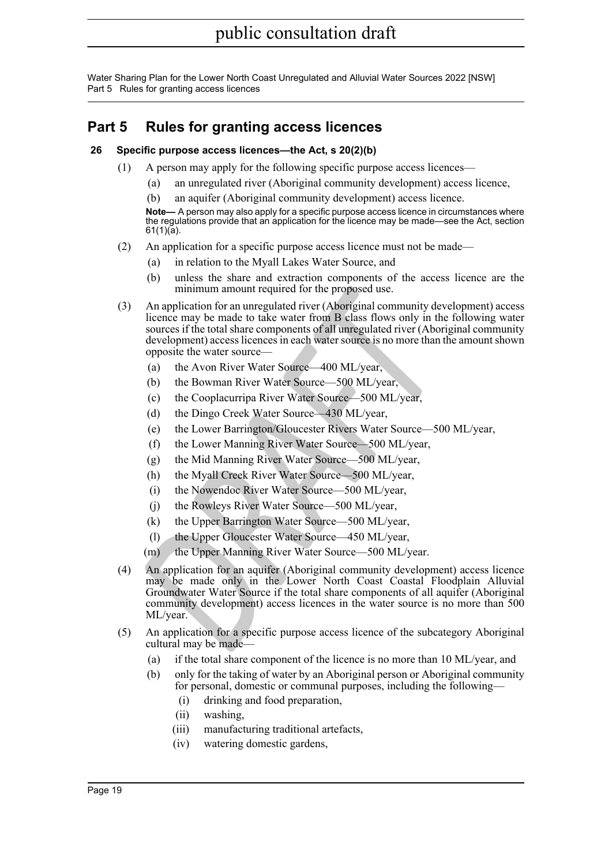Water Sharing Plan for the Lower North Coast Unregulated and Alluvial Water Sources 2022 [NSW] Part 5 Rules for granting access licences

### <span id="page-18-0"></span>**Part 5 Rules for granting access licences**

### <span id="page-18-1"></span>**26 Specific purpose access licences—the Act, s 20(2)(b)**

- (1) A person may apply for the following specific purpose access licences—
	- (a) an unregulated river (Aboriginal community development) access licence,
	- an aquifer (Aboriginal community development) access licence.

**Note—** A person may also apply for a specific purpose access licence in circumstances where the regulations provide that an application for the licence may be made—see the Act, section 61(1)(a).

- (2) An application for a specific purpose access licence must not be made—
	- (a) in relation to the Myall Lakes Water Source, and
	- (b) unless the share and extraction components of the access licence are the minimum amount required for the proposed use.
- (3) An application for an unregulated river (Aboriginal community development) access licence may be made to take water from B class flows only in the following water sources if the total share components of all unregulated river (Aboriginal community development) access licences in each water source is no more than the amount shown opposite the water source—
	- (a) the Avon River Water Source—400 ML/year,
	- (b) the Bowman River Water Source—500 ML/year,
	- (c) the Cooplacurripa River Water Source—500 ML/year,
	- (d) the Dingo Creek Water Source—430 ML/year,
	- (e) the Lower Barrington/Gloucester Rivers Water Source—500 ML/year,
	- (f) the Lower Manning River Water Source—500 ML/year,
	- (g) the Mid Manning River Water Source—500 ML/year,
	- (h) the Myall Creek River Water Source—500 ML/year,
	- (i) the Nowendoc River Water Source—500 ML/year,
	- (j) the Rowleys River Water Source—500 ML/year,
	- (k) the Upper Barrington Water Source—500 ML/year,
	- (l) the Upper Gloucester Water Source—450 ML/year,
	- (m) the Upper Manning River Water Source—500 ML/year.
- minimum amount required for the proposed use.<br>
An application for an unregulated river (Aboriginal community dev<br>
Incence may be made to take water from B class flows only in the<br>
sources if the total share components of a (4) An application for an aquifer (Aboriginal community development) access licence may be made only in the Lower North Coast Coastal Floodplain Alluvial Groundwater Water Source if the total share components of all aquifer (Aboriginal community development) access licences in the water source is no more than 500 ML/year.
- (5) An application for a specific purpose access licence of the subcategory Aboriginal cultural may be made—
	- (a) if the total share component of the licence is no more than 10 ML/year, and
	- (b) only for the taking of water by an Aboriginal person or Aboriginal community for personal, domestic or communal purposes, including the following—
		- (i) drinking and food preparation,
		- (ii) washing,
		- (iii) manufacturing traditional artefacts,
		- (iv) watering domestic gardens,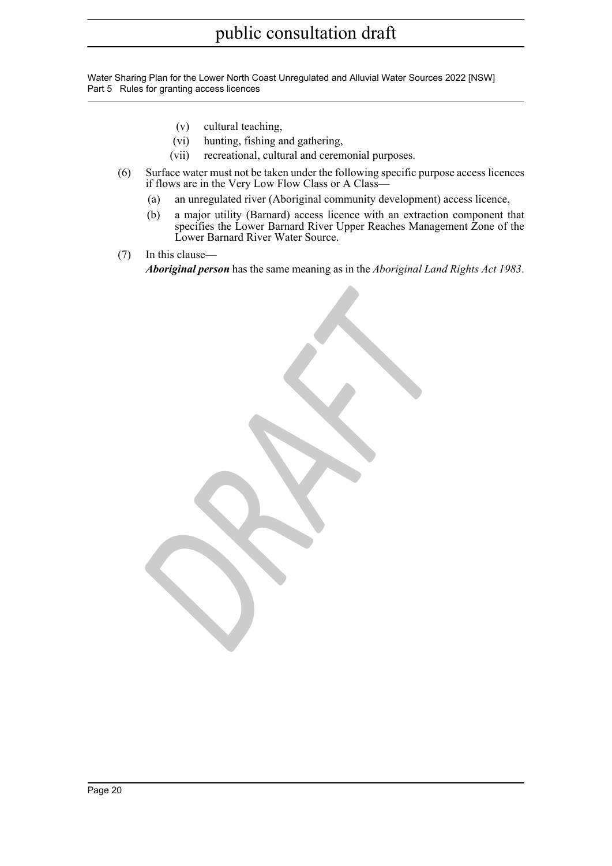Water Sharing Plan for the Lower North Coast Unregulated and Alluvial Water Sources 2022 [NSW] Part 5 Rules for granting access licences

- (v) cultural teaching,
- (vi) hunting, fishing and gathering,
- (vii) recreational, cultural and ceremonial purposes.

*DRAFT*

- (6) Surface water must not be taken under the following specific purpose access licences if flows are in the Very Low Flow Class or A Class—
	- (a) an unregulated river (Aboriginal community development) access licence,
	- (b) a major utility (Barnard) access licence with an extraction component that specifies the Lower Barnard River Upper Reaches Management Zone of the Lower Barnard River Water Source.
- (7) In this clause—

*Aboriginal person* has the same meaning as in the *Aboriginal Land Rights Act 1983* .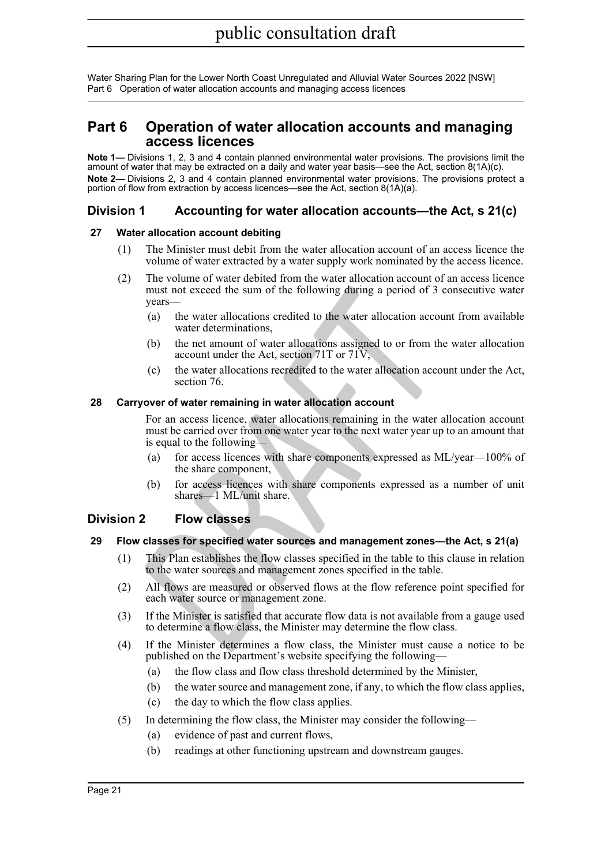### <span id="page-20-0"></span>**Part 6 Operation of water allocation accounts and managing access licences**

**Note 1—** Divisions 1, 2, 3 and 4 contain planned environmental water provisions. The provisions limit the amount of water that may be extracted on a daily and water year basis—see the Act, section 8(1A)(c). **Note 2—** Divisions 2, 3 and 4 contain planned environmental water provisions. The provisions protect a portion of flow from extraction by access licences—see the Act, section 8(1A)(a).

### <span id="page-20-1"></span>**Division 1 Accounting for water allocation accounts—the Act, s 21(c)**

### <span id="page-20-2"></span>**27 Water allocation account debiting**

- (1) The Minister must debit from the water allocation account of an access licence the volume of water extracted by a water supply work nominated by the access licence.
- (2) The volume of water debited from the water allocation account of an access licence must not exceed the sum of the following during a period of 3 consecutive water years—
	- (a) the water allocations credited to the water allocation account from available water determinations,
	- (b) the net amount of water allocations assigned to or from the water allocation account under the Act, section 71T or 71V,
	- (c) the water allocations recredited to the water allocation account under the Act, section 76.

### <span id="page-20-3"></span>**28 Carryover of water remaining in water allocation account**

must not exceed the sum of the following during a period of 3 compare<br>
(a) the water allocations credited to the water allocation accourd water determinations,<br>
(b) the net amount of water allocations assigned to or from t For an access licence, water allocations remaining in the water allocation account must be carried over from one water year to the next water year up to an amount that is equal to the following—

- (a) for access licences with share components expressed as ML/year—100% of the share component,
- (b) for access licences with share components expressed as a number of unit shares—1 ML/unit share.

### <span id="page-20-4"></span>**Division 2 Flow classes**

### <span id="page-20-5"></span>**29 Flow classes for specified water sources and management zones—the Act, s 21(a)**

- (1) This Plan establishes the flow classes specified in the table to this clause in relation to the water sources and management zones specified in the table.
- (2) All flows are measured or observed flows at the flow reference point specified for each water source or management zone.
- (3) If the Minister is satisfied that accurate flow data is not available from a gauge used to determine a flow class, the Minister may determine the flow class.
- (4) If the Minister determines a flow class, the Minister must cause a notice to be published on the Department's website specifying the following—
	- (a) the flow class and flow class threshold determined by the Minister,
	- (b) the water source and management zone, if any, to which the flow class applies,
	- (c) the day to which the flow class applies.
- (5) In determining the flow class, the Minister may consider the following—
	- (a) evidence of past and current flows,
	- (b) readings at other functioning upstream and downstream gauges.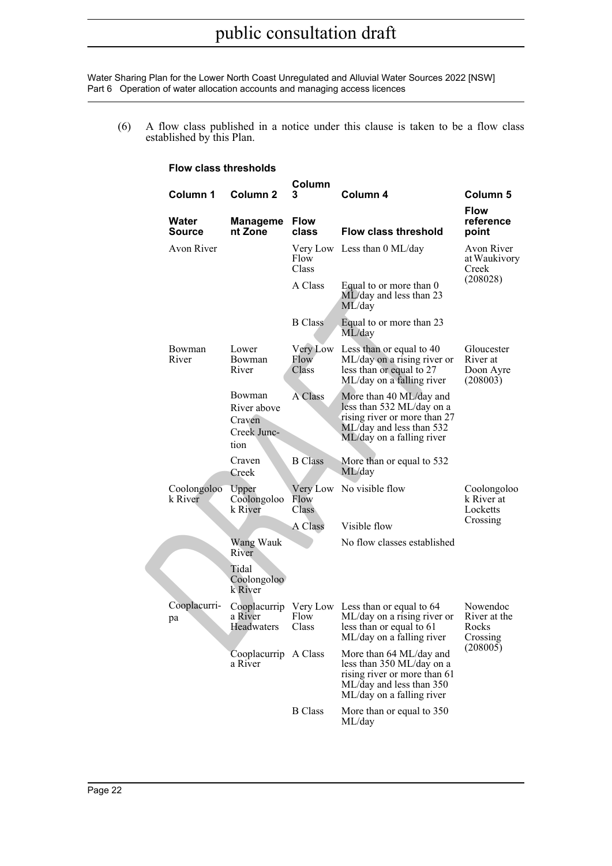(6) A flow class published in a notice under this clause is taken to be a flow class established by this Plan.

#### **Flow class thresholds**

|                        |                                                        | Column                    |                                                                                                                                               |                                                 |
|------------------------|--------------------------------------------------------|---------------------------|-----------------------------------------------------------------------------------------------------------------------------------------------|-------------------------------------------------|
| Column 1               | <b>Column 2</b>                                        | 3                         | Column 4                                                                                                                                      | <b>Column 5</b>                                 |
| Water<br>Source        | <b>Manageme</b><br>nt Zone                             | <b>Flow</b><br>class      | <b>Flow class threshold</b>                                                                                                                   | <b>Flow</b><br>reference<br>point               |
| Avon River             |                                                        | Flow<br>Class             | Very Low Less than 0 ML/day                                                                                                                   | Avon River<br>at Waukivory<br>Creek             |
|                        |                                                        | A Class                   | Equal to or more than 0<br>ML/day and less than 23<br>ML/day                                                                                  | (208028)                                        |
|                        |                                                        | <b>B</b> Class            | Equal to or more than 23<br>ML/day                                                                                                            |                                                 |
| Bowman<br>River        | Lower<br>Bowman<br>River                               | Very Low<br>Flow<br>Class | Less than or equal to 40<br>ML/day on a rising river or<br>less than or equal to 27<br>ML/day on a falling river                              | Gloucester<br>River at<br>Doon Ayre<br>(208003) |
|                        | Bowman<br>River above<br>Craven<br>Creek Junc-<br>tion | A Class                   | More than 40 ML/day and<br>less than 532 ML/day on a<br>rising river or more than 27<br>ML/day and less than 532<br>ML/day on a falling river |                                                 |
|                        | Craven<br>Creek                                        | <b>B</b> Class            | More than or equal to 532<br>ML/day                                                                                                           |                                                 |
| Coolongoloo<br>k River | Upper<br>Coolongoloo<br>k River                        | Flow<br>Class             | Very Low No visible flow                                                                                                                      | Coolongoloo<br>k River at<br>Locketts           |
|                        |                                                        | A Class                   | Visible flow                                                                                                                                  | Crossing                                        |
|                        | Wang Wauk<br>River                                     |                           | No flow classes established                                                                                                                   |                                                 |
|                        | Tidal<br>Coolongoloo<br>k River                        |                           |                                                                                                                                               |                                                 |
| Cooplacurri-<br>pa     | a River<br>Headwaters                                  | Flow<br>Class             | Cooplacurrip Very Low Less than or equal to 64<br>ML/day on a rising river or<br>less than or equal to 61<br>ML/day on a falling river        | Nowendoc<br>River at the<br>Rocks<br>Crossing   |
|                        | Cooplacurrip A Class<br>a River                        |                           | More than 64 ML/day and<br>less than 350 ML/day on a<br>rising river or more than 61<br>ML/day and less than 350<br>ML/day on a falling river | (208005)                                        |
|                        |                                                        | <b>B</b> Class            | More than or equal to 350<br>ML/day                                                                                                           |                                                 |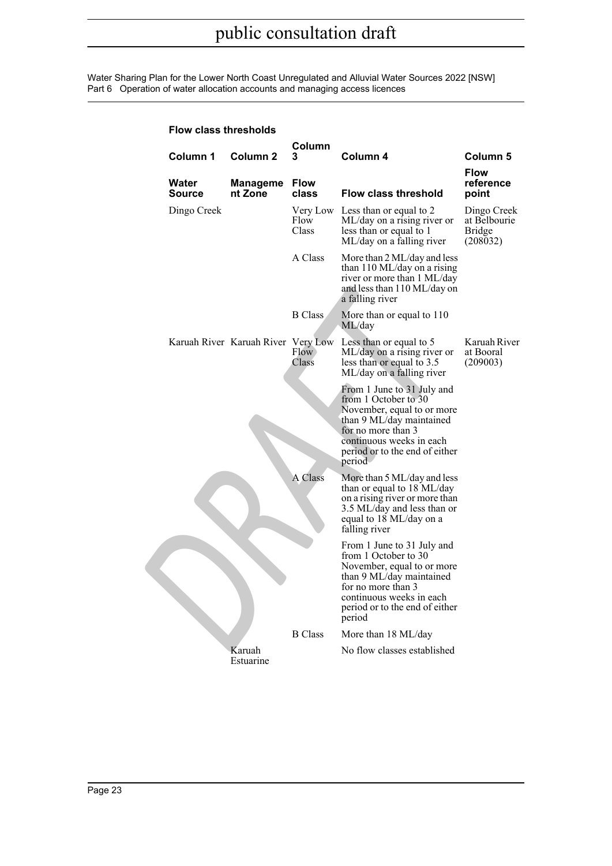| <b>Flow class thresholds</b> |                                    |                           |                                                                                                                                                                                                            |                                                          |
|------------------------------|------------------------------------|---------------------------|------------------------------------------------------------------------------------------------------------------------------------------------------------------------------------------------------------|----------------------------------------------------------|
| Column 1                     | Column <sub>2</sub>                | Column<br>3               | Column 4                                                                                                                                                                                                   | <b>Column 5</b>                                          |
| Water<br><b>Source</b>       | <b>Manageme</b><br>nt Zone         | <b>Flow</b><br>class      | <b>Flow class threshold</b>                                                                                                                                                                                | <b>Flow</b><br>reference<br>point                        |
| Dingo Creek                  |                                    | Very Low<br>Flow<br>Class | Less than or equal to 2<br>ML/day on a rising river or<br>less than or equal to 1<br>ML/day on a falling river                                                                                             | Dingo Creek<br>at Belbourie<br><b>Bridge</b><br>(208032) |
|                              |                                    | A Class                   | More than 2 ML/day and less<br>than 110 ML/day on a rising<br>river or more than 1 ML/day<br>and less than 110 ML/day on<br>a falling river                                                                |                                                          |
|                              |                                    | <b>B</b> Class            | More than or equal to 110<br>ML/day                                                                                                                                                                        |                                                          |
|                              | Karuah River Karuah River Very Low | Flow.<br>Class            | Less than or equal to 5<br>ML/day on a rising river or<br>less than or equal to 3.5<br>ML/day on a falling river                                                                                           | Karuah River<br>at Booral<br>(209003)                    |
|                              |                                    |                           | From 1 June to 31 July and<br>from 1 October to 30<br>November, equal to or more<br>than 9 ML/day maintained<br>for no more than 3<br>continuous weeks in each<br>period or to the end of either<br>period |                                                          |
|                              |                                    | A Class                   | More than 5 ML/day and less<br>than or equal to 18 ML/day<br>on a rising river or more than<br>3.5 ML/day and less than or<br>equal to 18 ML/day on a<br>falling river                                     |                                                          |
|                              |                                    |                           | From 1 June to 31 July and<br>from 1 October to 30<br>November, equal to or more<br>than 9 ML/day maintained<br>for no more than 3<br>continuous weeks in each<br>period or to the end of either<br>period |                                                          |
|                              |                                    | <b>B</b> Class            | More than 18 ML/day                                                                                                                                                                                        |                                                          |
|                              | Karuah<br>Estuarine                |                           | No flow classes established                                                                                                                                                                                |                                                          |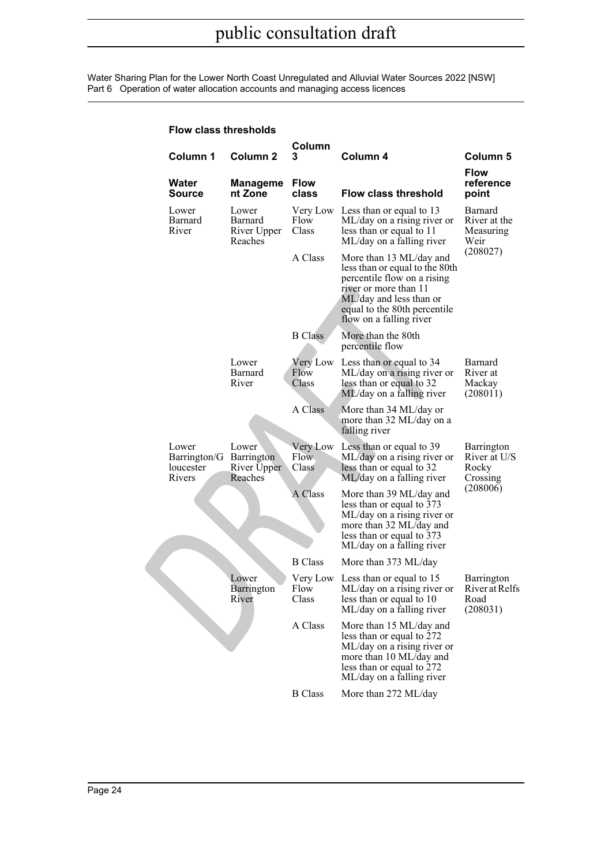| Flow class thresholds                        |                                               |                            |                                                                                                                                                                                                         |                                                          |
|----------------------------------------------|-----------------------------------------------|----------------------------|---------------------------------------------------------------------------------------------------------------------------------------------------------------------------------------------------------|----------------------------------------------------------|
| Column 1                                     | Column <sub>2</sub>                           | Column<br>3                | Column 4                                                                                                                                                                                                | Column <sub>5</sub><br><b>Flow</b>                       |
| Water<br>Source                              | <b>Manageme</b><br>nt Zone                    | <b>Flow</b><br>class       | <b>Flow class threshold</b>                                                                                                                                                                             | reference<br>point                                       |
| Lower<br>Barnard<br>River                    | Lower<br>Barnard<br>River Upper<br>Reaches    | Very Low<br>Flow<br>Class  | Less than or equal to 13<br>ML/day on a rising river or<br>less than or equal to 11<br>ML/day on a falling river                                                                                        | Barnard<br>River at the<br>Measuring<br>Weir<br>(208027) |
|                                              |                                               | A Class                    | More than 13 ML/day and<br>less than or equal to the 80th<br>percentile flow on a rising<br>river or more than 11<br>ML/day and less than or<br>equal to the 80th percentile<br>flow on a falling river |                                                          |
|                                              |                                               | <b>B</b> Class             | More than the 80th<br>percentile flow                                                                                                                                                                   |                                                          |
|                                              | Lower<br>Barnard<br>River                     | Very Low<br>Flow<br>Class  | Less than or equal to 34<br>ML/day on a rising river or<br>less than or equal to 32<br>ML/day on a falling river                                                                                        | Barnard<br>River at<br>Mackay<br>(208011)                |
|                                              |                                               | A Class                    | More than 34 ML/day or<br>more than 32 ML/day on a<br>falling river                                                                                                                                     |                                                          |
| Lower<br>Barrington/G<br>loucester<br>Rivers | Lower<br>Barrington<br>River Upper<br>Reaches | Very Low<br>Flow.<br>Class | Less than or equal to 39<br>ML/day on a rising river or<br>less than or equal to 32<br>ML/day on a falling river                                                                                        | Barrington<br>River at U/S<br>Rocky<br>Crossing          |
|                                              |                                               | A Class                    | More than 39 ML/day and<br>less than or equal to 373<br>ML/day on a rising river or<br>more than 32 ML/day and<br>less than or equal to 373<br>ML/day on a falling river                                | (208006)                                                 |
|                                              |                                               | <b>B</b> Class             | More than 373 ML/day                                                                                                                                                                                    |                                                          |
|                                              | Lower<br>Barrington<br>River                  | Flow<br>Class              | Very Low Less than or equal to 15<br>ML/day on a rising river or<br>less than or equal to 10<br>ML/day on a falling river                                                                               | Barrington<br>River at Relfs<br>Road<br>(208031)         |
|                                              |                                               | A Class                    | More than 15 ML/day and<br>less than or equal to 272<br>ML/day on a rising river or<br>more than 10 ML/day and<br>less than or equal to 272<br>ML/day on a falling river                                |                                                          |

B Class More than 272 ML/day

#### **Flow class thresholds**

Page 24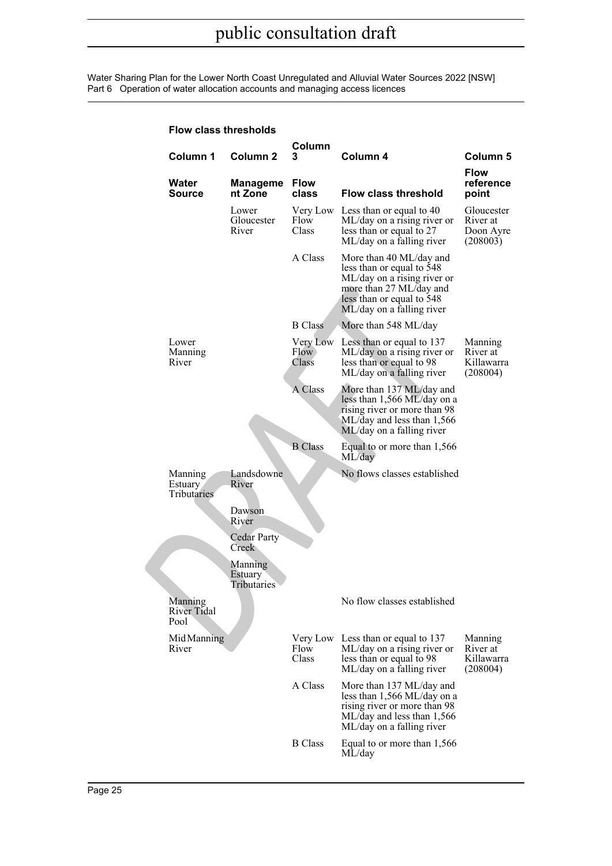| <b>Flow class thresholds</b>      |                                        |                           |                                                                                                                                                                          |                                                 |
|-----------------------------------|----------------------------------------|---------------------------|--------------------------------------------------------------------------------------------------------------------------------------------------------------------------|-------------------------------------------------|
| Column 1                          | Column <sub>2</sub>                    | Column<br>3               | Column 4                                                                                                                                                                 | Column <sub>5</sub>                             |
| Water<br><b>Source</b>            | <b>Manageme</b><br>nt Zone             | <b>Flow</b><br>class      | <b>Flow class threshold</b>                                                                                                                                              | <b>Flow</b><br>reference<br>point               |
|                                   | Lower<br>Gloucester<br>River           | Very Low<br>Flow<br>Class | Less than or equal to 40<br>ML/day on a rising river or<br>less than or equal to 27<br>ML/day on a falling river                                                         | Gloucester<br>River at<br>Doon Ayre<br>(208003) |
|                                   |                                        | A Class                   | More than 40 ML/day and<br>less than or equal to 548<br>ML/day on a rising river or<br>more than 27 ML/day and<br>less than or equal to 548<br>ML/day on a falling river |                                                 |
|                                   |                                        | <b>B</b> Class            | More than 548 ML/day                                                                                                                                                     |                                                 |
| Lower<br>Manning<br>River         |                                        | Very Low<br>Flow<br>Class | Less than or equal to 137<br>ML/day on a rising river or<br>less than or equal to 98<br>ML/day on a falling river                                                        | Manning<br>River at<br>Killawarra<br>(208004)   |
|                                   |                                        | A Class                   | More than 137 ML/day and<br>less than 1,566 ML/day on a<br>rising river or more than 98<br>ML/day and less than 1,566<br>ML/day on a falling river                       |                                                 |
|                                   |                                        | <b>B</b> Class            | Equal to or more than 1,566<br>ML/day                                                                                                                                    |                                                 |
| Manning<br>Estuary<br>Tributaries | Landsdowne<br>River<br>Dawson<br>River |                           | No flows classes established                                                                                                                                             |                                                 |
|                                   | <b>Cedar Party</b><br>Creek            |                           |                                                                                                                                                                          |                                                 |
|                                   | Manning<br>Estuary<br>Tributaries      |                           |                                                                                                                                                                          |                                                 |
| Manning<br>River Tidal<br>Pool    |                                        |                           | No flow classes established                                                                                                                                              |                                                 |
| Mid Manning<br>River              |                                        | Very Low<br>Flow<br>Class | Less than or equal to 137<br>ML/day on a rising river or<br>less than or equal to 98<br>ML/day on a falling river                                                        | Manning<br>River at<br>Killawarra<br>(208004)   |
|                                   |                                        | A Class                   | More than 137 ML/day and<br>less than 1,566 ML/day on a<br>rising river or more than 98<br>ML/day and less than 1,566<br>ML/day on a falling river                       |                                                 |
|                                   |                                        | <b>B</b> Class            | Equal to or more than 1,566<br>ML/day                                                                                                                                    |                                                 |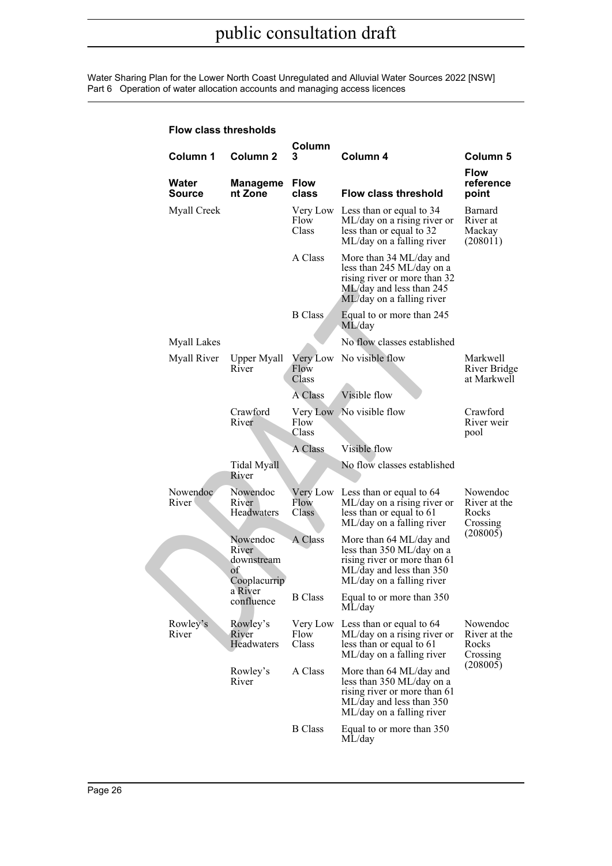| <b>Flow class thresholds</b> |                                                        |                            |                                                                                                                                               |                                               |
|------------------------------|--------------------------------------------------------|----------------------------|-----------------------------------------------------------------------------------------------------------------------------------------------|-----------------------------------------------|
| Column 1                     | Column <sub>2</sub>                                    | Column<br>3                | Column 4                                                                                                                                      | Column <sub>5</sub>                           |
| Water<br>Source              | Manageme<br>nt Zone                                    | <b>Flow</b><br>class       | <b>Flow class threshold</b>                                                                                                                   | <b>Flow</b><br>reference<br>point             |
| <b>Myall Creek</b>           |                                                        | Very Low<br>Flow<br>Class  | Less than or equal to 34<br>ML/day on a rising river or<br>less than or equal to 32<br>ML/day on a falling river                              | Barnard<br>River at<br>Mackay<br>(208011)     |
|                              |                                                        | A Class                    | More than 34 ML/day and<br>less than 245 ML/day on a<br>rising river or more than 32<br>ML/day and less than 245<br>ML/day on a falling river |                                               |
|                              |                                                        | <b>B</b> Class             | Equal to or more than 245<br>ML/day                                                                                                           |                                               |
| <b>Myall Lakes</b>           |                                                        |                            | No flow classes established                                                                                                                   |                                               |
| Myall River                  | Upper Myall<br>River                                   | Very Low<br>Flow<br>Class  | No visible flow                                                                                                                               | Markwell<br>River Bridge<br>at Markwell       |
|                              |                                                        | A Class                    | Visible flow                                                                                                                                  |                                               |
|                              | Crawford<br>River                                      | Flow<br>Class              | Very Low No visible flow                                                                                                                      | Crawford<br>River weir<br>pool                |
|                              |                                                        | A Class                    | Visible flow                                                                                                                                  |                                               |
|                              | Tidal Myall<br>River                                   |                            | No flow classes established                                                                                                                   |                                               |
| Nowendoc<br>River            | Nowendoc<br>River<br>Headwaters                        | Flow<br>Class <sup>1</sup> | Very Low Less than or equal to 64<br>ML/day on a rising river or<br>less than or equal to 61<br>ML/day on a falling river                     | Nowendoc<br>River at the<br>Rocks<br>Crossing |
|                              | Nowendoc<br>River<br>downstream<br>of.<br>Cooplacurrip | A Class                    | More than 64 ML/day and<br>less than 350 ML/day on a<br>rising river or more than 61<br>ML/day and less than 350<br>ML/day on a falling river | (208005)                                      |
|                              | a River<br>confluence                                  | <b>B</b> Class             | Equal to or more than 350<br>ML/day                                                                                                           |                                               |
| Rowley's<br>River            | Rowley's<br>River<br>Headwaters                        | Very Low<br>Flow<br>Class  | Less than or equal to 64<br>ML/day on a rising river or<br>less than or equal to 61<br>ML/day on a falling river                              | Nowendoc<br>River at the<br>Rocks<br>Crossing |
|                              | Rowley's<br>River                                      | A Class                    | More than 64 ML/day and<br>less than 350 ML/day on a<br>rising river or more than 61<br>ML/day and less than 350<br>ML/day on a falling river | (208005)                                      |
|                              |                                                        | <b>B</b> Class             | Equal to or more than 350<br>ML/day                                                                                                           |                                               |

#### **Flow class thresholds**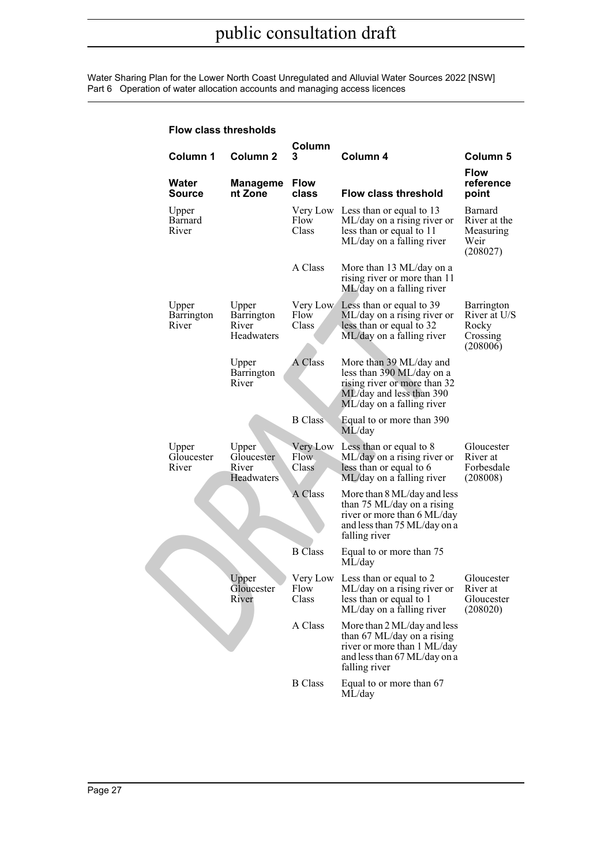| Flow class thresholds        |                                            |                            |                                                                                                                                               |                                                             |
|------------------------------|--------------------------------------------|----------------------------|-----------------------------------------------------------------------------------------------------------------------------------------------|-------------------------------------------------------------|
| Column 1                     | <b>Column 2</b>                            | Column<br>3                | Column 4                                                                                                                                      | Column 5                                                    |
| Water<br>Source              | <b>Manageme</b><br>nt Zone                 | <b>Flow</b><br>class       | <b>Flow class threshold</b>                                                                                                                   | <b>Flow</b><br>reference<br>point                           |
| Upper<br>Barnard<br>River    |                                            | Very Low<br>Flow<br>Class  | Less than or equal to 13<br>ML/day on a rising river or<br>less than or equal to 11<br>ML/day on a falling river                              | Barnard<br>River at the<br>Measuring<br>Weir<br>(208027)    |
|                              |                                            | A Class                    | More than 13 ML/day on a<br>rising river or more than 11<br>ML/day on a falling river                                                         |                                                             |
| Upper<br>Barrington<br>River | Upper<br>Barrington<br>River<br>Headwaters | Very Low<br>Flow<br>Class  | Less than or equal to 39<br>ML/day on a rising river or<br>less than or equal to 32<br>ML/day on a falling river                              | Barrington<br>River at U/S<br>Rocky<br>Crossing<br>(208006) |
|                              | Upper<br>Barrington<br>River               | A Class                    | More than 39 ML/day and<br>less than 390 ML/day on a<br>rising river or more than 32<br>ML/day and less than 390<br>ML/day on a falling river |                                                             |
|                              |                                            | <b>B</b> Class             | Equal to or more than 390<br>ML/day                                                                                                           |                                                             |
| Upper<br>Gloucester<br>River | Upper<br>Gloucester<br>River<br>Headwaters | Very Low<br>Flow.<br>Class | Less than or equal to 8<br>ML/day on a rising river or<br>less than or equal to 6<br>ML/day on a falling river                                | Gloucester<br>River at<br>Forbesdale<br>(208008)            |
|                              |                                            | A Class                    | More than 8 ML/day and less<br>than 75 ML/day on a rising<br>river or more than 6 ML/day<br>and less than 75 ML/day on a<br>falling river     |                                                             |
|                              |                                            | <b>B</b> Class             | Equal to or more than 75<br>ML/day                                                                                                            |                                                             |
|                              | Upper<br>Gloucester<br>River               | Flow<br>Class              | Very Low Less than or equal to 2<br>ML/day on a rising river or<br>less than or equal to 1<br>ML/day on a falling river                       | Gloucester<br>River at<br>Gloucester<br>(208020)            |
|                              |                                            | A Class                    | More than 2 ML/day and less<br>than 67 ML/day on a rising<br>river or more than 1 ML/day<br>and less than 67 ML/day on a<br>falling river     |                                                             |
|                              |                                            | <b>B</b> Class             | Equal to or more than 67<br>ML/day                                                                                                            |                                                             |

### **Flow class thresholds**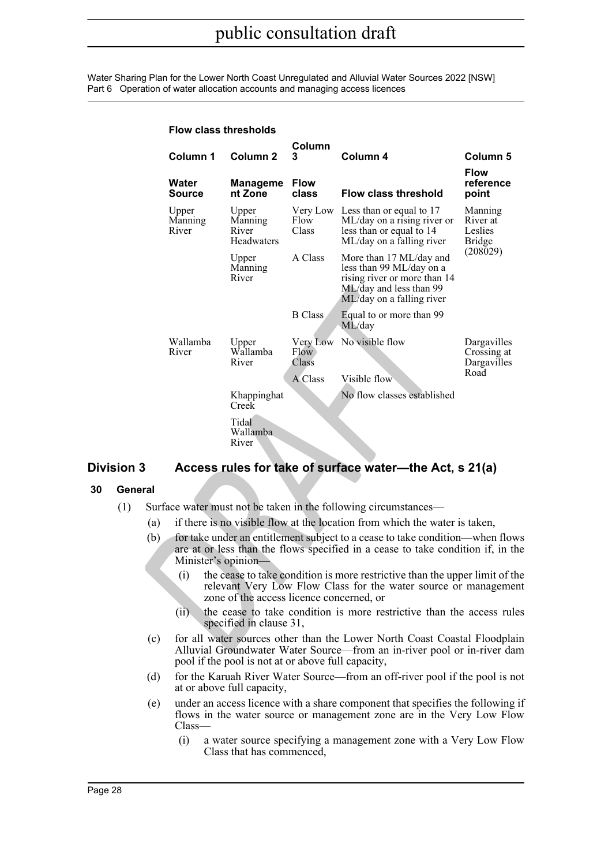**Flow class thresholds**

|       | Column 1                  | Column <sub>2</sub>                      | Column<br>3               | Column 4                                                                                                                                                        | Column 5                                        |
|-------|---------------------------|------------------------------------------|---------------------------|-----------------------------------------------------------------------------------------------------------------------------------------------------------------|-------------------------------------------------|
|       |                           |                                          |                           |                                                                                                                                                                 | <b>Flow</b>                                     |
|       | Water<br>Source           | <b>Manageme</b><br>nt Zone               | <b>Flow</b><br>class      | <b>Flow class threshold</b>                                                                                                                                     | reference<br>point                              |
|       | Upper<br>Manning<br>River | Upper<br>Manning<br>River<br>Headwaters  | Very Low<br>Flow<br>Class | Less than or equal to 17<br>ML/day on a rising river or<br>less than or equal to 14<br>ML/day on a falling river                                                | Manning<br>River at<br>Leslies<br><b>Bridge</b> |
|       |                           | Upper<br>Manning<br>River                | A Class                   | More than 17 ML/day and<br>less than 99 ML/day on a<br>rising river or more than 14<br>ML/day and less than 99<br>ML/day on a falling river                     | (208029)                                        |
|       |                           |                                          | <b>B</b> Class            | Equal to or more than 99<br>ML/day                                                                                                                              |                                                 |
|       | Wallamba<br>River         | Upper<br>Wallamba<br>River               | Flow:<br>Class            | Very Low No visible flow                                                                                                                                        | Dargavilles<br>Crossing at<br>Dargavilles       |
|       |                           |                                          | A Class                   | Visible flow                                                                                                                                                    | Road                                            |
|       |                           | Khappinghat<br>Creek                     |                           | No flow classes established                                                                                                                                     |                                                 |
|       |                           | Tidal<br>Wallamba<br>River               |                           |                                                                                                                                                                 |                                                 |
| 3     |                           |                                          |                           | Access rules for take of surface water-the Act, s 21(a)                                                                                                         |                                                 |
| ıeral |                           |                                          |                           |                                                                                                                                                                 |                                                 |
|       |                           |                                          |                           | Surface water must not be taken in the following circumstances—                                                                                                 |                                                 |
| (a)   |                           |                                          |                           | if there is no visible flow at the location from which the water is taken,                                                                                      |                                                 |
| (b)   | Minister's opinion-       |                                          |                           | for take under an entitlement subject to a cease to take condition—when flow<br>are at or less than the flows specified in a cease to take condition if, in the |                                                 |
|       | (i)                       | zone of the access licence concerned, or |                           | the cease to take condition is more restrictive than the upper limit of the<br>relevant Very Low Flow Class for the water source or management                  |                                                 |
|       | (ii)                      | specified in clause 31,                  |                           | the cease to take condition is more restrictive than the access rule                                                                                            |                                                 |
| (c)   |                           |                                          |                           | for all water sources other than the Lower North Coast Coastal Floodplai<br>Alluvial Groundwater Water Source—from an in-river pool or in-river dan             |                                                 |

### <span id="page-27-0"></span>**Division 3 Access rules for take of surface water—the Act, s 21(a)**

### <span id="page-27-1"></span>**30 General**

- (1) Surface water must not be taken in the following circumstances—
	- (a) if there is no visible flow at the location from which the water is taken,
	- (b) for take under an entitlement subject to a cease to take condition—when flows are at or less than the flows specified in a cease to take condition if, in the Minister's opinion—
		- (i) the cease to take condition is more restrictive than the upper limit of the relevant Very Low Flow Class for the water source or management zone of the access licence concerned, or
		- (ii) the cease to take condition is more restrictive than the access rules specified in clause 31,
	- (c) for all water sources other than the Lower North Coast Coastal Floodplain Alluvial Groundwater Water Source—from an in-river pool or in-river dam pool if the pool is not at or above full capacity,
	- (d) for the Karuah River Water Source—from an off-river pool if the pool is not at or above full capacity,
	- (e) under an access licence with a share component that specifies the following if flows in the water source or management zone are in the Very Low Flow Class—
		- (i) a water source specifying a management zone with a Very Low Flow Class that has commenced,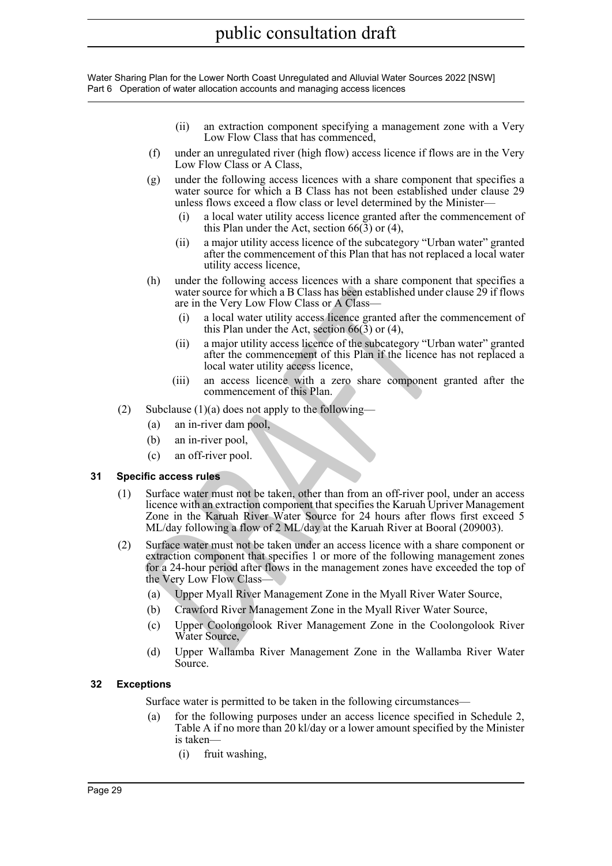- (ii) an extraction component specifying a management zone with a Very Low Flow Class that has commenced,
- (f) under an unregulated river (high flow) access licence if flows are in the Very Low Flow Class or A Class.
- (g) under the following access licences with a share component that specifies a water source for which a B Class has not been established under clause 29 unless flows exceed a flow class or level determined by the Minister—
	- (i) a local water utility access licence granted after the commencement of this Plan under the Act, section  $66(3)$  or (4),
	- (ii) a major utility access licence of the subcategory "Urban water" granted after the commencement of this Plan that has not replaced a local water utility access licence,
- (h) under the following access licences with a share component that specifies a water source for which a B Class has been established under clause 29 if flows are in the Very Low Flow Class or A Class—
	- (i) a local water utility access licence granted after the commencement of this Plan under the Act, section 66(3) or (4),
	- (ii) a major utility access licence of the subcategory "Urban water" granted after the commencement of this Plan if the licence has not replaced a local water utility access licence,
	- (iii) an access licence with a zero share component granted after the commencement of this Plan.
- (2) Subclause  $(1)(a)$  does not apply to the following—
	- (a) an in-river dam pool,
	- (b) an in-river pool,
	- (c) an off-river pool.

### <span id="page-28-0"></span>**31 Specific access rules**

- (1) Surface water must not be taken, other than from an off-river pool, under an access licence with an extraction component that specifies the Karuah Upriver Management Zone in the Karuah River Water Source for 24 hours after flows first exceed 5 ML/day following a flow of 2 ML/day at the Karuah River at Booral (209003).
- water source for which a B Class has been established under<br>
are in the Very Low Flow Class or A Class—<br>
(i) a local water utility access licence granted after the c<br>
(ii) a major utility access licence granted after the c (2) Surface water must not be taken under an access licence with a share component or extraction component that specifies 1 or more of the following management zones for a 24-hour period after flows in the management zones have exceeded the top of the Very Low Flow Class—
	- (a) Upper Myall River Management Zone in the Myall River Water Source,
	- (b) Crawford River Management Zone in the Myall River Water Source,
	- (c) Upper Coolongolook River Management Zone in the Coolongolook River Water Source,
	- (d) Upper Wallamba River Management Zone in the Wallamba River Water Source.

### <span id="page-28-1"></span>**32 Exceptions**

Surface water is permitted to be taken in the following circumstances—

- (a) for the following purposes under an access licence specified in Schedule 2, Table A if no more than 20 kl/day or a lower amount specified by the Minister is taken—
	- (i) fruit washing,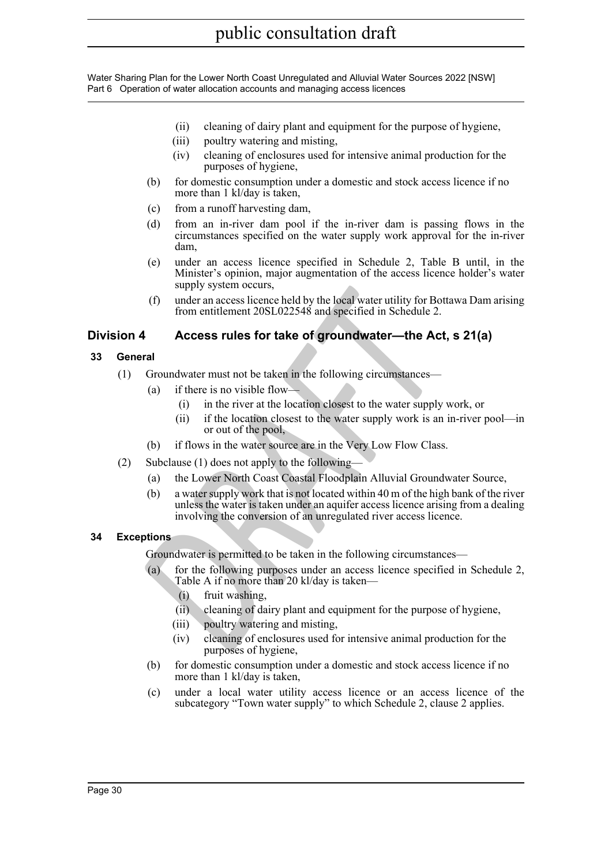- (ii) cleaning of dairy plant and equipment for the purpose of hygiene,
- (iii) poultry watering and misting,
- (iv) cleaning of enclosures used for intensive animal production for the purposes of hygiene,
- (b) for domestic consumption under a domestic and stock access licence if no more than 1 kl/day is taken,
- (c) from a runoff harvesting dam,
- (d) from an in-river dam pool if the in-river dam is passing flows in the circumstances specified on the water supply work approval for the in-river dam,
- (e) under an access licence specified in Schedule 2, Table B until, in the Minister's opinion, major augmentation of the access licence holder's water supply system occurs,
- (f) under an access licence held by the local water utility for Bottawa Dam arising from entitlement 20SL022548 and specified in Schedule 2.

### <span id="page-29-0"></span>**Division 4 Access rules for take of groundwater—the Act, s 21(a)**

### <span id="page-29-1"></span>**33 General**

- (1) Groundwater must not be taken in the following circumstances—
	- (a) if there is no visible flow—
		- (i) in the river at the location closest to the water supply work, or
		- (ii) if the location closest to the water supply work is an in-river pool—in or out of the pool,
	- (b) if flows in the water source are in the Very Low Flow Class.
- (2) Subclause (1) does not apply to the following—
	- (a) the Lower North Coast Coastal Floodplain Alluvial Groundwater Source,
- **Example yield the state of diversion and state utility for Bott<br>
<b>Example yield and state in Schedule 2.**<br> **Access rules for take of groundwater—the Act,**<br> **Access rules for take of groundwater—the Act,**<br> **Access rules fo** (b) a water supply work that is not located within 40 m of the high bank of the river unless the water is taken under an aquifer access licence arising from a dealing involving the conversion of an unregulated river access licence.

### <span id="page-29-2"></span>**34 Exceptions**

Groundwater is permitted to be taken in the following circumstances—

- (a) for the following purposes under an access licence specified in Schedule 2, Table A if no more than 20 kl/day is taken—
	- (i) fruit washing,
	- (ii) cleaning of dairy plant and equipment for the purpose of hygiene,
	- (iii) poultry watering and misting,
	- (iv) cleaning of enclosures used for intensive animal production for the purposes of hygiene,
- (b) for domestic consumption under a domestic and stock access licence if no more than 1 kl/day is taken,
- (c) under a local water utility access licence or an access licence of the subcategory "Town water supply" to which Schedule 2, clause 2 applies.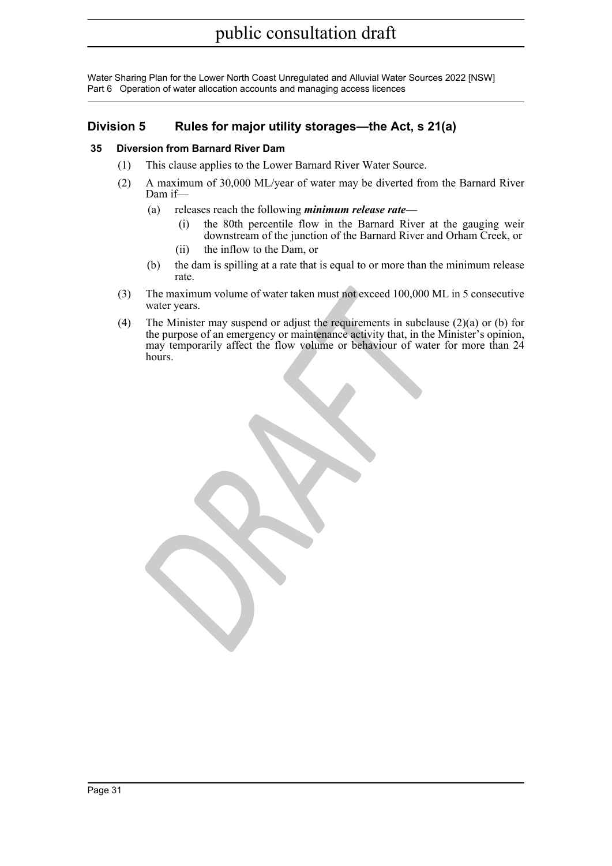### <span id="page-30-0"></span>**Division 5 Rules for major utility storages—the Act, s 21(a)**

### <span id="page-30-1"></span>**35 Diversion from Barnard River Dam**

- (1) This clause applies to the Lower Barnard River Water Source.
- (2) A maximum of 30,000 ML/year of water may be diverted from the Barnard River Dam if—
	- (a) releases reach the following *minimum release rate*
		- (i) the 80th percentile flow in the Barnard River at the gauging weir downstream of the junction of the Barnard River and Orham Creek, or
		- (ii) the inflow to the Dam, or
	- (b) the dam is spilling at a rate that is equal to or more than the minimum release rate.
- (3) The maximum volume of water taken must not exceed 100,000 ML in 5 consecutive water years.
- The maximum volume of water taken must not exceed 100,000 ML<br>water years.<br>The Minister may suspend or adjust the requirements in subclause<br>the purpose of an emergency or maintenance activity that, in the M<br>may temporarily (4) The Minister may suspend or adjust the requirements in subclause  $(2)(a)$  or (b) for the purpose of an emergency or maintenance activity that, in the Minister's opinion, may temporarily affect the flow volume or behaviour of water for more than 24 hours.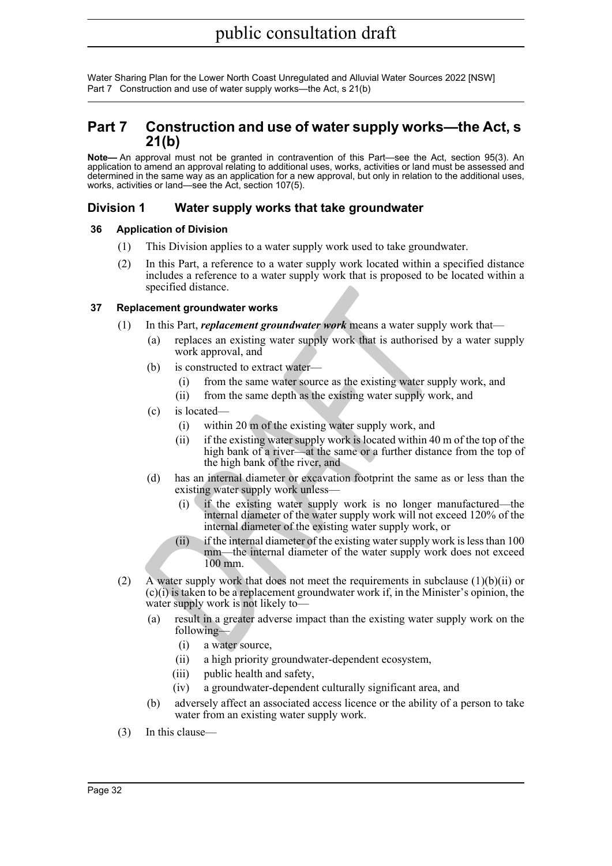### <span id="page-31-0"></span>**Part 7 Construction and use of water supply works—the Act, s 21(b)**

**Note—** An approval must not be granted in contravention of this Part—see the Act, section 95(3). An application to amend an approval relating to additional uses, works, activities or land must be assessed and determined in the same way as an application for a new approval, but only in relation to the additional uses, works, activities or land—see the Act, section 107(5).

### <span id="page-31-1"></span>**Division 1 Water supply works that take groundwater**

### <span id="page-31-2"></span>**36 Application of Division**

- (1) This Division applies to a water supply work used to take groundwater.
- (2) In this Part, a reference to a water supply work located within a specified distance includes a reference to a water supply work that is proposed to be located within a specified distance.

### <span id="page-31-3"></span>**37 Replacement groundwater works**

- (1) In this Part, *replacement groundwater work* means a water supply work that—
	- (a) replaces an existing water supply work that is authorised by a water supply work approval, and
	- (b) is constructed to extract water-
		- (i) from the same water source as the existing water supply work, and
		- (ii) from the same depth as the existing water supply work, and
	- (c) is located—
		- (i) within 20 m of the existing water supply work, and
		- (ii) if the existing water supply work is located within 40 m of the top of the high bank of a river—at the same or a further distance from the top of the high bank of the river, and
	- (d) has an internal diameter or excavation footprint the same as or less than the existing water supply work unless—
		- (i) if the existing water supply work is no longer manufactured—the internal diameter of the water supply work will not exceed 120% of the internal diameter of the existing water supply work, or
		- (ii) if the internal diameter of the existing water supply work is less than 100 mm—the internal diameter of the water supply work does not exceed 100 mm.
- spectred distance.<br>
In this Part, *replacement groundwater work* means a water supply<br>
(a) replaces an existing water supply work that is authorised by<br>
work approval, and<br>
(b) is constructed to extract water—<br>
(i) from th (2) A water supply work that does not meet the requirements in subclause  $(1)(b)(ii)$  or (c)(i) is taken to be a replacement groundwater work if, in the Minister's opinion, the water supply work is not likely to—
	- (a) result in a greater adverse impact than the existing water supply work on the following—
		- (i) a water source,
		- (ii) a high priority groundwater-dependent ecosystem,
		- (iii) public health and safety,
		- (iv) a groundwater-dependent culturally significant area, and
	- (b) adversely affect an associated access licence or the ability of a person to take water from an existing water supply work.
- (3) In this clause—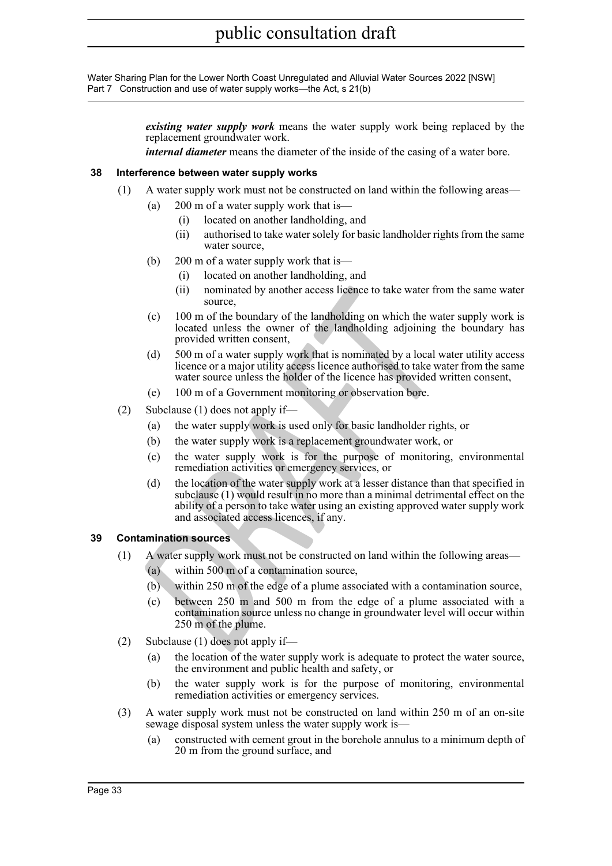> *existing water supply work* means the water supply work being replaced by the replacement groundwater work.

*internal diameter* means the diameter of the inside of the casing of a water bore.

### <span id="page-32-0"></span>**38 Interference between water supply works**

- (1) A water supply work must not be constructed on land within the following areas—
	- (a) 200 m of a water supply work that is—
		- (i) located on another landholding, and
		- (ii) authorised to take water solely for basic landholder rights from the same water source,
	- (b) 200 m of a water supply work that is—
		- (i) located on another landholding, and
		- (ii) nominated by another access licence to take water from the same water source,
	- (c) 100 m of the boundary of the landholding on which the water supply work is located unless the owner of the landholding adjoining the boundary has provided written consent,
	- (d) 500 m of a water supply work that is nominated by a local water utility access licence or a major utility access licence authorised to take water from the same water source unless the holder of the licence has provided written consent,
	- (e) 100 m of a Government monitoring or observation bore.
- (2) Subclause (1) does not apply if—
	- (a) the water supply work is used only for basic landholder rights, or
	- (b) the water supply work is a replacement groundwater work, or
	- (c) the water supply work is for the purpose of monitoring, environmental remediation activities or emergency services, or
- (ii) nominated by another access licence to take water from<br>
source,<br>
(c) 100 m of the boundary of the landholding on which the wate<br>
located unless the owner of the landholding adjoining the<br>
provided written consent,<br>
(d (d) the location of the water supply work at a lesser distance than that specified in subclause (1) would result in no more than a minimal detrimental effect on the ability of a person to take water using an existing approved water supply work and associated access licences, if any.

### <span id="page-32-1"></span>**39 Contamination sources**

- (1) A water supply work must not be constructed on land within the following areas—
	- (a) within 500 m of a contamination source,
	- (b) within 250 m of the edge of a plume associated with a contamination source,
	- (c) between 250 m and 500 m from the edge of a plume associated with a contamination source unless no change in groundwater level will occur within 250 m of the plume.
- (2) Subclause (1) does not apply if—
	- (a) the location of the water supply work is adequate to protect the water source, the environment and public health and safety, or
	- (b) the water supply work is for the purpose of monitoring, environmental remediation activities or emergency services.
- (3) A water supply work must not be constructed on land within 250 m of an on-site sewage disposal system unless the water supply work is—
	- (a) constructed with cement grout in the borehole annulus to a minimum depth of 20 m from the ground surface, and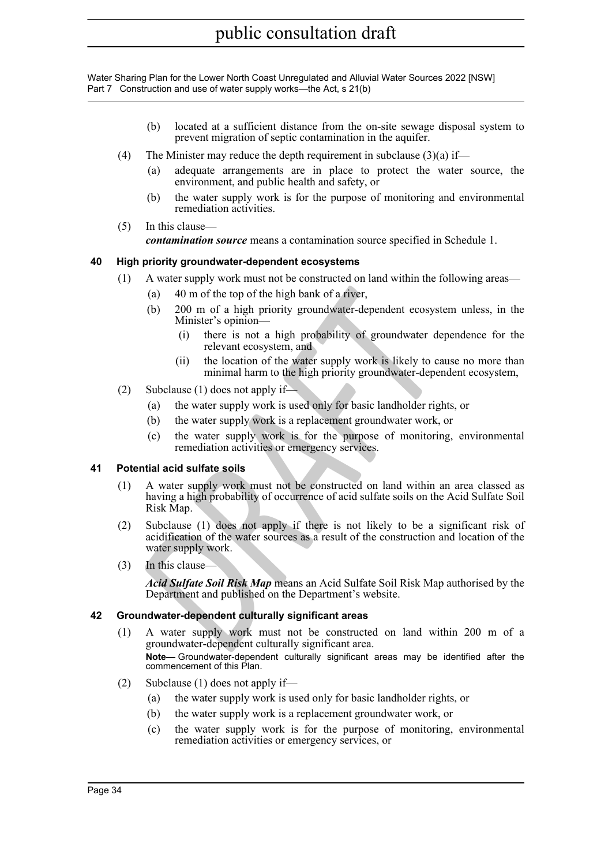- (b) located at a sufficient distance from the on-site sewage disposal system to prevent migration of septic contamination in the aquifer.
- (4) The Minister may reduce the depth requirement in subclause  $(3)(a)$  if—
	- (a) adequate arrangements are in place to protect the water source, the environment, and public health and safety, or
	- (b) the water supply work is for the purpose of monitoring and environmental remediation activities.
- (5) In this clause—

*contamination source* means a contamination source specified in Schedule 1.

### <span id="page-33-0"></span>**40 High priority groundwater-dependent ecosystems**

- (1) A water supply work must not be constructed on land within the following areas—
	- (a) 40 m of the top of the high bank of a river,
	- (b) 200 m of a high priority groundwater-dependent ecosystem unless, in the Minister's opinion—
		- (i) there is not a high probability of groundwater dependence for the relevant ecosystem, and
		- (ii) the location of the water supply work is likely to cause no more than minimal harm to the high priority groundwater-dependent ecosystem,
- (2) Subclause (1) does not apply if—
	- (a) the water supply work is used only for basic landholder rights, or
	- (b) the water supply work is a replacement groundwater work, or
	- (c) the water supply work is for the purpose of monitoring, environmental remediation activities or emergency services.

### <span id="page-33-1"></span>**41 Potential acid sulfate soils**

- (a) 40 m of the top of the high bank of a river,<br>
(b) 200 m of a high priority groundwater-dependent coosyste<br>
Minister's opinom—<br>
(i) there is not a high probability of groundwater dep<br>
relevant ecosystem, and<br>
(ii) the l (1) A water supply work must not be constructed on land within an area classed as having a high probability of occurrence of acid sulfate soils on the Acid Sulfate Soil Risk Map.
- (2) Subclause (1) does not apply if there is not likely to be a significant risk of acidification of the water sources as a result of the construction and location of the water supply work.
- $(3)$  In this clause-

*Acid Sulfate Soil Risk Map* means an Acid Sulfate Soil Risk Map authorised by the Department and published on the Department's website.

### <span id="page-33-2"></span>**42 Groundwater-dependent culturally significant areas**

- (1) A water supply work must not be constructed on land within 200 m of a groundwater-dependent culturally significant area. **Note—** Groundwater-dependent culturally significant areas may be identified after the commencement of this Plan.
- (2) Subclause (1) does not apply if—
	- (a) the water supply work is used only for basic landholder rights, or
	- (b) the water supply work is a replacement groundwater work, or
	- (c) the water supply work is for the purpose of monitoring, environmental remediation activities or emergency services, or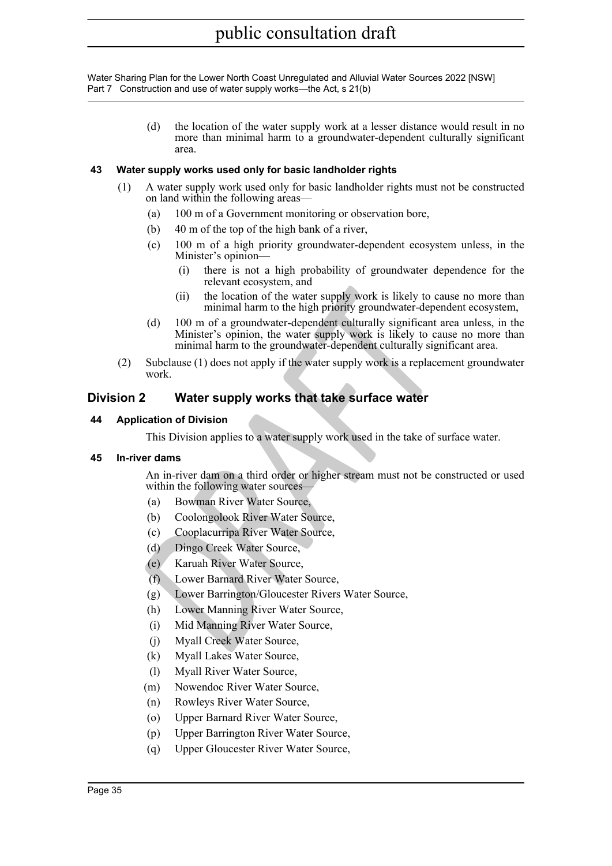> (d) the location of the water supply work at a lesser distance would result in no more than minimal harm to a groundwater-dependent culturally significant area.

### <span id="page-34-0"></span>**43 Water supply works used only for basic landholder rights**

- (1) A water supply work used only for basic landholder rights must not be constructed on land within the following areas—
	- (a) 100 m of a Government monitoring or observation bore,
	- (b) 40 m of the top of the high bank of a river,
	- (c) 100 m of a high priority groundwater-dependent ecosystem unless, in the Minister's opinion—
		- (i) there is not a high probability of groundwater dependence for the relevant ecosystem, and
		- (ii) the location of the water supply work is likely to cause no more than minimal harm to the high priority groundwater-dependent ecosystem,
	- (ii) the location of the water supply work is likely to cau minimal harm to the high priority groundwater-dependent<br>
	(d) 100 m of a groundwater-dependent culturally significant are supply work is likely to cau minimal harm (d) 100 m of a groundwater-dependent culturally significant area unless, in the Minister's opinion, the water supply work is likely to cause no more than minimal harm to the groundwater-dependent culturally significant area.
- (2) Subclause (1) does not apply if the water supply work is a replacement groundwater work.

### <span id="page-34-1"></span>**Division 2 Water supply works that take surface water**

### <span id="page-34-2"></span>**44 Application of Division**

This Division applies to a water supply work used in the take of surface water.

### <span id="page-34-3"></span>**45 In-river dams**

An in-river dam on a third order or higher stream must not be constructed or used within the following water sources—

- (a) Bowman River Water Source,
- (b) Coolongolook River Water Source,
- (c) Cooplacurripa River Water Source,
- (d) Dingo Creek Water Source,
- (e) Karuah River Water Source,
- (f) Lower Barnard River Water Source,
- (g) Lower Barrington/Gloucester Rivers Water Source,
- (h) Lower Manning River Water Source,
- (i) Mid Manning River Water Source,
- (j) Myall Creek Water Source,
- (k) Myall Lakes Water Source,
- (l) Myall River Water Source,
- (m) Nowendoc River Water Source,
- (n) Rowleys River Water Source,
- (o) Upper Barnard River Water Source,
- (p) Upper Barrington River Water Source,
- (q) Upper Gloucester River Water Source,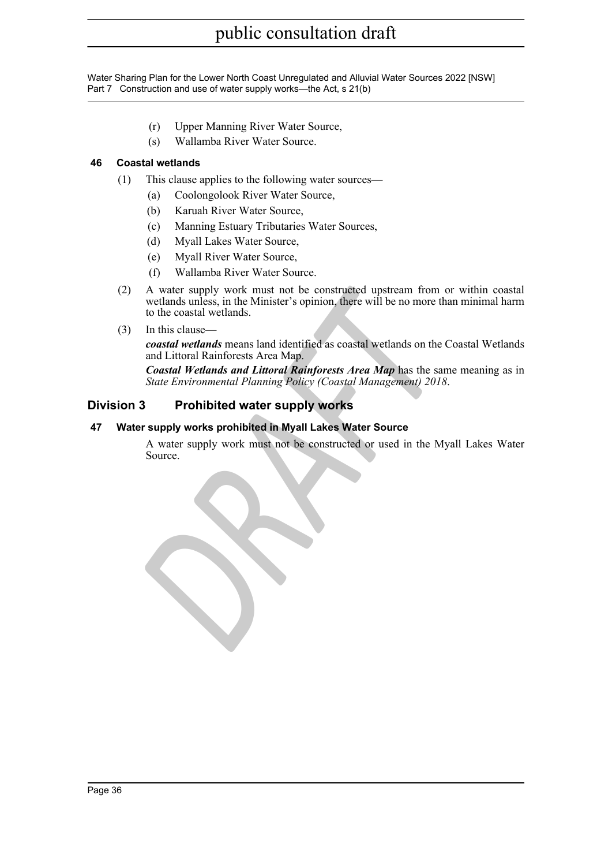- (r) Upper Manning River Water Source,
- (s) Wallamba River Water Source.

### <span id="page-35-0"></span>**46 Coastal wetlands**

- (1) This clause applies to the following water sources—
	- (a) Coolongolook River Water Source,
	- (b) Karuah River Water Source,
	- (c) Manning Estuary Tributaries Water Sources,
	- (d) Myall Lakes Water Source,
	- (e) Myall River Water Source,
	- (f) Wallamba River Water Source.
- A water supply work must not be constructed upstream from controllads unless, in the Minister's opinion, there will be no more the to the coastal wetlands.<br>
In this clause—<br>
coastal wetlands means land identified as coasta (2) A water supply work must not be constructed upstream from or within coastal wetlands unless, in the Minister's opinion, there will be no more than minimal harm to the coastal wetlands.
- (3) In this clause—

*coastal wetlands* means land identified as coastal wetlands on the Coastal Wetlands and Littoral Rainforests Area Map.

*Coastal Wetlands and Littoral Rainforests Area Map* has the same meaning as in *State Environmental Planning Policy (Coastal Management) 2018* .

### <span id="page-35-1"></span>**Division 3 Prohibited water supply works**

### <span id="page-35-2"></span>**47 Water supply works prohibited in Myall Lakes Water Source**

A water supply work must not be constructed or used in the Myall Lakes Water Source.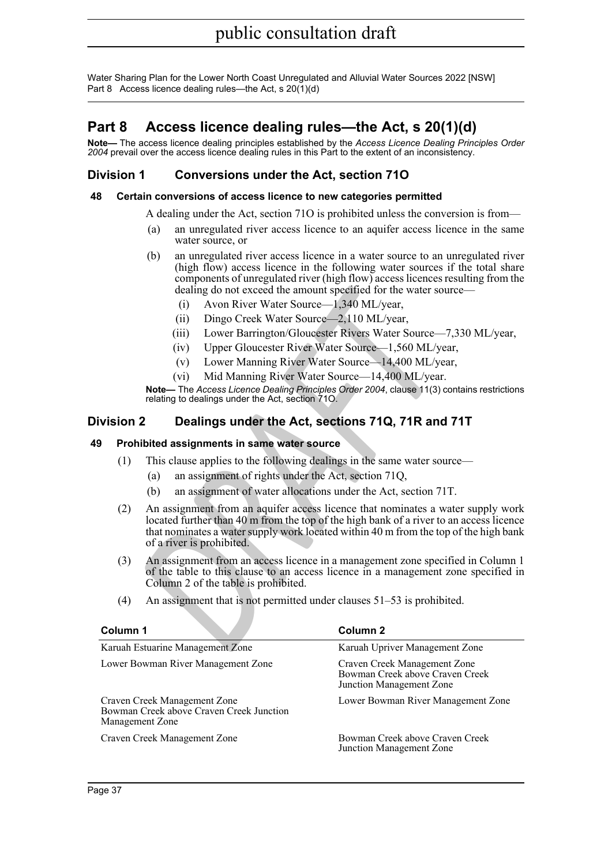### <span id="page-36-0"></span>**Part 8 Access licence dealing rules—the Act, s 20(1)(d)**

**Note—** The access licence dealing principles established by the *Access Licence Dealing Principles Order 2004* prevail over the access licence dealing rules in this Part to the extent of an inconsistency.

### <span id="page-36-1"></span>**Division 1 Conversions under the Act, section 71O**

### <span id="page-36-2"></span>**48 Certain conversions of access licence to new categories permitted**

A dealing under the Act, section 71O is prohibited unless the conversion is from—

- (a) an unregulated river access licence to an aquifer access licence in the same water source, or
- (b) an unregulated river access licence in a water source to an unregulated river (high flow) access licence in the following water sources if the total share components of unregulated river (high flow) access licences resulting from the dealing do not exceed the amount specified for the water source—
	- (i) Avon River Water Source—1,340 ML/year,
	- (ii) Dingo Creek Water Source—2,110 ML/year,
	- (iii) Lower Barrington/Gloucester Rivers Water Source—7,330 ML/year,
	- (iv) Upper Gloucester River Water Source—1,560 ML/year,
	- (v) Lower Manning River Water Source—14,400 ML/year,
	- (vi) Mid Manning River Water Source—14,400 ML/year.

**Note—** The *Access Licence Dealing Principles Order 2004*, clause 11(3) contains restrictions relating to dealings under the Act, section 71O.

### <span id="page-36-3"></span>**Division 2 Dealings under the Act, sections 71Q, 71R and 71T**

### <span id="page-36-4"></span>**49 Prohibited assignments in same water source**

- (1) This clause applies to the following dealings in the same water source—
	- (a) an assignment of rights under the Act, section 71Q,
	- (b) an assignment of water allocations under the Act, section 71T.
- dealing do not exceed the amount specified for the water sou<br>
(i) Avon River Water Source—1,340 ML/year,<br>
(iii) Dingo Creck Water Source—2,110 ML/year,<br>
(iii) Dingo Creck Water Source—2,110 ML/year,<br>
(iv) Upper Gloucester (2) An assignment from an aquifer access licence that nominates a water supply work located further than 40 m from the top of the high bank of a river to an access licence that nominates a water supply work located within 40 m from the top of the high bank of a river is prohibited.
- (3) An assignment from an access licence in a management zone specified in Column 1 of the table to this clause to an access licence in a management zone specified in Column 2 of the table is prohibited.
- (4) An assignment that is not permitted under clauses 51–53 is prohibited.

| Column 1                                                                                    | Column 2                                                                                    |
|---------------------------------------------------------------------------------------------|---------------------------------------------------------------------------------------------|
| Karuah Estuarine Management Zone                                                            | Karuah Upriver Management Zone                                                              |
| Lower Bowman River Management Zone                                                          | Craven Creek Management Zone<br>Bowman Creek above Craven Creek<br>Junction Management Zone |
| Craven Creek Management Zone<br>Bowman Creek above Craven Creek Junction<br>Management Zone | Lower Bowman River Management Zone                                                          |
| Craven Creek Management Zone                                                                | Bowman Creek above Craven Creek<br>Junction Management Zone                                 |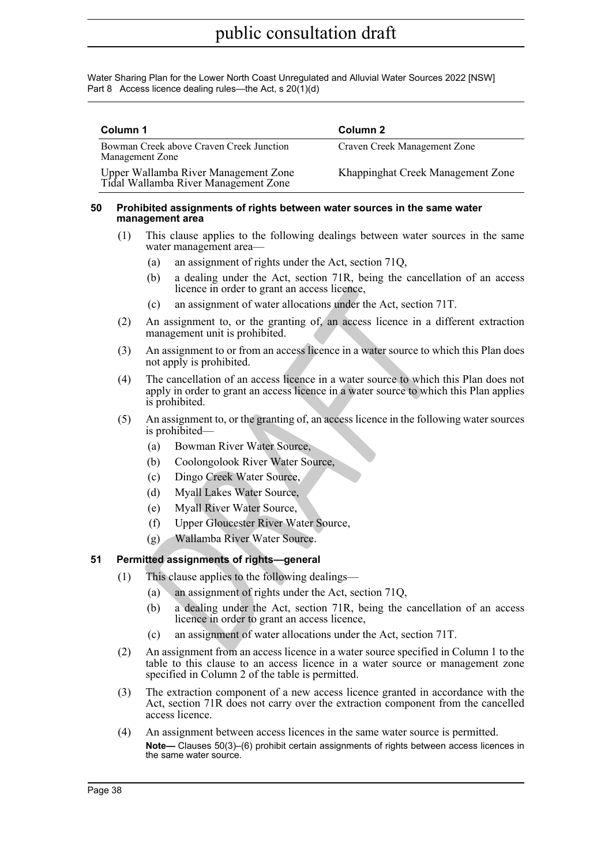| Column 1                                                                     | Column 2                          |
|------------------------------------------------------------------------------|-----------------------------------|
| Bowman Creek above Craven Creek Junction<br>Management Zone                  | Craven Creek Management Zone      |
| Upper Wallamba River Management Zone<br>Tidal Wallamba River Management Zone | Khappinghat Creek Management Zone |

#### <span id="page-37-0"></span>**50 Prohibited assignments of rights between water sources in the same water management area**

- (1) This clause applies to the following dealings between water sources in the same water management area—
	- (a) an assignment of rights under the Act, section 71Q,
	- (b) a dealing under the Act, section 71R, being the cancellation of an access licence in order to grant an access licence,
	- (c) an assignment of water allocations under the Act, section 71T.
- (2) An assignment to, or the granting of, an access licence in a different extraction management unit is prohibited.
- (3) An assignment to or from an access licence in a water source to which this Plan does not apply is prohibited.
- licence in order to grant an access licence,<br>
(c) an assignment of water allocations under the Act, section 71<br>
An assignment to, or the granting of, an access licence in a dif<br>
management tunit is prohibited.<br>
An assignme (4) The cancellation of an access licence in a water source to which this Plan does not apply in order to grant an access licence in a water source to which this Plan applies is prohibited.
- (5) An assignment to, or the granting of, an access licence in the following water sources is prohibited—
	- (a) Bowman River Water Source,
	- (b) Coolongolook River Water Source,
	- (c) Dingo Creek Water Source,
	- (d) Myall Lakes Water Source,
	- (e) Myall River Water Source,
	- (f) Upper Gloucester River Water Source,
	- (g) Wallamba River Water Source.

### <span id="page-37-1"></span>**51 Permitted assignments of rights—general**

- (1) This clause applies to the following dealings—
	- (a) an assignment of rights under the Act, section 71Q,
	- (b) a dealing under the Act, section 71R, being the cancellation of an access licence in order to grant an access licence,
	- (c) an assignment of water allocations under the Act, section 71T.
- (2) An assignment from an access licence in a water source specified in Column 1 to the table to this clause to an access licence in a water source or management zone specified in Column 2 of the table is permitted.
- (3) The extraction component of a new access licence granted in accordance with the Act, section 71R does not carry over the extraction component from the cancelled access licence.
- (4) An assignment between access licences in the same water source is permitted. **Note—** Clauses 50(3)–(6) prohibit certain assignments of rights between access licences in the same water source.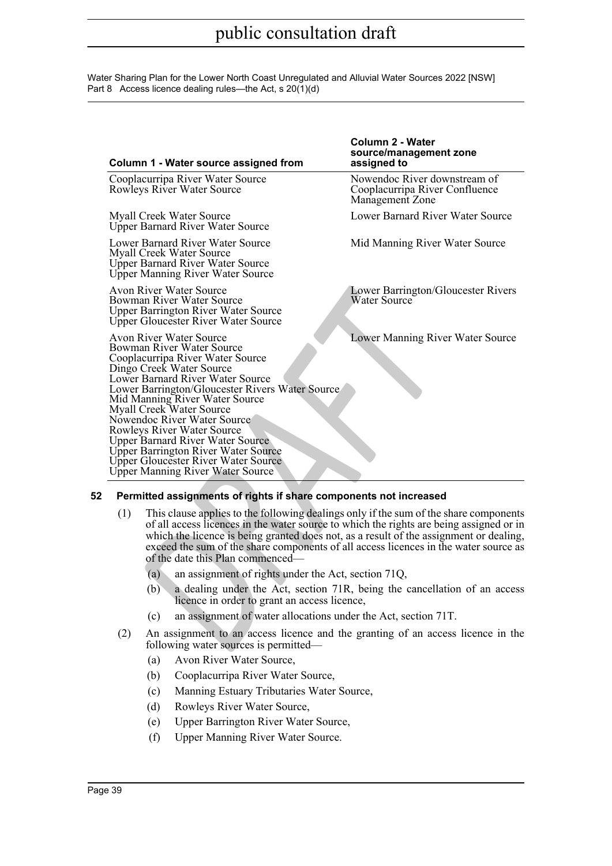|     | Column 1 - Water source assigned from                                                                                                                                                                                                                                                                                                                                                                                                                                                                      | Column 2 - Water<br>source/management zone<br>assigned to                         |
|-----|------------------------------------------------------------------------------------------------------------------------------------------------------------------------------------------------------------------------------------------------------------------------------------------------------------------------------------------------------------------------------------------------------------------------------------------------------------------------------------------------------------|-----------------------------------------------------------------------------------|
|     | Cooplacurripa River Water Source<br>Rowleys River Water Source                                                                                                                                                                                                                                                                                                                                                                                                                                             | Nowendoc River downstream of<br>Cooplacurripa River Confluence<br>Management Zone |
|     | <b>Myall Creek Water Source</b><br><b>Upper Barnard River Water Source</b>                                                                                                                                                                                                                                                                                                                                                                                                                                 | Lower Barnard River Water Source                                                  |
|     | Lower Barnard River Water Source<br>Myall Creek Water Source<br><b>Upper Barnard River Water Source</b><br>Upper Manning River Water Source                                                                                                                                                                                                                                                                                                                                                                | Mid Manning River Water Source                                                    |
|     | Avon River Water Source<br>Bowman River Water Source<br><b>Upper Barrington River Water Source</b><br>Upper Gloucester River Water Source                                                                                                                                                                                                                                                                                                                                                                  | Lower Barrington/Gloucester Rivers<br>Water Source                                |
|     | <b>Avon River Water Source</b><br>Bowman River Water Source<br>Cooplacurripa River Water Source<br>Dingo Creek Water Source<br>Lower Barnard River Water Source<br>Lower Barrington/Gloucester Rivers Water Source<br>Mid Manning River Water Source<br>Myall Creek Water Source<br>Nowendoc River Water Source<br>Rowleys River Water Source<br><b>Upper Barnard River Water Source</b><br>Upper Barrington River Water Source<br>Upper Gloucester River Water Source<br>Upper Manning River Water Source | Lower Manning River Water Source                                                  |
|     | Permitted assignments of rights if share components not increased                                                                                                                                                                                                                                                                                                                                                                                                                                          |                                                                                   |
| (1) | This clause applies to the following dealings only if the sum of the share components<br>of all access licences in the water source to which the rights are being assigned or in<br>which the licence is being granted does not, as a result of the assignment or dealing,<br>exceed the sum of the share components of all access licences in the water source as<br>of the date this Plan commenced—                                                                                                     |                                                                                   |
|     | an assignment of rights under the Act, section 71Q,<br>(a)                                                                                                                                                                                                                                                                                                                                                                                                                                                 |                                                                                   |
|     | (b)<br>licence in order to grant an access licence,                                                                                                                                                                                                                                                                                                                                                                                                                                                        | a dealing under the Act, section 71R, being the cancellation of an access         |
|     | an assignment of water allocations under the Act, section 71T.<br>(c)                                                                                                                                                                                                                                                                                                                                                                                                                                      |                                                                                   |
| (2) | An assignment to an access licence and the granting of an access licence in the<br>following water sources is permitted-                                                                                                                                                                                                                                                                                                                                                                                   |                                                                                   |
|     |                                                                                                                                                                                                                                                                                                                                                                                                                                                                                                            |                                                                                   |

### <span id="page-38-0"></span>**52 Permitted assignments of rights if share components not increased**

- (1) This clause applies to the following dealings only if the sum of the share components of all access licences in the water source to which the rights are being assigned or in which the licence is being granted does not, as a result of the assignment or dealing, exceed the sum of the share components of all access licences in the water source as of the date this Plan commenced—
	- (a) an assignment of rights under the Act, section 71Q,
	- (b) a dealing under the Act, section 71R, being the cancellation of an access licence in order to grant an access licence,
	- (c) an assignment of water allocations under the Act, section 71T.
- (2) An assignment to an access licence and the granting of an access licence in the following water sources is permitted—
	- (a) Avon River Water Source,
	- (b) Cooplacurripa River Water Source,
	- (c) Manning Estuary Tributaries Water Source,
	- (d) Rowleys River Water Source,
	- (e) Upper Barrington River Water Source,
	- (f) Upper Manning River Water Source.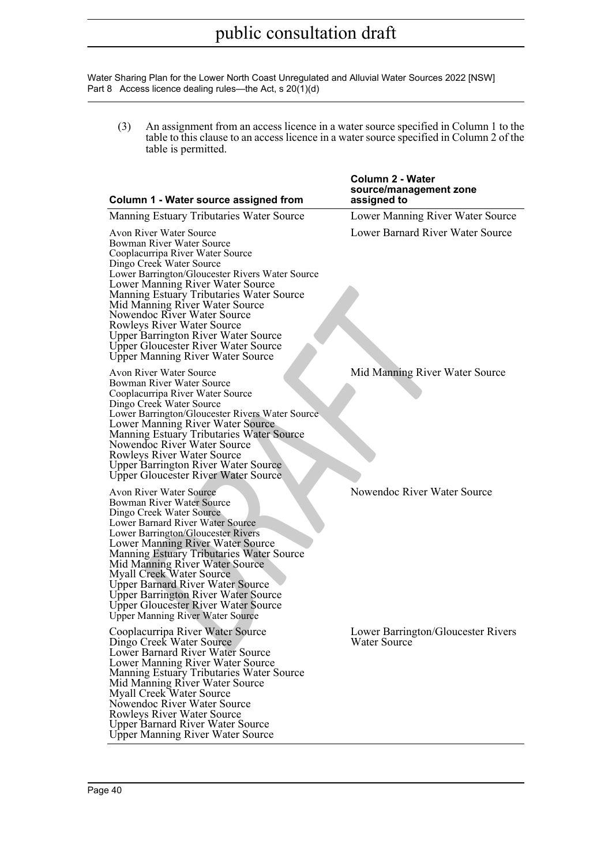(3) An assignment from an access licence in a water source specified in Column 1 to the table to this clause to an access licence in a water source specified in Column 2 of the table is permitted.

| Column 1 - Water source assigned from                                                                                                                                                                                                                                                                                                                                                                                                                                                             | Column 2 - Water<br>source/management zone<br>assigned to |
|---------------------------------------------------------------------------------------------------------------------------------------------------------------------------------------------------------------------------------------------------------------------------------------------------------------------------------------------------------------------------------------------------------------------------------------------------------------------------------------------------|-----------------------------------------------------------|
| Manning Estuary Tributaries Water Source                                                                                                                                                                                                                                                                                                                                                                                                                                                          | Lower Manning River Water Source                          |
| Avon River Water Source<br>Bowman River Water Source<br>Cooplacurripa River Water Source<br>Dingo Creek Water Source<br>Lower Barrington/Gloucester Rivers Water Source<br>Lower Manning River Water Source<br>Manning Estuary Tributaries Water Source<br>Mid Manning River Water Source<br>Nowendoc River Water Source<br>Rowleys River Water Source<br><b>Upper Barrington River Water Source</b><br>Upper Gloucester River Water Source<br>Upper Manning River Water Source                   | Lower Barnard River Water Source                          |
| Avon River Water Source<br>Bowman River Water Source<br>Cooplacurripa River Water Source<br>Dingo Creek Water Source<br>Lower Barrington/Gloucester Rivers Water Source<br>Lower Manning River Water Source<br>Manning Estuary Tributaries Water Source<br>Nowendoc River Water Source<br>Rowleys River Water Source<br><b>Upper Barrington River Water Source</b><br>Upper Gloucester River Water Source                                                                                         | Mid Manning River Water Source                            |
| Avon River Water Source<br>Bowman River Water Source<br>Dingo Creek Water Source<br>Lower Barnard River Water Source<br>Lower Barrington/Gloucester Rivers<br>Lower Manning River Water Source<br>Manning Estuary Tributaries Water Source<br>Mid Manning River Water Source<br><b>Myall Creek Water Source</b><br><b>Upper Barnard River Water Source</b><br><b>Upper Barrington River Water Source</b><br><b>Upper Gloucester River Water Source</b><br><b>Upper Manning River Water Source</b> | Nowendoc River Water Source                               |
| Cooplacurripa River Water Source<br>Dingo Creek Water Source<br>Lower Barnard River Water Source<br>Lower Manning River Water Source<br>Manning Estuary Tributaries Water Source<br>Mid Manning River Water Source<br>Myall Creek Water Source<br>Nowendoc River Water Source<br>Rowleys River Water Source<br><b>Upper Barnard River Water Source</b><br><b>Upper Manning River Water Source</b>                                                                                                 | Lower Barrington/Gloucester Rivers<br>Water Source        |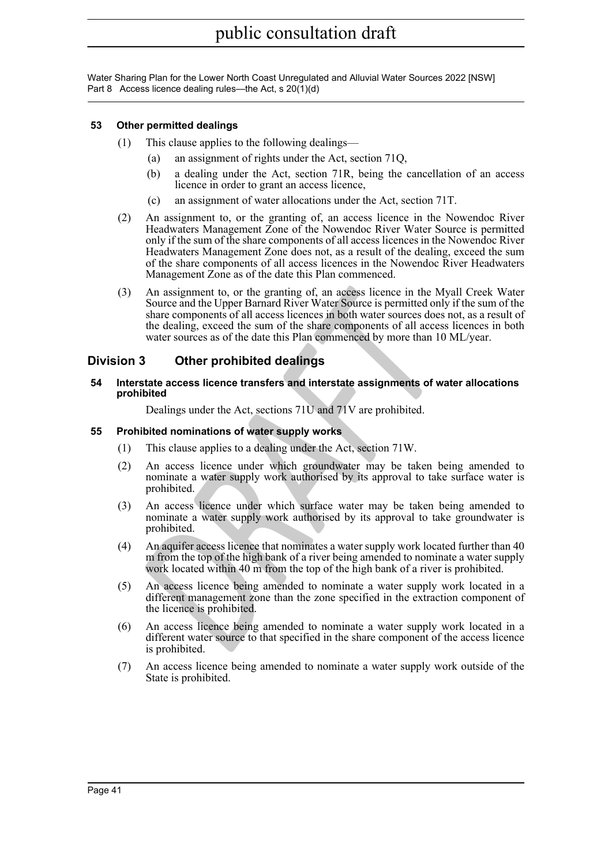### <span id="page-40-0"></span>**53 Other permitted dealings**

- (1) This clause applies to the following dealings—
	- (a) an assignment of rights under the Act, section 71Q,
	- (b) a dealing under the Act, section 71R, being the cancellation of an access licence in order to grant an access licence,
	- (c) an assignment of water allocations under the Act, section 71T.
- (2) An assignment to, or the granting of, an access licence in the Nowendoc River Headwaters Management Zone of the Nowendoc River Water Source is permitted only if the sum of the share components of all access licences in the Nowendoc River Headwaters Management Zone does not, as a result of the dealing, exceed the sum of the share components of all access licences in the Nowendoc River Headwaters Management Zone as of the date this Plan commenced.
- An assignment to, or the granting of, an access licence in the My<br>
Source and the Upper Barnard River Ware Source is permitted only<br>
share components of all access iterences in both water sources ones<br>
the dealing, exceed (3) An assignment to, or the granting of, an access licence in the Myall Creek Water Source and the Upper Barnard River Water Source is permitted only if the sum of the share components of all access licences in both water sources does not, as a result of the dealing, exceed the sum of the share components of all access licences in both water sources as of the date this Plan commenced by more than 10 ML/year.

### <span id="page-40-1"></span>**Division 3 Other prohibited dealings**

<span id="page-40-2"></span>**54 Interstate access licence transfers and interstate assignments of water allocations prohibited**

Dealings under the Act, sections 71U and 71V are prohibited.

#### <span id="page-40-3"></span>**55 Prohibited nominations of water supply works**

- (1) This clause applies to a dealing under the Act, section 71W.
- (2) An access licence under which groundwater may be taken being amended to nominate a water supply work authorised by its approval to take surface water is prohibited.
- (3) An access licence under which surface water may be taken being amended to nominate a water supply work authorised by its approval to take groundwater is prohibited.
- (4) An aquifer access licence that nominates a water supply work located further than 40 m from the top of the high bank of a river being amended to nominate a water supply work located within 40 m from the top of the high bank of a river is prohibited.
- (5) An access licence being amended to nominate a water supply work located in a different management zone than the zone specified in the extraction component of the licence is prohibited.
- (6) An access licence being amended to nominate a water supply work located in a different water source to that specified in the share component of the access licence is prohibited.
- (7) An access licence being amended to nominate a water supply work outside of the State is prohibited.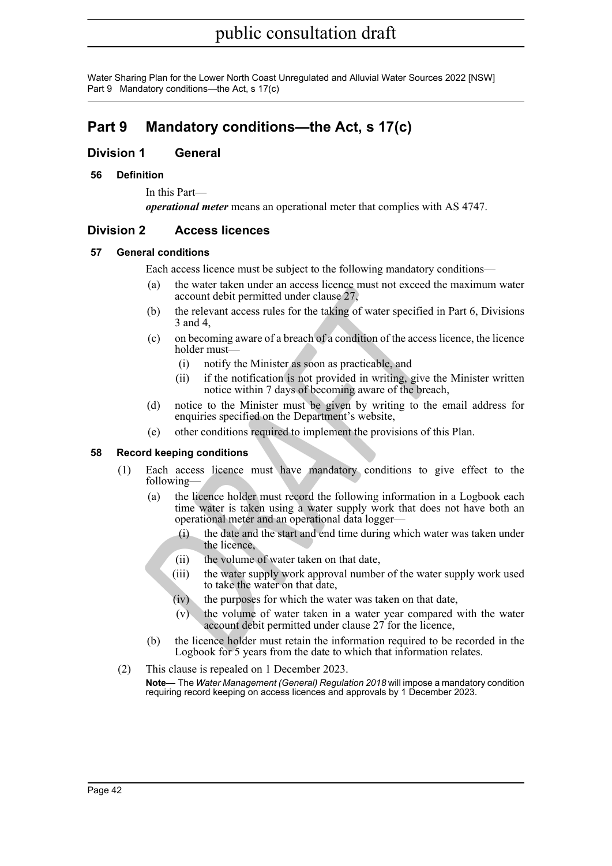### <span id="page-41-0"></span>**Part 9 Mandatory conditions—the Act, s 17(c)**

### <span id="page-41-1"></span>**Division 1 General**

### <span id="page-41-2"></span>**56 Definition**

In this Part *operational meter* means an operational meter that complies with AS 4747.

### <span id="page-41-3"></span>**Division 2 Access licences**

### <span id="page-41-4"></span>**57 General conditions**

Each access licence must be subject to the following mandatory conditions—

- (a) the water taken under an access licence must not exceed the maximum water account debit permitted under clause 27,
- (b) the relevant access rules for the taking of water specified in Part 6, Divisions 3 and 4,
- (c) on becoming aware of a breach of a condition of the access licence, the licence holder must—
	- (i) notify the Minister as soon as practicable, and
	- (ii) if the notification is not provided in writing, give the Minister written notice within 7 days of becoming aware of the breach,
- (d) notice to the Minister must be given by writing to the email address for enquiries specified on the Department's website,
- (e) other conditions required to implement the provisions of this Plan.

### <span id="page-41-5"></span>**58 Record keeping conditions**

- (1) Each access licence must have mandatory conditions to give effect to the following—
- (a) the vater at case in duces in the control and the vater was the control and the relation of the relation of the access in and 4, (c) one becoming aware of a breach of a condition of the access lie holder must—<br>(i) noti (a) the licence holder must record the following information in a Logbook each time water is taken using a water supply work that does not have both an operational meter and an operational data logger—
	- (i) the date and the start and end time during which water was taken under the licence,
	- (ii) the volume of water taken on that date,
	- (iii) the water supply work approval number of the water supply work used to take the water on that date,
	- (iv) the purposes for which the water was taken on that date,
	- (v) the volume of water taken in a water year compared with the water account debit permitted under clause 27 for the licence,
	- (b) the licence holder must retain the information required to be recorded in the Logbook for 5 years from the date to which that information relates.
- (2) This clause is repealed on 1 December 2023. **Note—** The *Water Management (General) Regulation 2018* will impose a mandatory condition requiring record keeping on access licences and approvals by 1 December 2023.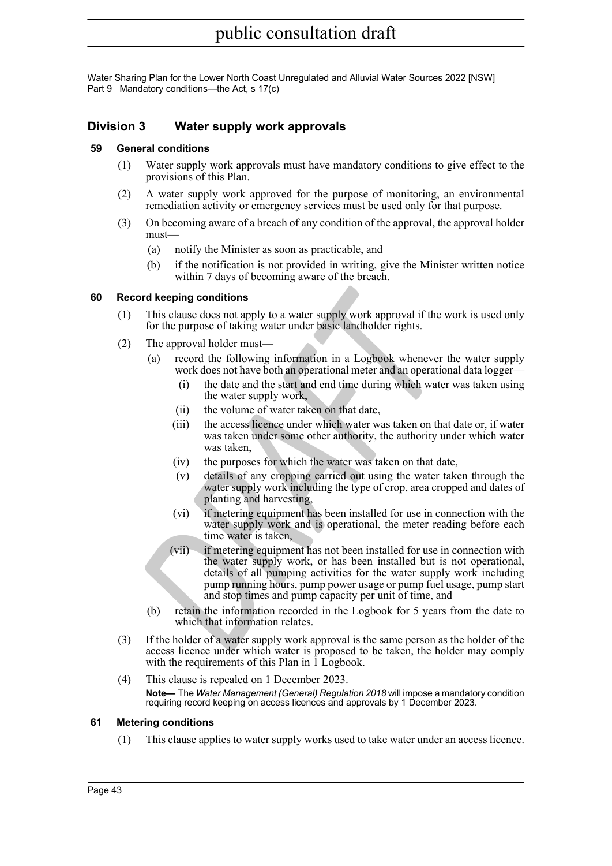### <span id="page-42-0"></span>**Division 3 Water supply work approvals**

### <span id="page-42-1"></span>**59 General conditions**

- (1) Water supply work approvals must have mandatory conditions to give effect to the provisions of this Plan.
- (2) A water supply work approved for the purpose of monitoring, an environmental remediation activity or emergency services must be used only for that purpose.
- (3) On becoming aware of a breach of any condition of the approval, the approval holder must—
	- (a) notify the Minister as soon as practicable, and
	- (b) if the notification is not provided in writing, give the Minister written notice within 7 days of becoming aware of the breach.

### <span id="page-42-2"></span>**60 Record keeping conditions**

- (1) This clause does not apply to a water supply work approval if the work is used only for the purpose of taking water under basic landholder rights.
- (2) The approval holder must—
	- (a) record the following information in a Logbook whenever the water supply work does not have both an operational meter and an operational data logger-
		- (i) the date and the start and end time during which water was taken using the water supply work,
		- (ii) the volume of water taken on that date,
		- (iii) the access licence under which water was taken on that date or, if water was taken under some other authority, the authority under which water was taken,
		- (iv) the purposes for which the water was taken on that date,
		- (v) details of any cropping carried out using the water taken through the water supply work including the type of crop, area cropped and dates of planting and harvesting,
		- (vi) if metering equipment has been installed for use in connection with the water supply work and is operational, the meter reading before each time water is taken,
- **Cond keeping conditions**<br>
This clause does not apply to a water supply work approval if the v<br>
for the purpose of taking water under basic landholder rights.<br>
The approval holder must—<br>
(a) record the following informatio (vii) if metering equipment has not been installed for use in connection with the water supply work, or has been installed but is not operational, details of all pumping activities for the water supply work including pump running hours, pump power usage or pump fuel usage, pump start and stop times and pump capacity per unit of time, and
	- (b) retain the information recorded in the Logbook for 5 years from the date to which that information relates.
- (3) If the holder of a water supply work approval is the same person as the holder of the access licence under which water is proposed to be taken, the holder may comply with the requirements of this Plan in 1 Logbook.
- (4) This clause is repealed on 1 December 2023. **Note—** The *Water Management (General) Regulation 2018* will impose a mandatory condition requiring record keeping on access licences and approvals by 1 December 2023.

### <span id="page-42-3"></span>**61 Metering conditions**

(1) This clause applies to water supply works used to take water under an access licence.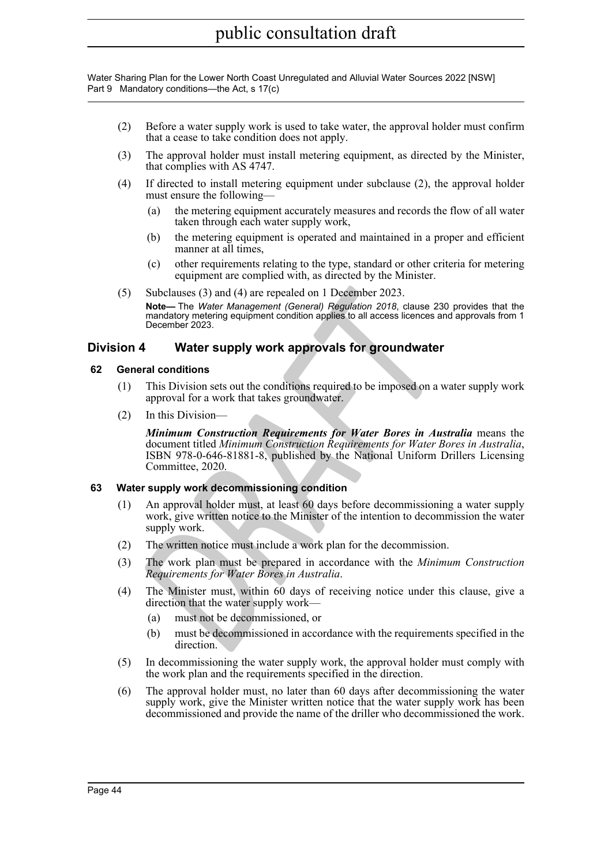- (2) Before a water supply work is used to take water, the approval holder must confirm that a cease to take condition does not apply.
- (3) The approval holder must install metering equipment, as directed by the Minister, that complies with AS 4747.
- (4) If directed to install metering equipment under subclause (2), the approval holder must ensure the following—
	- (a) the metering equipment accurately measures and records the flow of all water taken through each water supply work,
	- (b) the metering equipment is operated and maintained in a proper and efficient manner at all times,
	- (c) other requirements relating to the type, standard or other criteria for metering equipment are complied with, as directed by the Minister.
- (5) Subclauses (3) and (4) are repealed on 1 December 2023.

**Note—** The *Water Management (General) Regulation 2018*, clause 230 provides that the mandatory metering equipment condition applies to all access licences and approvals from 1 December 2023.

### <span id="page-43-0"></span>**Division 4 Water supply work approvals for groundwater**

#### <span id="page-43-1"></span>**62 General conditions**

- (1) This Division sets out the conditions required to be imposed on a water supply work approval for a work that takes groundwater.
- (2) In this Division—

Subclauses (3) and (4) are repealed on 1 December 2023.<br> **Note**—The Water Management (General) Regulation 2018, clause 230<br>
mandatory metering equipment condition applies to all access licences an<br>
December 2023.<br> **Water s** *Minimum Construction Requirements for Water Bores in Australia* means the document titled *Minimum Construction Requirements for Water Bores in Australia* , ISBN 978-0-646-81881-8, published by the National Uniform Drillers Licensing Committee, 2020.

### <span id="page-43-2"></span>**63 Water supply work decommissioning condition**

- (1) An approval holder must, at least 60 days before decommissioning a water supply work, give written notice to the Minister of the intention to decommission the water supply work.
- (2) The written notice must include a work plan for the decommission.
- (3) The work plan must be prepared in accordance with the *Minimum Construction Requirements for Water Bores in Australia* .
- (4) The Minister must, within 60 days of receiving notice under this clause, give a direction that the water supply work—
	- (a) must not be decommissioned, or
	- (b) must be decommissioned in accordance with the requirements specified in the direction.
- (5) In decommissioning the water supply work, the approval holder must comply with the work plan and the requirements specified in the direction.
- (6) The approval holder must, no later than 60 days after decommissioning the water supply work, give the Minister written notice that the water supply work has been decommissioned and provide the name of the driller who decommissioned the work.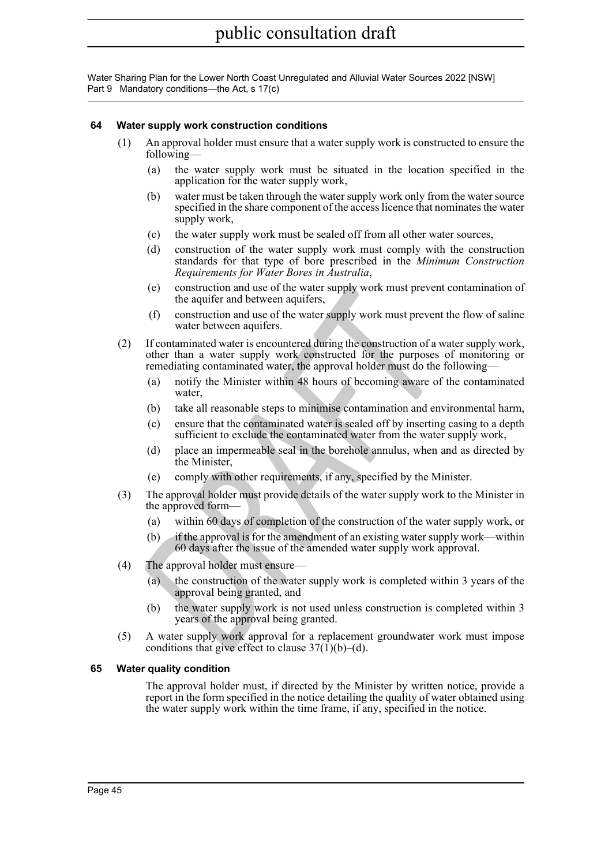### <span id="page-44-0"></span>**64 Water supply work construction conditions**

- (1) An approval holder must ensure that a water supply work is constructed to ensure the following—
	- (a) the water supply work must be situated in the location specified in the application for the water supply work,
	- (b) water must be taken through the water supply work only from the water source specified in the share component of the access licence that nominates the water supply work,
	- (c) the water supply work must be sealed off from all other water sources,
	- (d) construction of the water supply work must comply with the construction standards for that type of bore prescribed in the *Minimum Construction Requirements for Water Bores in Australia* ,
	- (e) construction and use of the water supply work must prevent contamination of the aquifer and between aquifers,
	- (f) construction and use of the water supply work must prevent the flow of saline water between aquifers.
- (e) construction and use of the water supply work must prevent<br>
(f) construction and between aquifers,<br>
(f) construction and use of the water supply work must prevent<br>
were between aquifers.<br>
If construction of all we of t (2) If contaminated water is encountered during the construction of a water supply work, other than a water supply work constructed for the purposes of monitoring or remediating contaminated water, the approval holder must do the following—
	- (a) notify the Minister within 48 hours of becoming aware of the contaminated water,
	- (b) take all reasonable steps to minimise contamination and environmental harm,
	- (c) ensure that the contaminated water is sealed off by inserting casing to a depth sufficient to exclude the contaminated water from the water supply work,
	- (d) place an impermeable seal in the borehole annulus, when and as directed by the Minister.
	- (e) comply with other requirements, if any, specified by the Minister.
- (3) The approval holder must provide details of the water supply work to the Minister in the approved form—
	- (a) within 60 days of completion of the construction of the water supply work, or
	- (b) if the approval is for the amendment of an existing water supply work—within 60 days after the issue of the amended water supply work approval.
- (4) The approval holder must ensure—
	- (a) the construction of the water supply work is completed within 3 years of the approval being granted, and
	- (b) the water supply work is not used unless construction is completed within 3 years of the approval being granted.
- (5) A water supply work approval for a replacement groundwater work must impose conditions that give effect to clause  $37(1)(b)$ –(d).

### <span id="page-44-1"></span>**65 Water quality condition**

The approval holder must, if directed by the Minister by written notice, provide a report in the form specified in the notice detailing the quality of water obtained using the water supply work within the time frame, if any, specified in the notice.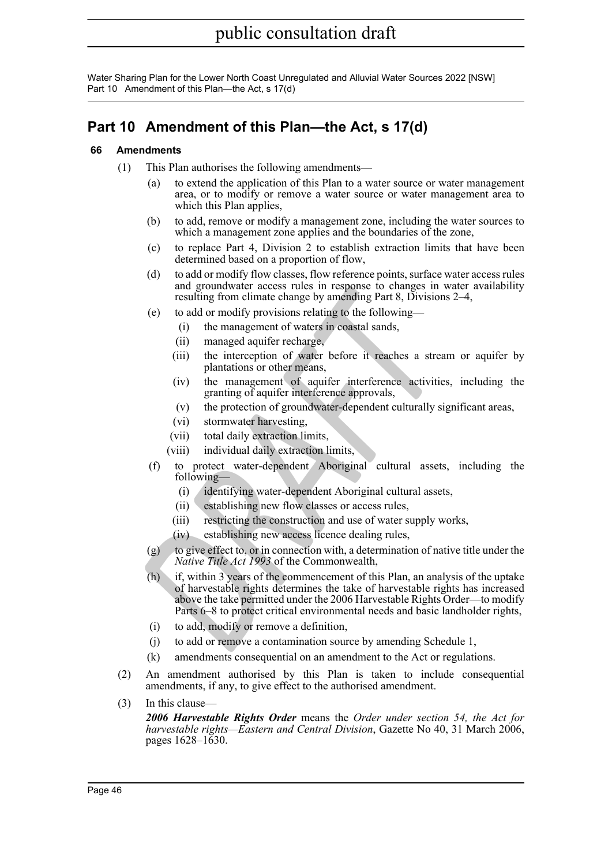Water Sharing Plan for the Lower North Coast Unregulated and Alluvial Water Sources 2022 [NSW] Part 10 Amendment of this Plan—the Act, s 17(d)

## <span id="page-45-0"></span>**Part 10 Amendment of this Plan—the Act, s 17(d)**

### <span id="page-45-1"></span>**66 Amendments**

- (1) This Plan authorises the following amendments—
	- (a) to extend the application of this Plan to a water source or water management area, or to modify or remove a water source or water management area to which this Plan applies,
	- (b) to add, remove or modify a management zone, including the water sources to which a management zone applies and the boundaries of the zone,
	- (c) to replace Part 4, Division 2 to establish extraction limits that have been determined based on a proportion of flow,
	- (d) to add or modify flow classes, flow reference points, surface water access rules and groundwater access rules in response to changes in water availability resulting from climate change by amending Part 8, Divisions 2–4,
	- (e) to add or modify provisions relating to the following—
		- (i) the management of waters in coastal sands,
		- (ii) managed aquifer recharge,
		- (iii) the interception of water before it reaches a stream or aquifer by plantations or other means,
		- (iv) the management of aquifer interference activities, including the granting of aquifer interference approvals,
		- (v) the protection of groundwater-dependent culturally significant areas,
		- (vi) stormwater harvesting,
		- (vii) total daily extraction limits,
		- (viii) individual daily extraction limits,
	- (f) to protect water-dependent Aboriginal cultural assets, including the following-
		- (i) identifying water-dependent Aboriginal cultural assets,
		- (ii) establishing new flow classes or access rules,
		- (iii) restricting the construction and use of water supply works,
		- (iv) establishing new access licence dealing rules,
	- (g) to give effect to, or in connection with, a determination of native title under the *Native Title Act 1993* of the Commonwealth,
	- and groundwater access tues in response to changes in<br>resulting from climate change by amending Part 8, Divisions<br>(e) to add or modify provisions relating to the following—<br>(i) the management of waters in coastal sands,<br>(i (h) if, within 3 years of the commencement of this Plan, an analysis of the uptake of harvestable rights determines the take of harvestable rights has increased above the take permitted under the 2006 Harvestable Rights Order—to modify Parts 6–8 to protect critical environmental needs and basic landholder rights,
		- (i) to add, modify or remove a definition,
		- (j) to add or remove a contamination source by amending Schedule 1,
		- (k) amendments consequential on an amendment to the Act or regulations.
- (2) An amendment authorised by this Plan is taken to include consequential amendments, if any, to give effect to the authorised amendment.
- $(3)$  In this clause-

*2006 Harvestable Rights Order* means the *Order under section 54, the Act for harvestable rights—Eastern and Central Division*, Gazette No 40, 31 March 2006, pages 1628–1630.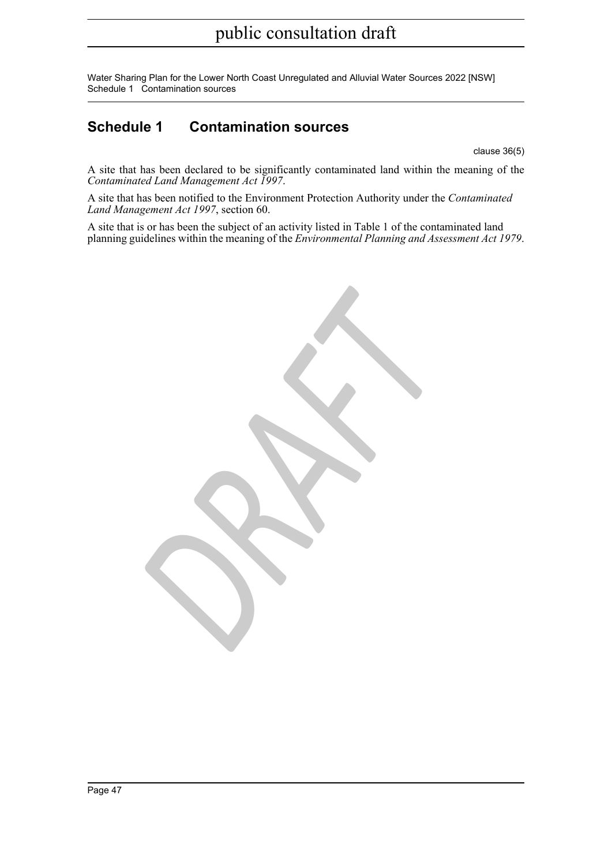Water Sharing Plan for the Lower North Coast Unregulated and Alluvial Water Sources 2022 [NSW] Schedule 1 Contamination sources

### <span id="page-46-0"></span>**Schedule 1 Contamination sources**

clause 36(5)

A site that has been declared to be significantly contaminated land within the meaning of the *Contaminated Land Management Act 1997* .

A site that has been notified to the Environment Protection Authority under the *Contaminated Land Management Act 1997*, section 60.

A site that is or has been the subject of an activity listed in Table 1 of the contaminated land planning guidelines within the meaning of the *Environmental Planning and Assessment Act 1979* .

*DRAFT*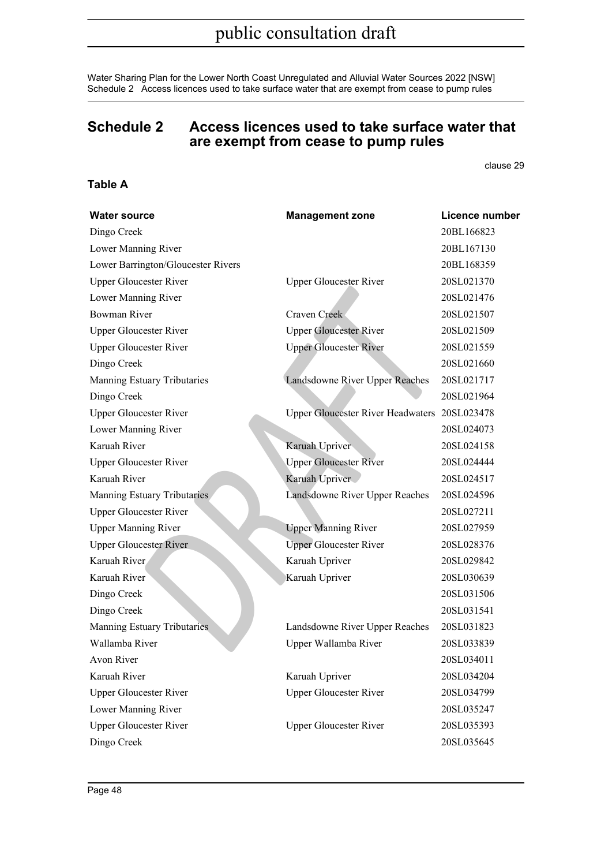Water Sharing Plan for the Lower North Coast Unregulated and Alluvial Water Sources 2022 [NSW] Schedule 2 Access licences used to take surface water that are exempt from cease to pump rules

### <span id="page-47-0"></span>**Schedule 2 Access licences used to take surface water that are exempt from cease to pump rules**

clause 29

### **Table A**

| <b>Water source</b>                | <b>Management zone</b>                       | Licence number |
|------------------------------------|----------------------------------------------|----------------|
| Dingo Creek                        |                                              | 20BL166823     |
| Lower Manning River                |                                              | 20BL167130     |
| Lower Barrington/Gloucester Rivers |                                              | 20BL168359     |
| <b>Upper Gloucester River</b>      | <b>Upper Gloucester River</b>                | 20SL021370     |
| Lower Manning River                |                                              | 20SL021476     |
| <b>Bowman River</b>                | Craven Creek                                 | 20SL021507     |
| <b>Upper Gloucester River</b>      | <b>Upper Gloucester River</b>                | 20SL021509     |
| <b>Upper Gloucester River</b>      | <b>Upper Gloucester River</b>                | 20SL021559     |
| Dingo Creek                        |                                              | 20SL021660     |
| Manning Estuary Tributaries        | Landsdowne River Upper Reaches               | 20SL021717     |
| Dingo Creek                        |                                              | 20SL021964     |
| <b>Upper Gloucester River</b>      | Upper Gloucester River Headwaters 20SL023478 |                |
| Lower Manning River                |                                              | 20SL024073     |
| Karuah River                       | Karuah Upriver                               | 20SL024158     |
| <b>Upper Gloucester River</b>      | <b>Upper Gloucester River</b>                | 20SL024444     |
| Karuah River                       | Karuah Upriver                               | 20SL024517     |
| Manning Estuary Tributaries        | Landsdowne River Upper Reaches               | 20SL024596     |
| <b>Upper Gloucester River</b>      |                                              | 20SL027211     |
| <b>Upper Manning River</b>         | <b>Upper Manning River</b>                   | 20SL027959     |
| <b>Upper Gloucester River</b>      | <b>Upper Gloucester River</b>                | 20SL028376     |
| Karuah River                       | Karuah Upriver                               | 20SL029842     |
| Karuah River                       | Karuah Upriver                               | 20SL030639     |
| Dingo Creek                        |                                              | 20SL031506     |
| Dingo Creek                        |                                              | 20SL031541     |
| Manning Estuary Tributaries        | Landsdowne River Upper Reaches               | 20SL031823     |
| Wallamba River                     | Upper Wallamba River                         | 20SL033839     |
| Avon River                         |                                              | 20SL034011     |
| Karuah River                       | Karuah Upriver                               | 20SL034204     |
| <b>Upper Gloucester River</b>      | <b>Upper Gloucester River</b>                | 20SL034799     |
| Lower Manning River                |                                              | 20SL035247     |
| <b>Upper Gloucester River</b>      | <b>Upper Gloucester River</b>                | 20SL035393     |
| Dingo Creek                        |                                              | 20SL035645     |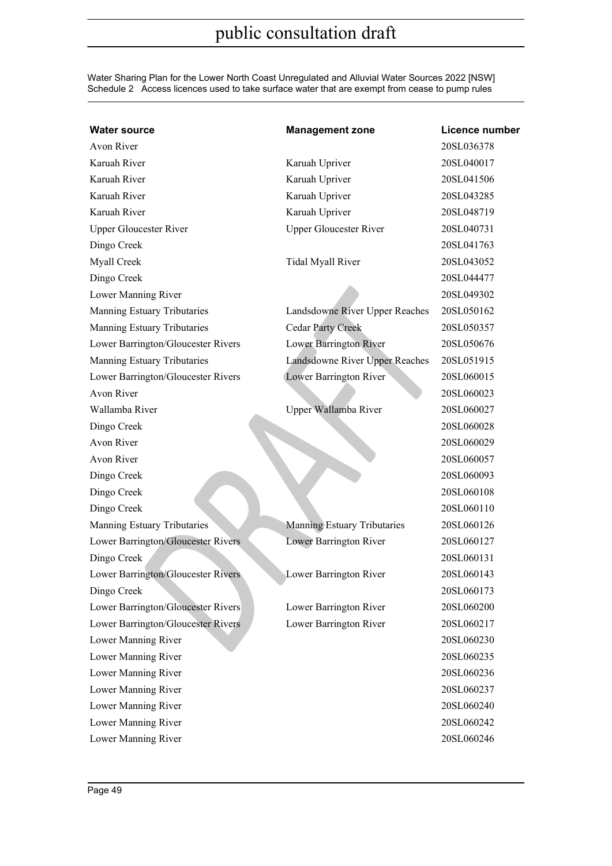Water Sharing Plan for the Lower North Coast Unregulated and Alluvial Water Sources 2022 [NSW] Schedule 2 Access licences used to take surface water that are exempt from cease to pump rules

| <b>Water source</b>                | <b>Management zone</b>         | Licence number |
|------------------------------------|--------------------------------|----------------|
| Avon River                         |                                | 20SL036378     |
| Karuah River                       | Karuah Upriver                 | 20SL040017     |
| Karuah River                       | Karuah Upriver                 | 20SL041506     |
| Karuah River                       | Karuah Upriver                 | 20SL043285     |
| Karuah River                       | Karuah Upriver                 | 20SL048719     |
| <b>Upper Gloucester River</b>      | <b>Upper Gloucester River</b>  | 20SL040731     |
| Dingo Creek                        |                                | 20SL041763     |
| Myall Creek                        | Tidal Myall River              | 20SL043052     |
| Dingo Creek                        |                                | 20SL044477     |
| Lower Manning River                |                                | 20SL049302     |
| Manning Estuary Tributaries        | Landsdowne River Upper Reaches | 20SL050162     |
| Manning Estuary Tributaries        | <b>Cedar Party Creek</b>       | 20SL050357     |
| Lower Barrington/Gloucester Rivers | Lower Barrington River         | 20SL050676     |
| Manning Estuary Tributaries        | Landsdowne River Upper Reaches | 20SL051915     |
| Lower Barrington/Gloucester Rivers | Lower Barrington River         | 20SL060015     |
| <b>Avon River</b>                  |                                | 20SL060023     |
| Wallamba River                     | Upper Wallamba River           | 20SL060027     |
| Dingo Creek                        |                                | 20SL060028     |
| Avon River                         |                                | 20SL060029     |
| Avon River                         |                                | 20SL060057     |
| Dingo Creek                        |                                | 20SL060093     |
| Dingo Creek                        |                                | 20SL060108     |
| Dingo Creek                        |                                | 20SL060110     |
| Manning Estuary Tributaries        | Manning Estuary Tributaries    | 20SL060126     |
| Lower Barrington/Gloucester Rivers | Lower Barrington River         | 20SL060127     |
| Dingo Creek                        |                                | 20SL060131     |
| Lower Barrington/Gloucester Rivers | Lower Barrington River         | 20SL060143     |
| Dingo Creek                        |                                | 20SL060173     |
| Lower Barrington/Gloucester Rivers | Lower Barrington River         | 20SL060200     |
| Lower Barrington/Gloucester Rivers | Lower Barrington River         | 20SL060217     |
| Lower Manning River                |                                | 20SL060230     |
| Lower Manning River                |                                | 20SL060235     |
| Lower Manning River                |                                | 20SL060236     |
| Lower Manning River                |                                | 20SL060237     |
| Lower Manning River                |                                | 20SL060240     |
| Lower Manning River                |                                | 20SL060242     |
| Lower Manning River                |                                | 20SL060246     |
|                                    |                                |                |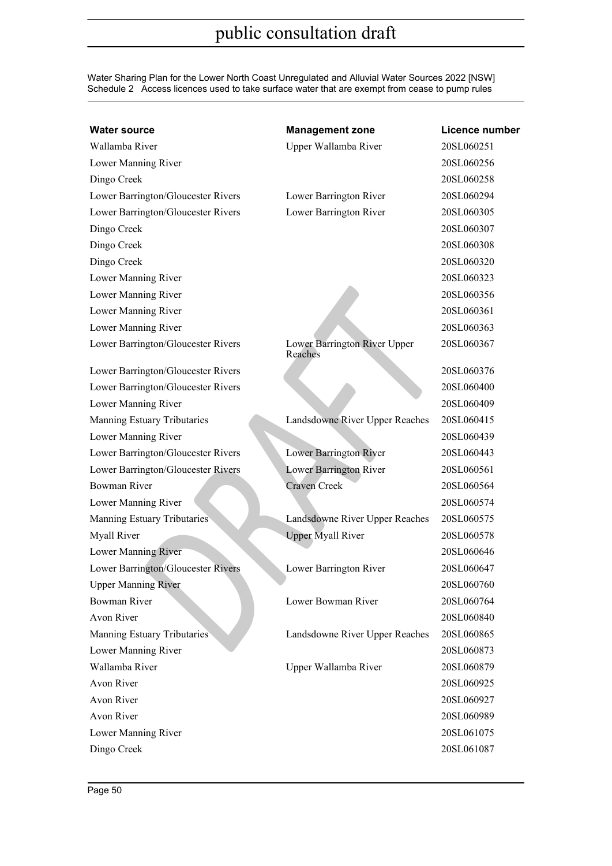Water Sharing Plan for the Lower North Coast Unregulated and Alluvial Water Sources 2022 [NSW] Schedule 2 Access licences used to take surface water that are exempt from cease to pump rules

| <b>Water source</b>                | <b>Management zone</b>                  | Licence number |
|------------------------------------|-----------------------------------------|----------------|
| Wallamba River                     | Upper Wallamba River                    | 20SL060251     |
| Lower Manning River                |                                         | 20SL060256     |
| Dingo Creek                        |                                         | 20SL060258     |
| Lower Barrington/Gloucester Rivers | Lower Barrington River                  | 20SL060294     |
| Lower Barrington/Gloucester Rivers | Lower Barrington River                  | 20SL060305     |
| Dingo Creek                        |                                         | 20SL060307     |
| Dingo Creek                        |                                         | 20SL060308     |
| Dingo Creek                        |                                         | 20SL060320     |
| Lower Manning River                |                                         | 20SL060323     |
| Lower Manning River                |                                         | 20SL060356     |
| Lower Manning River                |                                         | 20SL060361     |
| Lower Manning River                |                                         | 20SL060363     |
| Lower Barrington/Gloucester Rivers | Lower Barrington River Upper<br>Reaches | 20SL060367     |
| Lower Barrington/Gloucester Rivers |                                         | 20SL060376     |
| Lower Barrington/Gloucester Rivers |                                         | 20SL060400     |
| Lower Manning River                |                                         | 20SL060409     |
| Manning Estuary Tributaries        | Landsdowne River Upper Reaches          | 20SL060415     |
| Lower Manning River                |                                         | 20SL060439     |
| Lower Barrington/Gloucester Rivers | Lower Barrington River                  | 20SL060443     |
| Lower Barrington/Gloucester Rivers | Lower Barrington River                  | 20SL060561     |
| <b>Bowman River</b>                | <b>Craven Creek</b>                     | 20SL060564     |
| Lower Manning River                |                                         | 20SL060574     |
| Manning Estuary Tributaries        | Landsdowne River Upper Reaches          | 20SL060575     |
| Myall River                        | <b>Upper Myall River</b>                | 20SL060578     |
| Lower Manning River                |                                         | 20SL060646     |
| Lower Barrington/Gloucester Rivers | Lower Barrington River                  | 20SL060647     |
| <b>Upper Manning River</b>         |                                         | 20SL060760     |
| <b>Bowman River</b>                | Lower Bowman River                      | 20SL060764     |
| <b>Avon River</b>                  |                                         | 20SL060840     |
| Manning Estuary Tributaries        | Landsdowne River Upper Reaches          | 20SL060865     |
| Lower Manning River                |                                         | 20SL060873     |
| Wallamba River                     | Upper Wallamba River                    | 20SL060879     |
| Avon River                         |                                         | 20SL060925     |
| Avon River                         |                                         | 20SL060927     |
| <b>Avon River</b>                  |                                         | 20SL060989     |
| Lower Manning River                |                                         | 20SL061075     |
| Dingo Creek                        |                                         | 20SL061087     |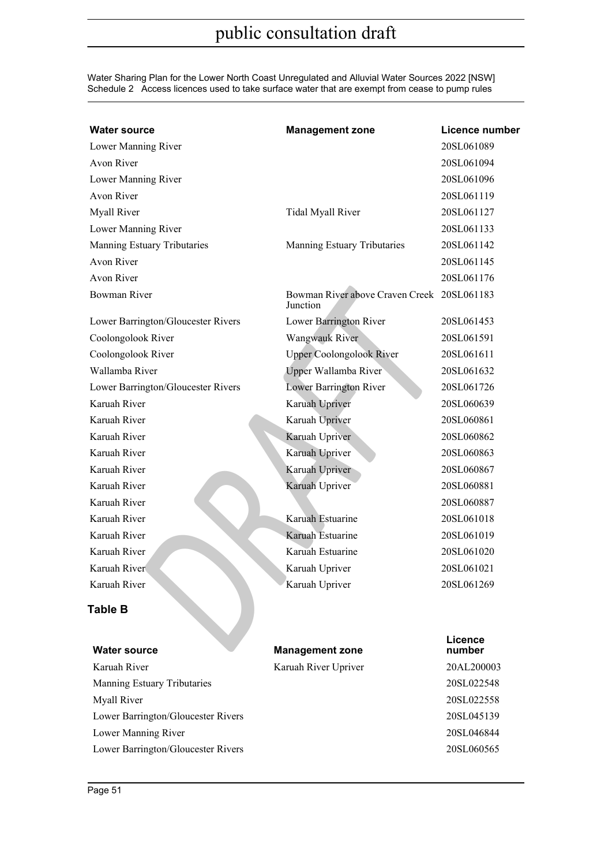Water Sharing Plan for the Lower North Coast Unregulated and Alluvial Water Sources 2022 [NSW] Schedule 2 Access licences used to take surface water that are exempt from cease to pump rules

| <b>Water source</b>                | <b>Management zone</b>                                 | <b>Licence number</b> |
|------------------------------------|--------------------------------------------------------|-----------------------|
| Lower Manning River                |                                                        | 20SL061089            |
| Avon River                         |                                                        | 20SL061094            |
| Lower Manning River                |                                                        | 20SL061096            |
| <b>Avon River</b>                  |                                                        | 20SL061119            |
| Myall River                        | Tidal Myall River                                      | 20SL061127            |
| Lower Manning River                |                                                        | 20SL061133            |
| Manning Estuary Tributaries        | Manning Estuary Tributaries                            | 20SL061142            |
| <b>Avon River</b>                  |                                                        | 20SL061145            |
| <b>Avon River</b>                  |                                                        | 20SL061176            |
| Bowman River                       | Bowman River above Craven Creek 20SL061183<br>Junction |                       |
| Lower Barrington/Gloucester Rivers | Lower Barrington River                                 | 20SL061453            |
| Coolongolook River                 | Wangwauk River                                         | 20SL061591            |
| Coolongolook River                 | <b>Upper Coolongolook River</b>                        | 20SL061611            |
| Wallamba River                     | Upper Wallamba River                                   | 20SL061632            |
| Lower Barrington/Gloucester Rivers | Lower Barrington River                                 | 20SL061726            |
| Karuah River                       | Karuah Upriver                                         | 20SL060639            |
| Karuah River                       | Karuah Upriver                                         | 20SL060861            |
| Karuah River                       | Karuah Upriver                                         | 20SL060862            |
| Karuah River                       | Karuah Upriver                                         | 20SL060863            |
| Karuah River                       | Karuah Upriver                                         | 20SL060867            |
| Karuah River                       | Karuah Upriver                                         | 20SL060881            |
| Karuah River                       |                                                        | 20SL060887            |
| Karuah River                       | Karuah Estuarine                                       | 20SL061018            |
| Karuah River                       | Karuah Estuarine                                       | 20SL061019            |
| Karuah River                       | Karuah Estuarine                                       | 20SL061020            |
| Karuah River                       | Karuah Upriver                                         | 20SL061021            |
| Karuah River                       | Karuah Upriver                                         | 20SL061269            |
| <b>Table B</b>                     |                                                        |                       |
| <b>Water source</b>                | <b>Management zone</b>                                 | Licence<br>number     |
| Karuah River                       | Karuah River Upriver                                   | 20AL200003            |
| Manning Estuary Tributaries        |                                                        | 20SL022548            |
| Myall River                        |                                                        | 20SL022558            |
| Lower Barrington/Gloucester Rivers |                                                        | 20SL045139            |
| Lower Manning River                |                                                        | 20SL046844            |
| Lower Barrington/Gloucester Rivers |                                                        | 20SL060565            |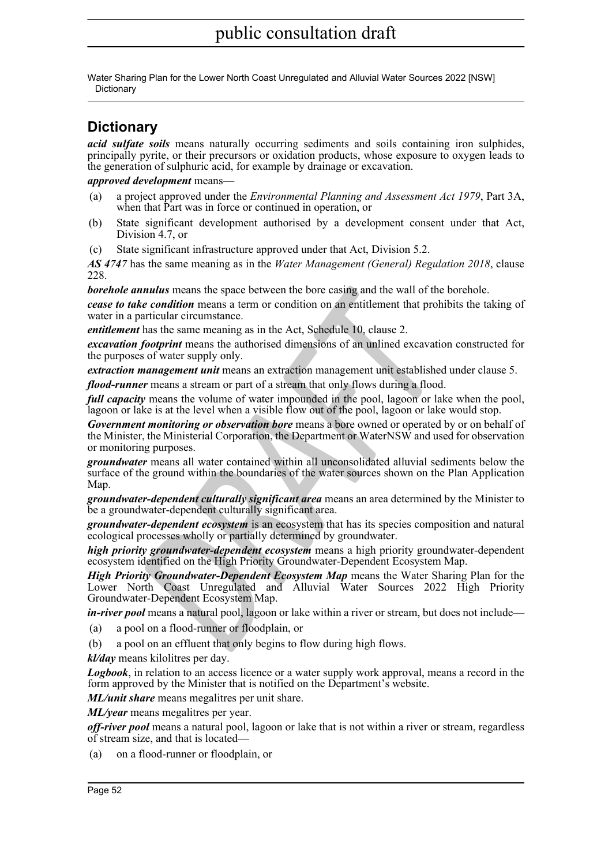Water Sharing Plan for the Lower North Coast Unregulated and Alluvial Water Sources 2022 [NSW] **Dictionary** 

### <span id="page-51-0"></span>**Dictionary**

*acid sulfate soils* means naturally occurring sediments and soils containing iron sulphides, principally pyrite, or their precursors or oxidation products, whose exposure to oxygen leads to the generation of sulphuric acid, for example by drainage or excavation.

### *approved development* means—

- (a) a project approved under the *Environmental Planning and Assessment Act 1979*, Part 3A, when that Part was in force or continued in operation, or
- (b) State significant development authorised by a development consent under that Act, Division 4.7, or
- (c) State significant infrastructure approved under that Act, Division 5.2.

*AS 4747* has the same meaning as in the *Water Management (General) Regulation 2018*, clause 228.

*borehole annulus* means the space between the bore casing and the wall of the borehole.

*cease to take condition* means a term or condition on an entitlement that prohibits the taking of water in a particular circumstance.

*entitlement* has the same meaning as in the Act, Schedule 10, clause 2.

*excavation footprint* means the authorised dimensions of an unlined excavation constructed for the purposes of water supply only.

*extraction management unit* means an extraction management unit established under clause 5.

*flood-runner* means a stream or part of a stream that only flows during a flood.

*full capacity* means the volume of water impounded in the pool, lagoon or lake when the pool, lagoon or lake is at the level when a visible flow out of the pool, lagoon or lake would stop.

*unnulus* means the space between the bore casing and the wall of the levendition means a term or condition on an entitlement that prohibitate condition means a term or condition on an entitlement that prohibitate particul *Government monitoring or observation bore* means a bore owned or operated by or on behalf of the Minister, the Ministerial Corporation, the Department or WaterNSW and used for observation or monitoring purposes.

*groundwater* means all water contained within all unconsolidated alluvial sediments below the surface of the ground within the boundaries of the water sources shown on the Plan Application Map.

*groundwater-dependent culturally significant area* means an area determined by the Minister to be a groundwater-dependent culturally significant area.

*groundwater-dependent ecosystem* is an ecosystem that has its species composition and natural ecological processes wholly or partially determined by groundwater.

*high priority groundwater-dependent ecosystem* means a high priority groundwater-dependent ecosystem identified on the High Priority Groundwater-Dependent Ecosystem Map.

*High Priority Groundwater-Dependent Ecosystem Map* means the Water Sharing Plan for the Lower North Coast Unregulated and Alluvial Water Sources 2022 High Priority Groundwater-Dependent Ecosystem Map.

*in-river pool* means a natural pool, lagoon or lake within a river or stream, but does not include—

(a) a pool on a flood-runner or floodplain, or

(b) a pool on an effluent that only begins to flow during high flows.

*kl/day* means kilolitres per day.

*Logbook*, in relation to an access licence or a water supply work approval, means a record in the form approved by the Minister that is notified on the Department's website.

*ML/unit share* means megalitres per unit share.

*ML/year* means megalitres per year.

*off-river pool* means a natural pool, lagoon or lake that is not within a river or stream, regardless of stream size, and that is located—

(a) on a flood-runner or floodplain, or